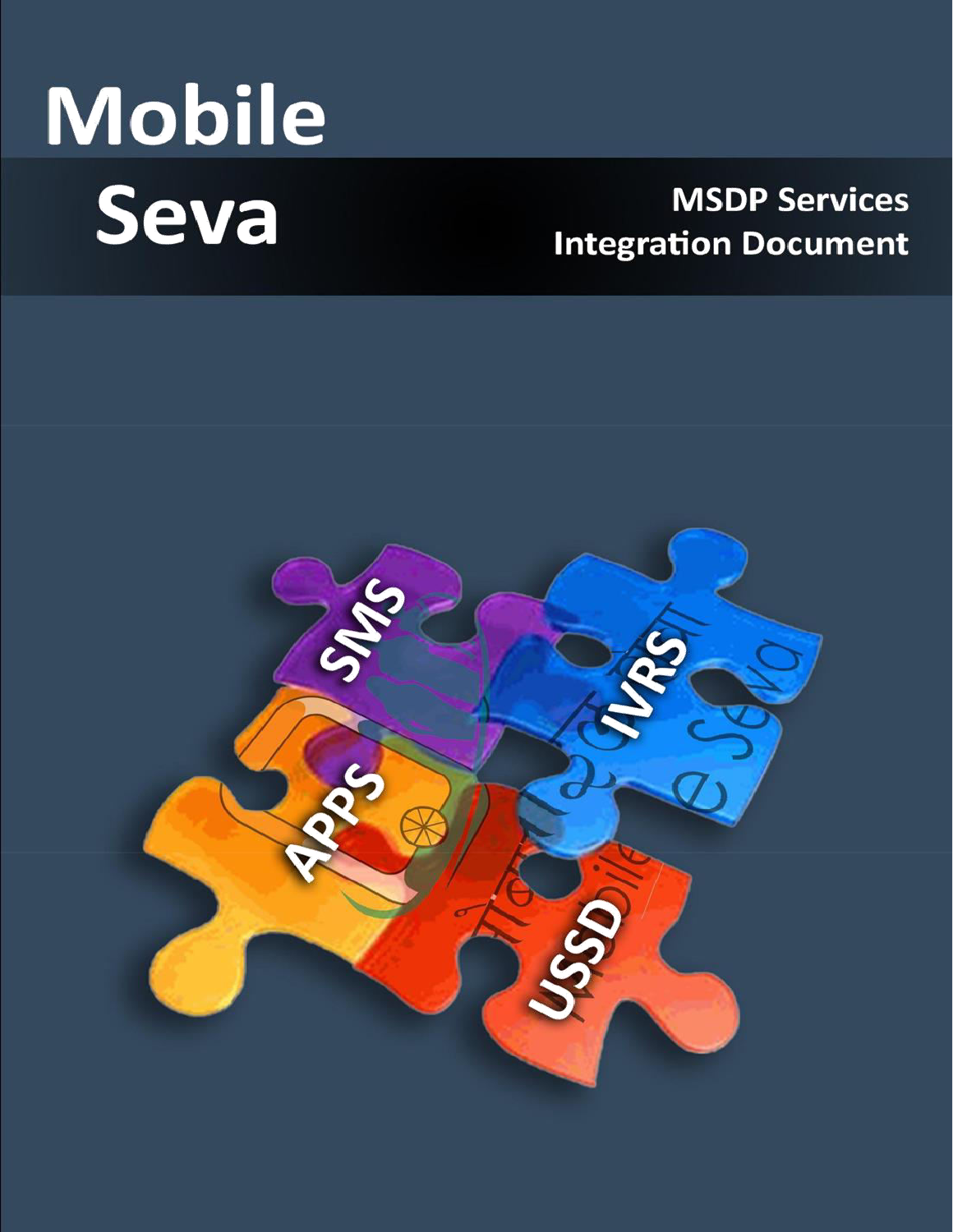# Mobile Seva

# **MSDP Services Integration Document**

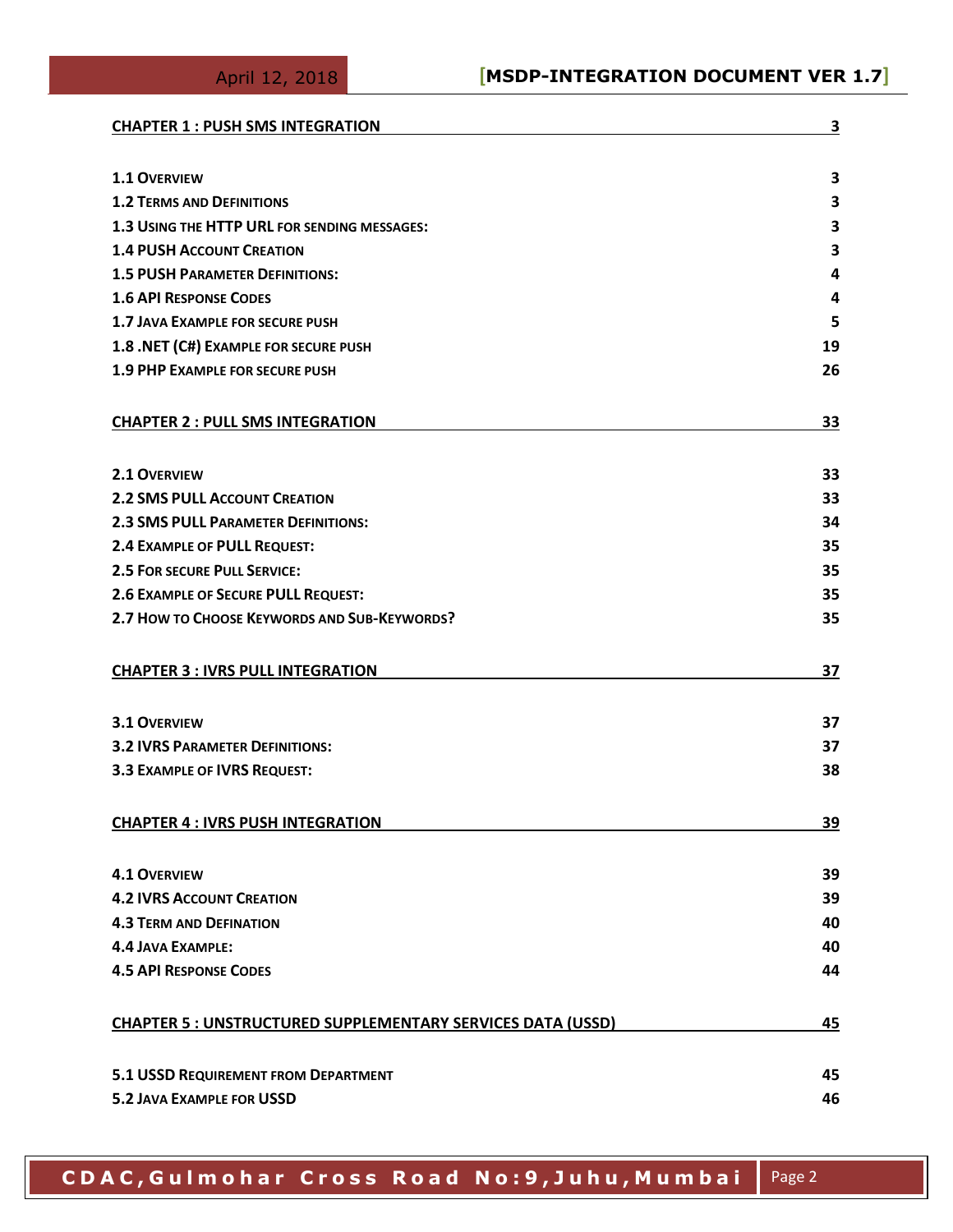| <b>CHAPTER 1 : PUSH SMS INTEGRATION</b>                            | 3         |
|--------------------------------------------------------------------|-----------|
| <b>1.1 OVERVIEW</b>                                                | 3         |
| <b>1.2 TERMS AND DEFINITIONS</b>                                   | 3         |
| 1.3 USING THE HTTP URL FOR SENDING MESSAGES:                       | 3         |
| <b>1.4 PUSH ACCOUNT CREATION</b>                                   | 3         |
| <b>1.5 PUSH PARAMETER DEFINITIONS:</b>                             | 4         |
| <b>1.6 API RESPONSE CODES</b>                                      | 4         |
| 1.7 JAVA EXAMPLE FOR SECURE PUSH                                   | 5         |
| 1.8 .NET (C#) EXAMPLE FOR SECURE PUSH                              | 19        |
| <b>1.9 PHP EXAMPLE FOR SECURE PUSH</b>                             | 26        |
| <b>CHAPTER 2 : PULL SMS INTEGRATION</b>                            | <u>33</u> |
| 2.1 OVERVIEW                                                       | 33        |
| <b>2.2 SMS PULL ACCOUNT CREATION</b>                               | 33        |
| <b>2.3 SMS PULL PARAMETER DEFINITIONS:</b>                         | 34        |
| 2.4 EXAMPLE OF PULL REQUEST:                                       | 35        |
| <b>2.5 FOR SECURE PULL SERVICE:</b>                                | 35        |
| 2.6 EXAMPLE OF SECURE PULL REQUEST:                                | 35        |
| 2.7 HOW TO CHOOSE KEYWORDS AND SUB-KEYWORDS?                       | 35        |
| <b>CHAPTER 3 : IVRS PULL INTEGRATION</b>                           | 37        |
| 3.1 OVERVIEW                                                       | 37        |
| <b>3.2 IVRS PARAMETER DEFINITIONS:</b>                             | 37        |
| 3.3 EXAMPLE OF IVRS REQUEST:                                       | 38        |
| <b>CHAPTER 4 : IVRS PUSH INTEGRATION</b>                           | 39        |
| <b>4.1 OVERVIEW</b>                                                | 39        |
| <b>4.2 IVRS ACCOUNT CREATION</b>                                   | 39        |
| <b>4.3 TERM AND DEFINATION</b>                                     | 40        |
| <b>4.4 JAVA EXAMPLE:</b>                                           | 40        |
| <b>4.5 API RESPONSE CODES</b>                                      | 44        |
| <b>CHAPTER 5 : UNSTRUCTURED SUPPLEMENTARY SERVICES DATA (USSD)</b> | 45        |
| 5.1 USSD REQUIREMENT FROM DEPARTMENT                               | 45        |
| <b>5.2 JAVA EXAMPLE FOR USSD</b>                                   | 46        |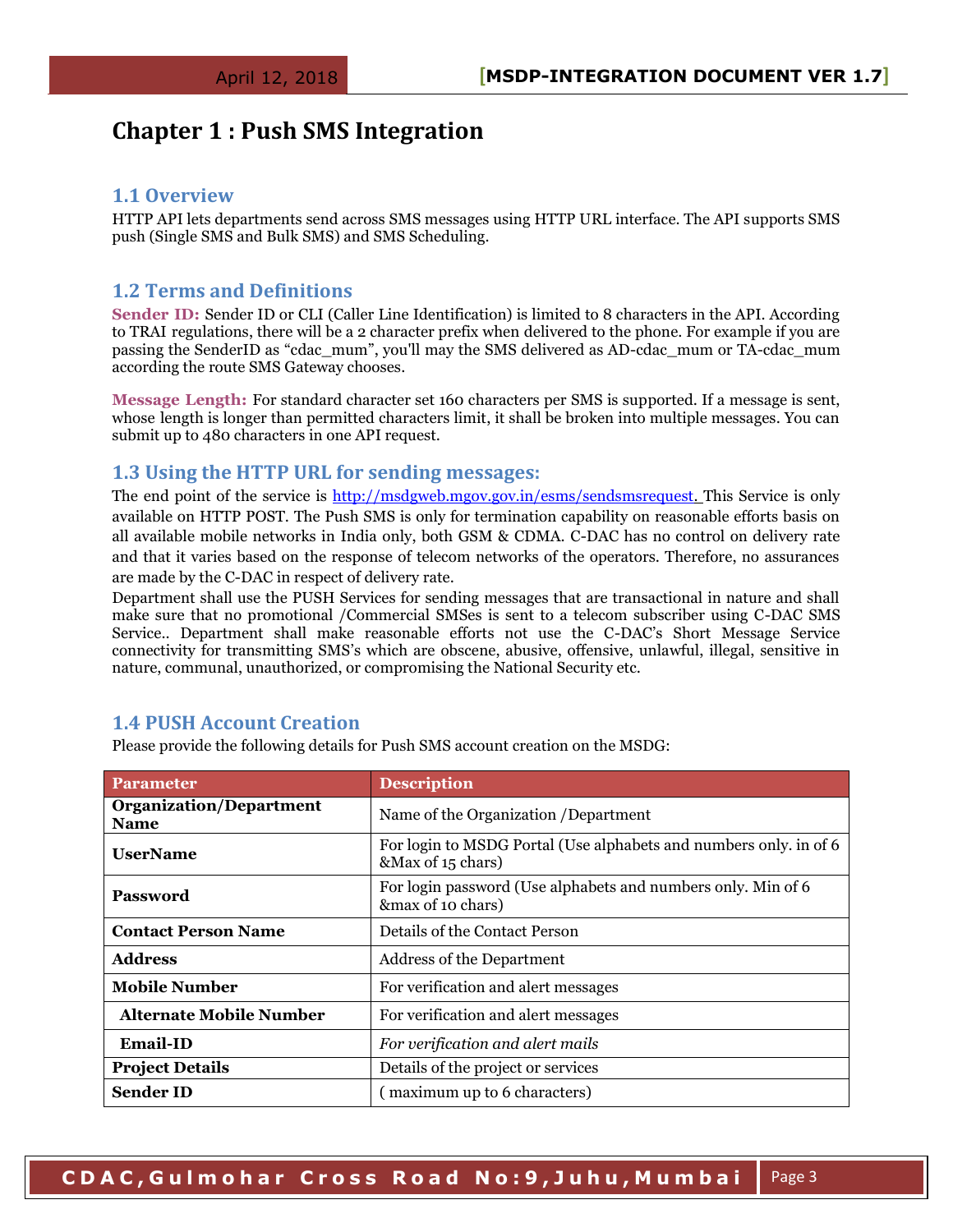## <span id="page-2-0"></span>**Chapter 1 : Push SMS Integration**

#### <span id="page-2-1"></span>**1.1 Overview**

HTTP API lets departments send across SMS messages using HTTP URL interface. The API supports SMS push (Single SMS and Bulk SMS) and SMS Scheduling.

#### <span id="page-2-2"></span>**1.2 Terms and Definitions**

**Sender ID:** Sender ID or CLI (Caller Line Identification) is limited to 8 characters in the API. According to TRAI regulations, there will be a 2 character prefix when delivered to the phone. For example if you are passing the SenderID as "cdac\_mum", you'll may the SMS delivered as AD-cdac\_mum or TA-cdac\_mum according the route SMS Gateway chooses.

**Message Length:** For standard character set 160 characters per SMS is supported. If a message is sent, whose length is longer than permitted characters limit, it shall be broken into multiple messages. You can submit up to 480 characters in one API request.

#### <span id="page-2-3"></span>**1.3 Using the HTTP URL for sending messages:**

The end point of the service is [http://msdgweb.mgov.gov.in/esms/sendsmsrequest. T](http://msdgweb.mgov.gov.in/esms/sendsmsrequest)his Service is only available on HTTP POST. The Push SMS is only for termination capability on reasonable efforts basis on all available mobile networks in India only, both GSM & CDMA. C-DAC has no control on delivery rate and that it varies based on the response of telecom networks of the operators. Therefore, no assurances are made by the C-DAC in respect of delivery rate.

Department shall use the PUSH Services for sending messages that are transactional in nature and shall make sure that no promotional /Commercial SMSes is sent to a telecom subscriber using C-DAC SMS Service.. Department shall make reasonable efforts not use the C-DAC's Short Message Service connectivity for transmitting SMS's which are obscene, abusive, offensive, unlawful, illegal, sensitive in nature, communal, unauthorized, or compromising the National Security etc.

#### <span id="page-2-4"></span>**1.4 PUSH Account Creation**

Please provide the following details for Push SMS account creation on the MSDG:

| <b>Parameter</b>                              | <b>Description</b>                                                                     |
|-----------------------------------------------|----------------------------------------------------------------------------------------|
| <b>Organization/Department</b><br><b>Name</b> | Name of the Organization / Department                                                  |
| <b>UserName</b>                               | For login to MSDG Portal (Use alphabets and numbers only, in of 6<br>&Max of 15 chars) |
| <b>Password</b>                               | For login password (Use alphabets and numbers only. Min of 6<br>&max of 10 chars)      |
| <b>Contact Person Name</b>                    | Details of the Contact Person                                                          |
| <b>Address</b>                                | Address of the Department                                                              |
| <b>Mobile Number</b>                          | For verification and alert messages                                                    |
| <b>Alternate Mobile Number</b>                | For verification and alert messages                                                    |
| <b>Email-ID</b>                               | For verification and alert mails                                                       |
| <b>Project Details</b>                        | Details of the project or services                                                     |
| <b>Sender ID</b>                              | (maximum up to 6 characters)                                                           |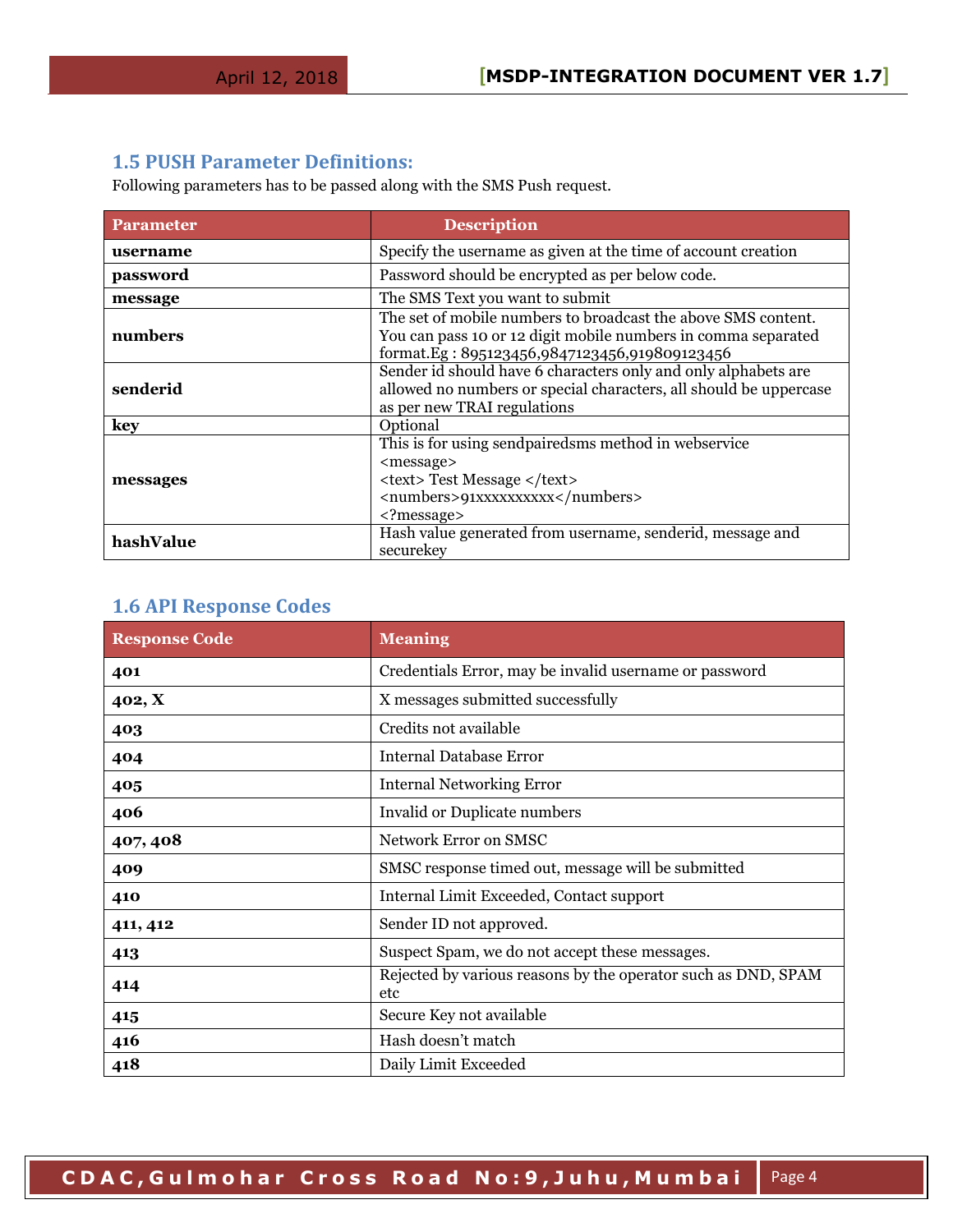### <span id="page-3-0"></span>**1.5 PUSH Parameter Definitions:**

Following parameters has to be passed along with the SMS Push request.

| <b>Parameter</b> | <b>Description</b>                                                                                                                                                                  |
|------------------|-------------------------------------------------------------------------------------------------------------------------------------------------------------------------------------|
| username         | Specify the username as given at the time of account creation                                                                                                                       |
| password         | Password should be encrypted as per below code.                                                                                                                                     |
| message          | The SMS Text you want to submit                                                                                                                                                     |
| numbers          | The set of mobile numbers to broadcast the above SMS content.<br>You can pass 10 or 12 digit mobile numbers in comma separated<br>format.Eg: 895123456,9847123456,919809123456      |
| senderid         | Sender id should have 6 characters only and only alphabets are<br>allowed no numbers or special characters, all should be uppercase<br>as per new TRAI regulations                  |
| key              | Optional                                                                                                                                                                            |
| messages         | This is for using sendpairedsms method in webservice<br><message><br/><text>Test Message </text><br/><numbers>91xxxxxxxxx</numbers><br/><math><?</math>message&gt;</math></message> |
| hashValue        | Hash value generated from username, senderid, message and<br>securekey                                                                                                              |

## <span id="page-3-1"></span>**1.6 API Response Codes**

| <b>Response Code</b> | <b>Meaning</b>                                                       |
|----------------------|----------------------------------------------------------------------|
| 401                  | Credentials Error, may be invalid username or password               |
| 402, X               | X messages submitted successfully                                    |
| 403                  | Credits not available                                                |
| 404                  | Internal Database Error                                              |
| 405                  | <b>Internal Networking Error</b>                                     |
| 406                  | Invalid or Duplicate numbers                                         |
| 407, 408             | Network Error on SMSC                                                |
| 409                  | SMSC response timed out, message will be submitted                   |
| 410                  | Internal Limit Exceeded, Contact support                             |
| 411, 412             | Sender ID not approved.                                              |
| 413                  | Suspect Spam, we do not accept these messages.                       |
| 414                  | Rejected by various reasons by the operator such as DND, SPAM<br>etc |
| 415                  | Secure Key not available                                             |
| 416                  | Hash doesn't match                                                   |
| 418                  | Daily Limit Exceeded                                                 |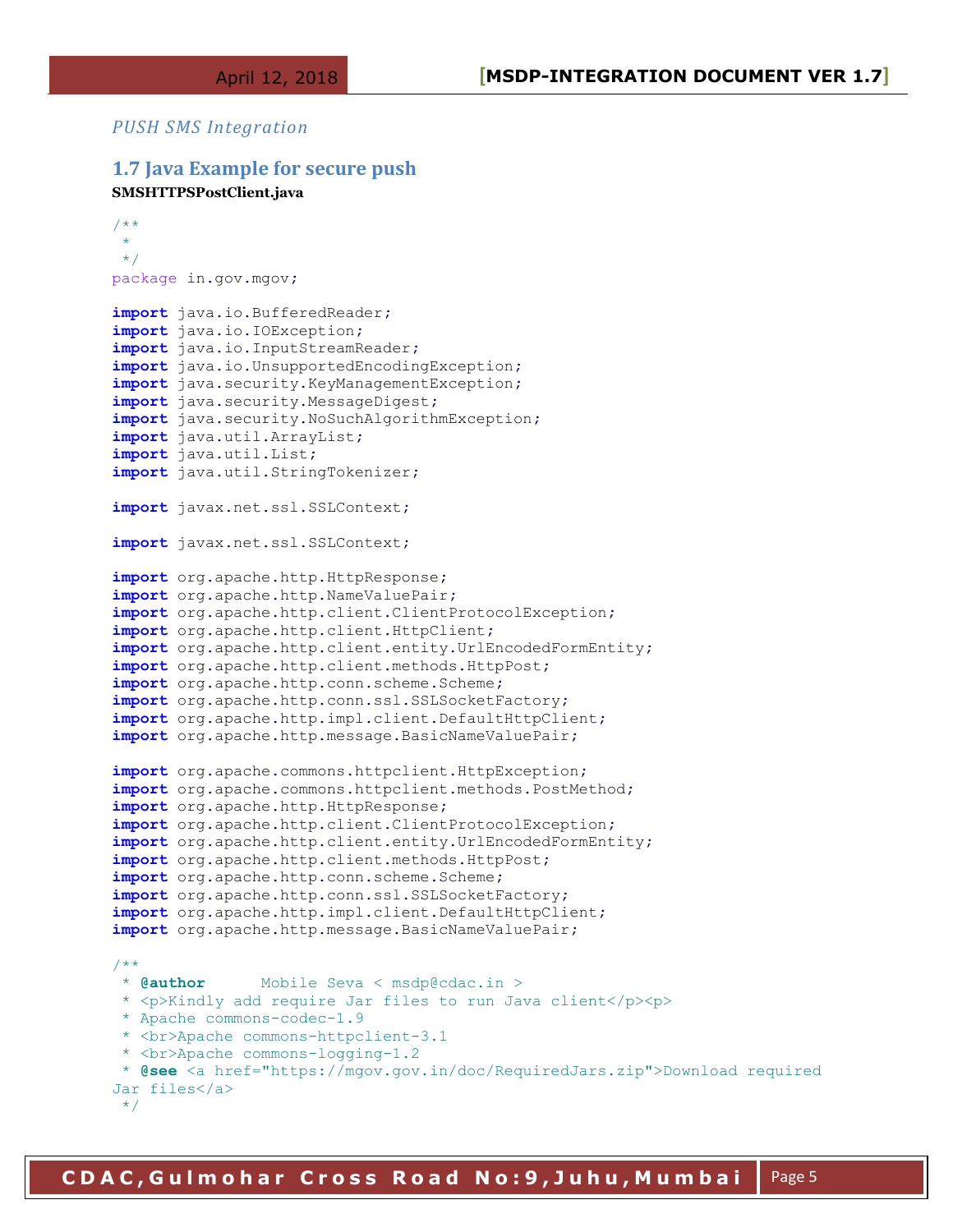#### *PUSH SMS Integration*

#### <span id="page-4-0"></span>**1.7 Java Example for secure push**

```
SMSHTTPSPostClient.java
```

```
/**
 \ddot{\bullet}\star /
package in.gov.mgov;
import java.io.BufferedReader;
import java.io.IOException;
import java.io.InputStreamReader;
import java.io.UnsupportedEncodingException;
import java.security.KeyManagementException;
import java.security.MessageDigest;
import java.security.NoSuchAlgorithmException;
import java.util.ArrayList;
import java.util.List;
import java.util.StringTokenizer;
import javax.net.ssl.SSLContext;
import javax.net.ssl.SSLContext;
import org.apache.http.HttpResponse;
import org.apache.http.NameValuePair;
import org.apache.http.client.ClientProtocolException;
import org.apache.http.client.HttpClient;
import org.apache.http.client.entity.UrlEncodedFormEntity;
import org.apache.http.client.methods.HttpPost;
import org.apache.http.conn.scheme.Scheme;
import org.apache.http.conn.ssl.SSLSocketFactory;
import org.apache.http.impl.client.DefaultHttpClient;
import org.apache.http.message.BasicNameValuePair;
import org.apache.commons.httpclient.HttpException;
import org.apache.commons.httpclient.methods.PostMethod;
import org.apache.http.HttpResponse;
import org.apache.http.client.ClientProtocolException;
import org.apache.http.client.entity.UrlEncodedFormEntity;
import org.apache.http.client.methods.HttpPost;
import org.apache.http.conn.scheme.Scheme;
import org.apache.http.conn.ssl.SSLSocketFactory;
import org.apache.http.impl.client.DefaultHttpClient;
import org.apache.http.message.BasicNameValuePair;
/**<br>* @author
              * Mobile Seva < msdp@cdac.in >
* <p>Kindly add require Jar files to run Java client</p><p>
 * Apache commons-codec-1.9
 * <br>Apache commons-httpclient-3.1
* <br>Apache commons-logging-1.2
 * @see <a href="https://mgov.gov.in/doc/RequiredJars.zip">Download required 
Jar files</a>
 */
```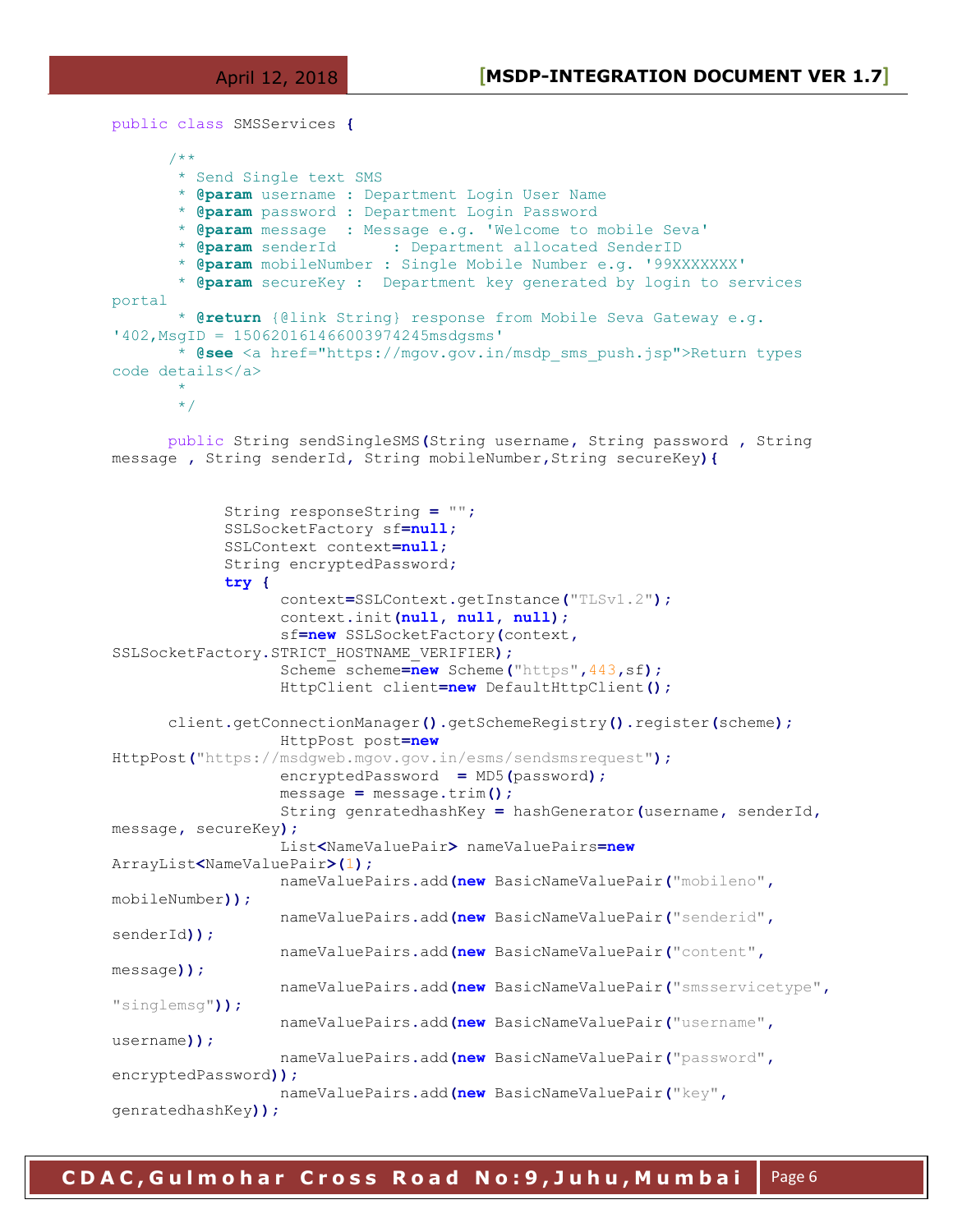```
public class SMSServices {
```
/\*\*

```
 * Send Single text SMS
        * @param username : Department Login User Name
        * @param password : Department Login Password
        * @param message : Message e.g. 'Welcome to mobile Seva'
        * @param senderId : Department allocated SenderID
        * @param mobileNumber : Single Mobile Number e.g. '99XXXXXXX' 
        * @param secureKey : Department key generated by login to services 
portal
        * @return {@link String} response from Mobile Seva Gateway e.g. 
'402,MsgID = 150620161466003974245msdgsms' 
        * @see <a href="https://mgov.gov.in/msdp_sms_push.jsp">Return types 
code details</a>
\star */
      public String sendSingleSMS(String username, String password , String 
message , String senderId, String mobileNumber,String secureKey){
             String responseString = "";
             SSLSocketFactory sf=null;
             SSLContext context=null;
             String encryptedPassword;
             try {
                   context=SSLContext.getInstance("TLSv1.2");
                   context.init(null, null, null);
                   sf=new SSLSocketFactory(context,
SSLSocketFactory.STRICT_HOSTNAME_VERIFIER);
                   Scheme scheme=new Scheme("https",443,sf);
                   HttpClient client=new DefaultHttpClient();
      client.getConnectionManager().getSchemeRegistry().register(scheme);
                   HttpPost post=new
HttpPost("https://msdgweb.mgov.gov.in/esms/sendsmsrequest");
                   encryptedPassword = MD5(password);
                   message = message.trim();
                   String genratedhashKey = hashGenerator(username, senderId,
message, secureKey);
                   List<NameValuePair> nameValuePairs=new
ArrayList<NameValuePair>(1);
                   nameValuePairs.add(new BasicNameValuePair("mobileno",
mobileNumber));
                   nameValuePairs.add(new BasicNameValuePair("senderid",
senderId));
                   nameValuePairs.add(new BasicNameValuePair("content",
message));
                   nameValuePairs.add(new BasicNameValuePair("smsservicetype",
"singlemsg"));
                   nameValuePairs.add(new BasicNameValuePair("username",
username));
                   nameValuePairs.add(new BasicNameValuePair("password",
encryptedPassword));
                   nameValuePairs.add(new BasicNameValuePair("key",
genratedhashKey));
```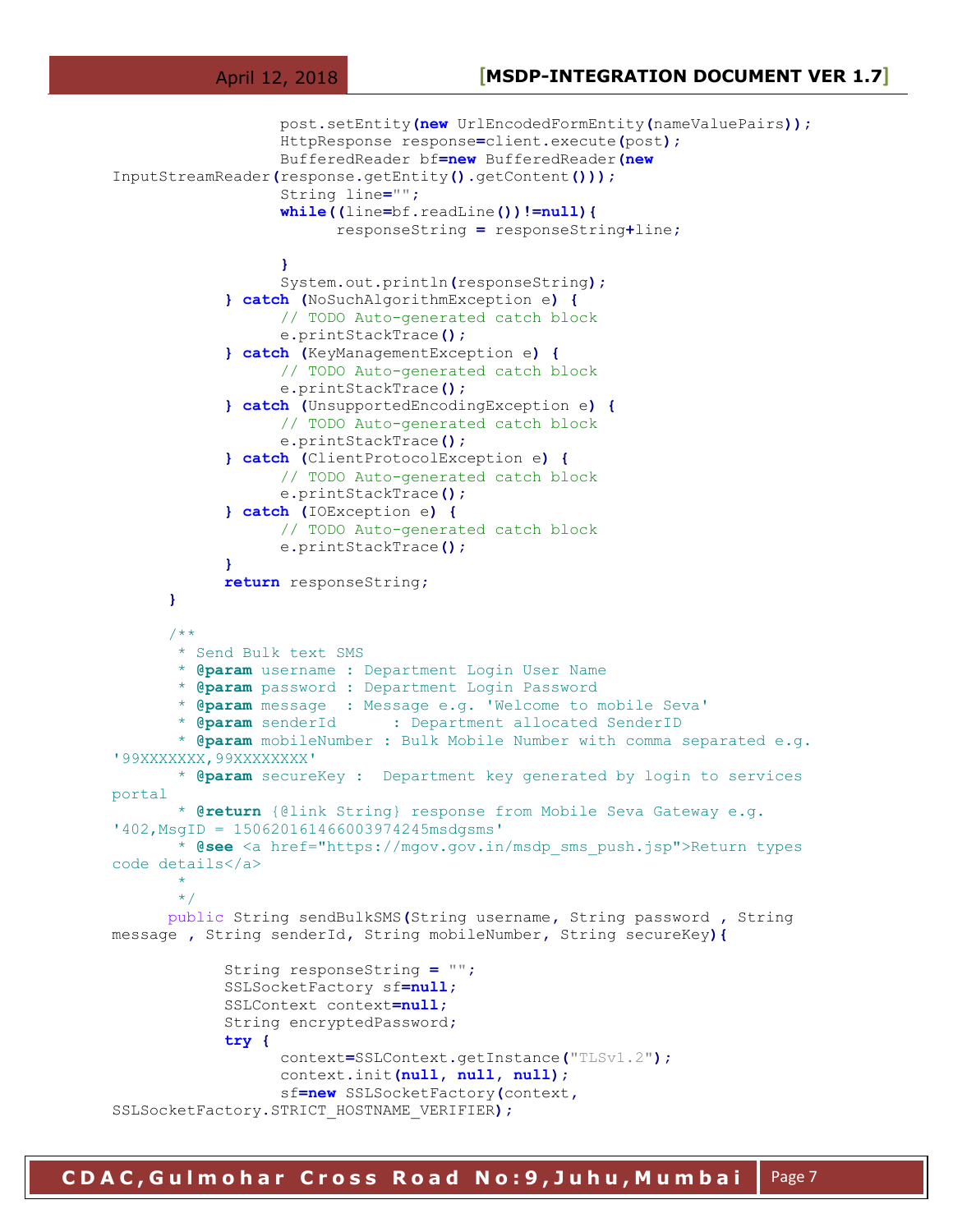```
 post.setEntity(new UrlEncodedFormEntity(nameValuePairs));
                   HttpResponse response=client.execute(post);
                   BufferedReader bf=new BufferedReader(new
InputStreamReader(response.getEntity().getContent()));
                   String line="";
                   while((line=bf.readLine())!=null){
                         responseString = responseString+line;
 }
                   System.out.println(responseString);
             } catch (NoSuchAlgorithmException e) {
                   // TODO Auto-generated catch block
                   e.printStackTrace();
             } catch (KeyManagementException e) {
                   // TODO Auto-generated catch block
                   e.printStackTrace();
             } catch (UnsupportedEncodingException e) {
                   // TODO Auto-generated catch block
                   e.printStackTrace();
             } catch (ClientProtocolException e) {
                   // TODO Auto-generated catch block
                   e.printStackTrace();
             } catch (IOException e) {
                   // TODO Auto-generated catch block
                   e.printStackTrace();
 }
             return responseString;
      }
      /**
        * Send Bulk text SMS
        * @param username : Department Login User Name
        * @param password : Department Login Password
        * @param message : Message e.g. 'Welcome to mobile Seva'
        * @param senderId : Department allocated SenderID
        * @param mobileNumber : Bulk Mobile Number with comma separated e.g. 
'99XXXXXXX,99XXXXXXXX' 
        * @param secureKey : Department key generated by login to services 
portal
        * @return {@link String} response from Mobile Seva Gateway e.g. 
'402,MsgID = 150620161466003974245msdgsms' 
        * @see <a href="https://mgov.gov.in/msdp_sms_push.jsp">Return types 
code details</a>
\star */
      public String sendBulkSMS(String username, String password , String 
message , String senderId, String mobileNumber, String secureKey){
             String responseString = "";
             SSLSocketFactory sf=null;
             SSLContext context=null;
             String encryptedPassword;
             try {
                   context=SSLContext.getInstance("TLSv1.2");
                   context.init(null, null, null);
                   sf=new SSLSocketFactory(context,
SSLSocketFactory.STRICT_HOSTNAME_VERIFIER);
```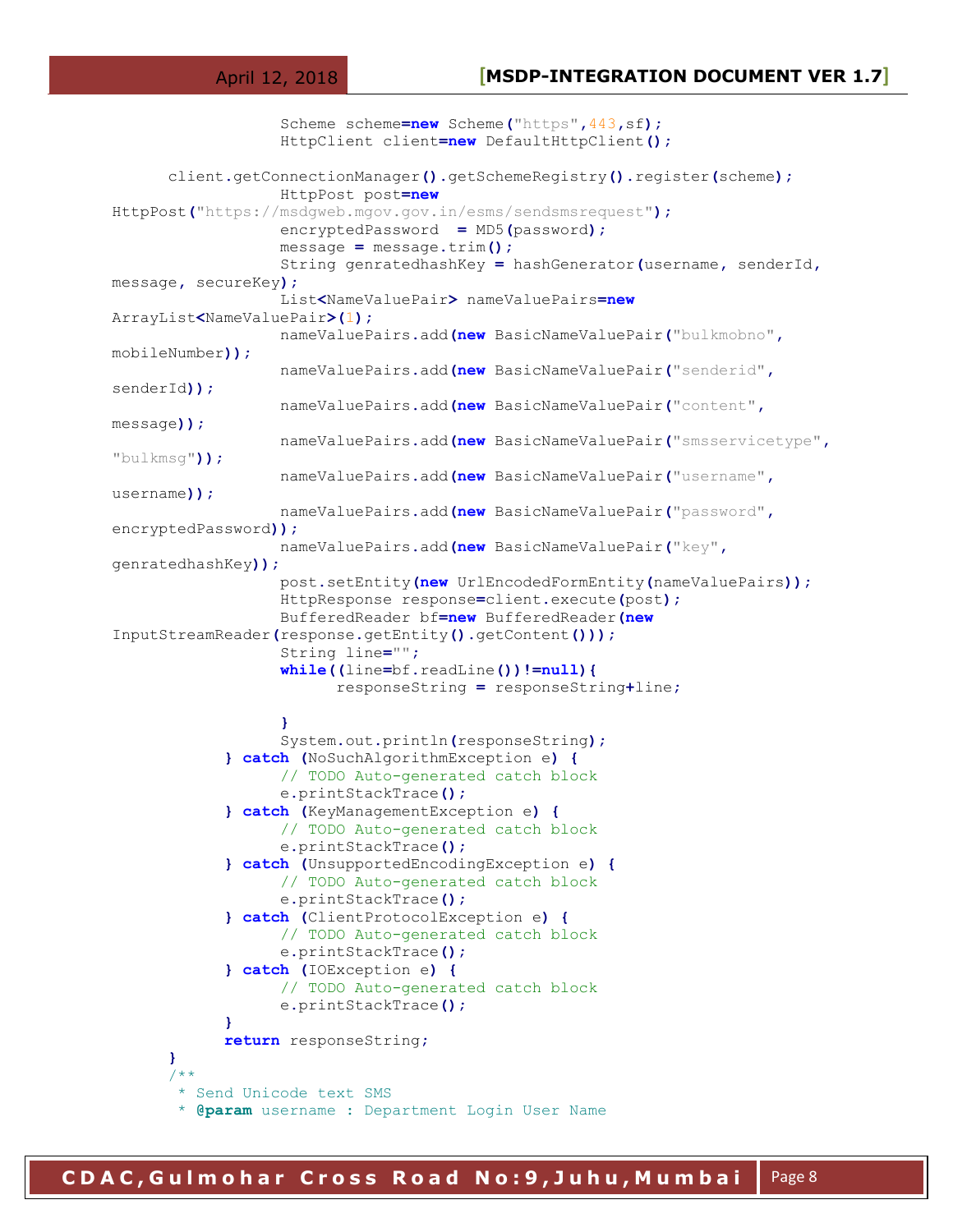```
 Scheme scheme=new Scheme("https",443,sf);
                   HttpClient client=new DefaultHttpClient();
      client.getConnectionManager().getSchemeRegistry().register(scheme);
                   HttpPost post=new
HttpPost("https://msdgweb.mgov.gov.in/esms/sendsmsrequest");
                   encryptedPassword = MD5(password);
                   message = message.trim();
                   String genratedhashKey = hashGenerator(username, senderId,
message, secureKey);
                   List<NameValuePair> nameValuePairs=new
ArrayList<NameValuePair>(1);
                   nameValuePairs.add(new BasicNameValuePair("bulkmobno",
mobileNumber));
                   nameValuePairs.add(new BasicNameValuePair("senderid",
senderId));
                   nameValuePairs.add(new BasicNameValuePair("content",
message));
                   nameValuePairs.add(new BasicNameValuePair("smsservicetype",
"bulkmsg"));
                   nameValuePairs.add(new BasicNameValuePair("username",
username));
                   nameValuePairs.add(new BasicNameValuePair("password",
encryptedPassword));
                   nameValuePairs.add(new BasicNameValuePair("key",
genratedhashKey));
                   post.setEntity(new UrlEncodedFormEntity(nameValuePairs));
                   HttpResponse response=client.execute(post);
                   BufferedReader bf=new BufferedReader(new
InputStreamReader(response.getEntity().getContent()));
                   String line="";
                   while((line=bf.readLine())!=null){
                         responseString = responseString+line;
 }
                   System.out.println(responseString);
             } catch (NoSuchAlgorithmException e) {
                   // TODO Auto-generated catch block
                   e.printStackTrace();
             } catch (KeyManagementException e) {
                   // TODO Auto-generated catch block
                   e.printStackTrace();
             } catch (UnsupportedEncodingException e) {
                   // TODO Auto-generated catch block
                   e.printStackTrace();
             } catch (ClientProtocolException e) {
                   // TODO Auto-generated catch block
                   e.printStackTrace();
             } catch (IOException e) {
                   // TODO Auto-generated catch block
                   e.printStackTrace();
 }
             return responseString; 
      }
      /**
        * Send Unicode text SMS
        * @param username : Department Login User Name
```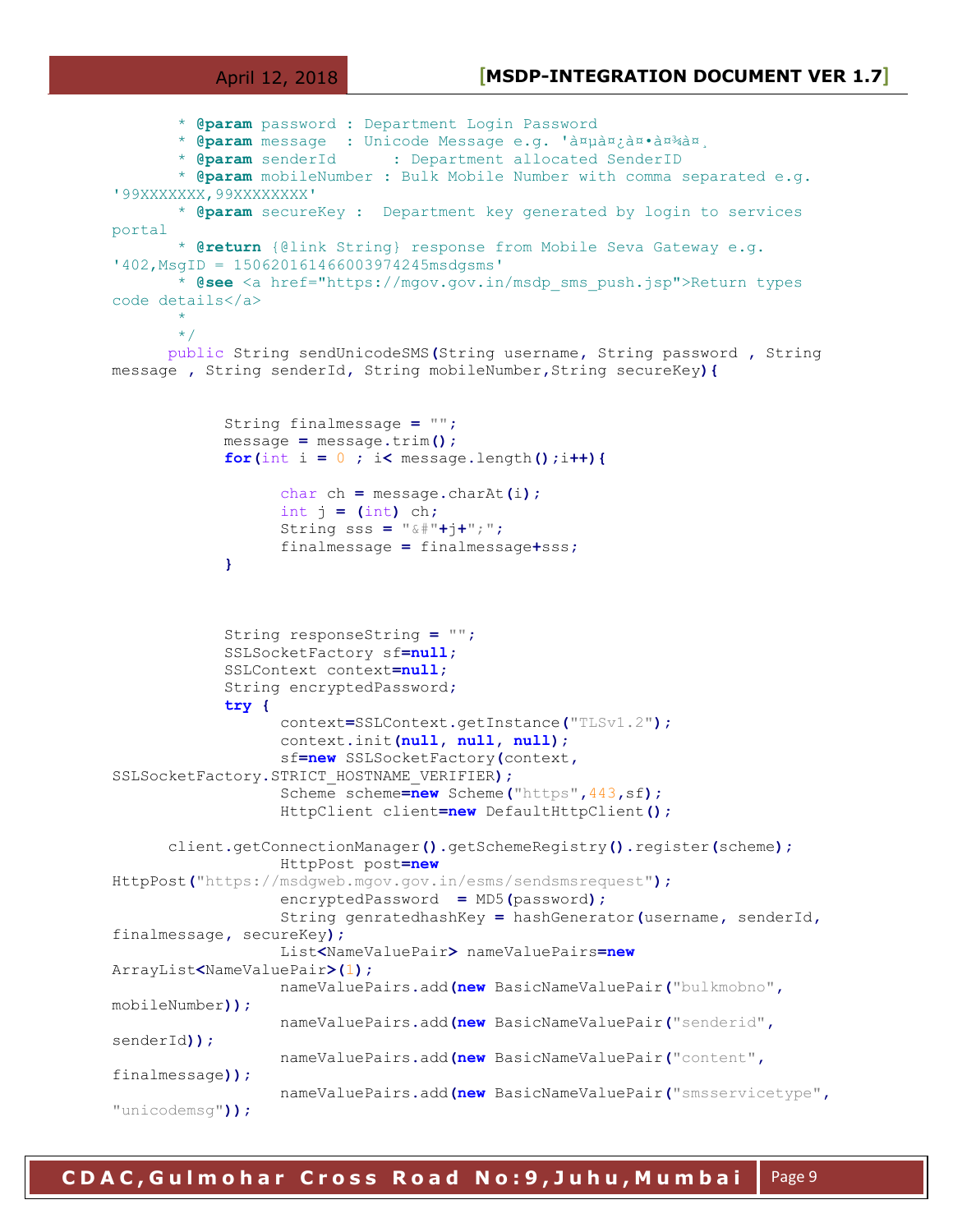```
 * @param password : Department Login Password
       * @param message : Unicode Message e.g. 'à¤pिà¤*à¤<sup>3</sup>à¤,<br>* @param senderId : Department allocated SenderID
                            : Department allocated SenderID
        * @param mobileNumber : Bulk Mobile Number with comma separated e.g. 
'99XXXXXXX,99XXXXXXXX' 
        * @param secureKey : Department key generated by login to services 
portal
        * @return {@link String} response from Mobile Seva Gateway e.g. 
'402,MsgID = 150620161466003974245msdgsms' 
        * @see <a href="https://mgov.gov.in/msdp_sms_push.jsp">Return types 
code details</a>
\star */
      public String sendUnicodeSMS(String username, String password , String 
message , String senderId, String mobileNumber,String secureKey){
             String finalmessage = "";
             message = message.trim();
             for(int i = 0 ; i< message.length();i++){
                    char ch = message.charAt(i);
                    int j = (int) ch;
                    String sss = "&#"+j+";";
                    finalmessage = finalmessage+sss;
 }
             String responseString = "";
             SSLSocketFactory sf=null;
             SSLContext context=null;
             String encryptedPassword;
              try {
                    context=SSLContext.getInstance("TLSv1.2");
                    context.init(null, null, null);
                    sf=new SSLSocketFactory(context,
SSLSocketFactory.STRICT_HOSTNAME_VERIFIER);
                    Scheme scheme=new Scheme("https",443,sf);
                    HttpClient client=new DefaultHttpClient();
      client.getConnectionManager().getSchemeRegistry().register(scheme);
                    HttpPost post=new
HttpPost("https://msdgweb.mgov.gov.in/esms/sendsmsrequest");
                    encryptedPassword = MD5(password);
                    String genratedhashKey = hashGenerator(username, senderId,
finalmessage, secureKey);
                    List<NameValuePair> nameValuePairs=new
ArrayList<NameValuePair>(1);
                   nameValuePairs.add(new BasicNameValuePair("bulkmobno",
mobileNumber));
                   nameValuePairs.add(new BasicNameValuePair("senderid",
senderId));
                    nameValuePairs.add(new BasicNameValuePair("content",
finalmessage));
                   nameValuePairs.add(new BasicNameValuePair("smsservicetype",
"unicodemsg"));
```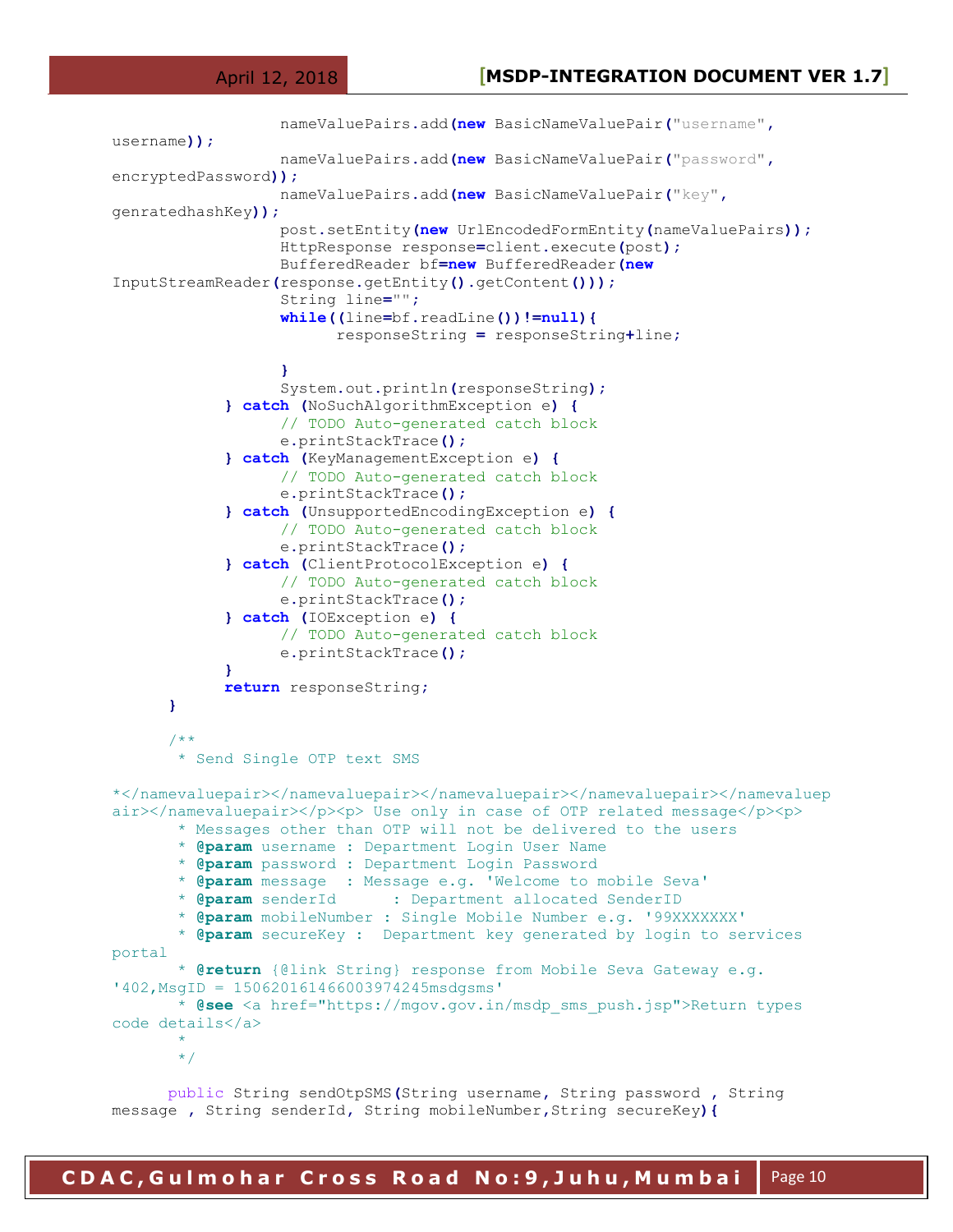```
 nameValuePairs.add(new BasicNameValuePair("username",
username));
                   nameValuePairs.add(new BasicNameValuePair("password",
encryptedPassword));
                   nameValuePairs.add(new BasicNameValuePair("key",
genratedhashKey));
                   post.setEntity(new UrlEncodedFormEntity(nameValuePairs));
                   HttpResponse response=client.execute(post);
                   BufferedReader bf=new BufferedReader(new
InputStreamReader(response.getEntity().getContent()));
                   String line="";
                   while((line=bf.readLine())!=null){
                         responseString = responseString+line;
 }
                   System.out.println(responseString);
             } catch (NoSuchAlgorithmException e) {
                   // TODO Auto-generated catch block
                   e.printStackTrace();
             } catch (KeyManagementException e) {
                   // TODO Auto-generated catch block
                   e.printStackTrace();
             } catch (UnsupportedEncodingException e) {
                   // TODO Auto-generated catch block
                   e.printStackTrace();
             } catch (ClientProtocolException e) {
                   // TODO Auto-generated catch block
                   e.printStackTrace();
             } catch (IOException e) {
                   // TODO Auto-generated catch block
                   e.printStackTrace();
 }
             return responseString;
      }
      /**
        * Send Single OTP text SMS
*</namevaluepair></namevaluepair></namevaluepair></namevaluepair></namevaluep
air></namevaluepair></p>><p> Use only in case of OTP related message</p>><p>
        * Messages other than OTP will not be delivered to the users 
        * @param username : Department Login User Name
        * @param password : Department Login Password
        * @param message : Message e.g. 'Welcome to mobile Seva'
        * @param senderId : Department allocated SenderID
        * @param mobileNumber : Single Mobile Number e.g. '99XXXXXXX' 
        * @param secureKey : Department key generated by login to services 
portal
        * @return {@link String} response from Mobile Seva Gateway e.g. 
'402,MsgID = 150620161466003974245msdgsms' 
        * @see <a href="https://mgov.gov.in/msdp_sms_push.jsp">Return types 
code details</a>
\star */
      public String sendOtpSMS(String username, String password , String
```
message **,** String senderId**,** String mobileNumber**,**String secureKey**){**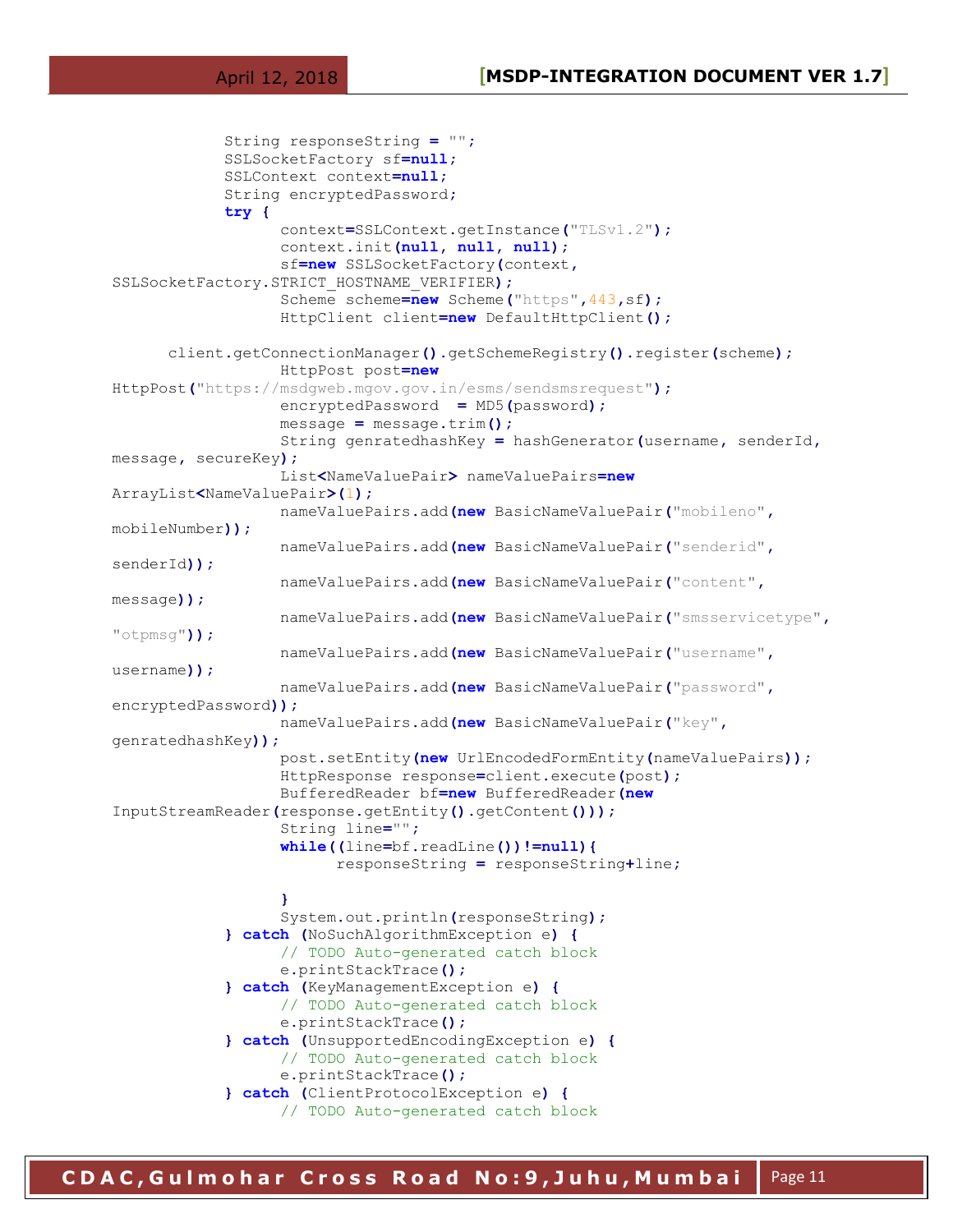```
 String responseString = "";
             SSLSocketFactory sf=null;
             SSLContext context=null;
             String encryptedPassword;
             try {
                   context=SSLContext.getInstance("TLSv1.2");
                   context.init(null, null, null);
                   sf=new SSLSocketFactory(context,
SSLSocketFactory.STRICT_HOSTNAME_VERIFIER);
                   Scheme scheme=new Scheme("https",443,sf);
                   HttpClient client=new DefaultHttpClient();
      client.getConnectionManager().getSchemeRegistry().register(scheme);
                   HttpPost post=new
HttpPost("https://msdgweb.mgov.gov.in/esms/sendsmsrequest");
                   encryptedPassword = MD5(password);
                   message = message.trim();
                   String genratedhashKey = hashGenerator(username, senderId,
message, secureKey);
                   List<NameValuePair> nameValuePairs=new
ArrayList<NameValuePair>(1);
                   nameValuePairs.add(new BasicNameValuePair("mobileno",
mobileNumber));
                   nameValuePairs.add(new BasicNameValuePair("senderid",
senderId));
                   nameValuePairs.add(new BasicNameValuePair("content",
message));
                   nameValuePairs.add(new BasicNameValuePair("smsservicetype",
"otpmsg"));
                   nameValuePairs.add(new BasicNameValuePair("username",
username));
                   nameValuePairs.add(new BasicNameValuePair("password",
encryptedPassword));
                   nameValuePairs.add(new BasicNameValuePair("key",
genratedhashKey));
                   post.setEntity(new UrlEncodedFormEntity(nameValuePairs));
                   HttpResponse response=client.execute(post);
                   BufferedReader bf=new BufferedReader(new
InputStreamReader(response.getEntity().getContent()));
                   String line="";
                   while((line=bf.readLine())!=null){
                         responseString = responseString+line;
 }
                   System.out.println(responseString);
             } catch (NoSuchAlgorithmException e) {
                   // TODO Auto-generated catch block
                   e.printStackTrace();
             } catch (KeyManagementException e) {
                   // TODO Auto-generated catch block
                   e.printStackTrace();
             } catch (UnsupportedEncodingException e) {
                   // TODO Auto-generated catch block
                   e.printStackTrace();
             } catch (ClientProtocolException e) {
                   // TODO Auto-generated catch block
```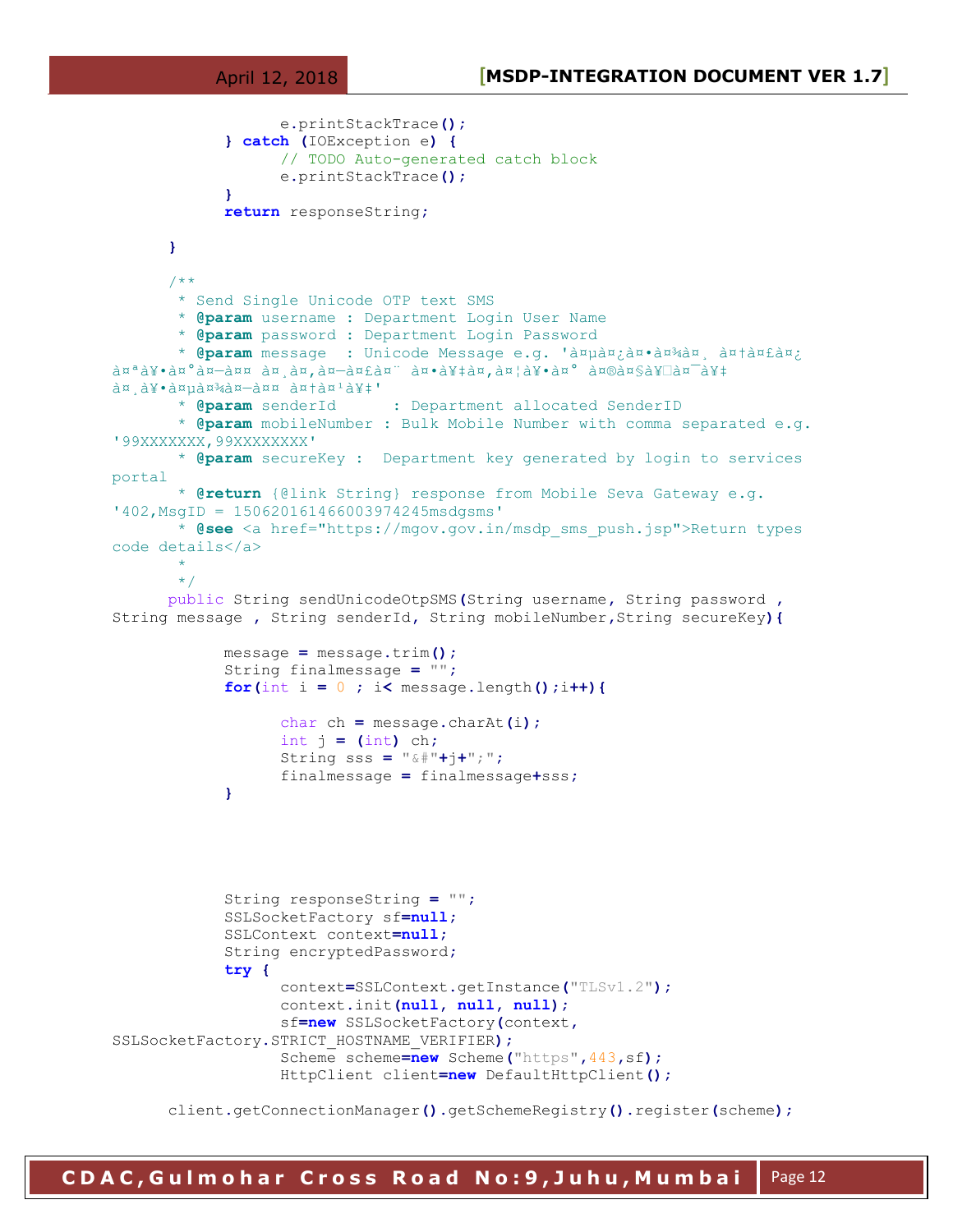```
 e.printStackTrace();
             } catch (IOException e) {
                   // TODO Auto-generated catch block
                    e.printStackTrace();
 }
             return responseString;
      }
      /**
        * Send Single Unicode OTP text SMS
        * @param username : Department Login User Name
        * @param password : Department Login Password
       * @param message : Unicode Message e.g. 'anpan an an antantan;
\hat{a}u<sup>a</sup>\hat{a}y·à\hat{a}u-ann \hat{a}u-an\hat{a}u-an\hat{a}u-an\hat{a}u-an\hat{a}u-an\hat{a}y/an\hat{a}d¤ d¥•वागत आऽे'<br>* @param senderId
                              : Department allocated SenderID
        * @param mobileNumber : Bulk Mobile Number with comma separated e.g. 
'99XXXXXXX,99XXXXXXXX' 
        * @param secureKey : Department key generated by login to services 
portal
        * @return {@link String} response from Mobile Seva Gateway e.g. 
'402,MsgID = 150620161466003974245msdgsms' 
        * @see <a href="https://mgov.gov.in/msdp_sms_push.jsp">Return types 
code details</a>
\star */
      public String sendUnicodeOtpSMS(String username, String password ,
String message , String senderId, String mobileNumber,String secureKey){
             message = message.trim();
             String finalmessage = "";
            for(int i = 0 ; i < message.length();i++){
                   char ch = message.charAt(i);
                    int j = (int) ch;
                    String sss = "&#"+j+";";
                    finalmessage = finalmessage+sss;
 }
             String responseString = "";
             SSLSocketFactory sf=null;
             SSLContext context=null;
             String encryptedPassword;
             try {
                    context=SSLContext.getInstance("TLSv1.2");
                    context.init(null, null, null);
                    sf=new SSLSocketFactory(context,
SSLSocketFactory.STRICT_HOSTNAME_VERIFIER);
                    Scheme scheme=new Scheme("https",443,sf);
                    HttpClient client=new DefaultHttpClient();
      client.getConnectionManager().getSchemeRegistry().register(scheme);
```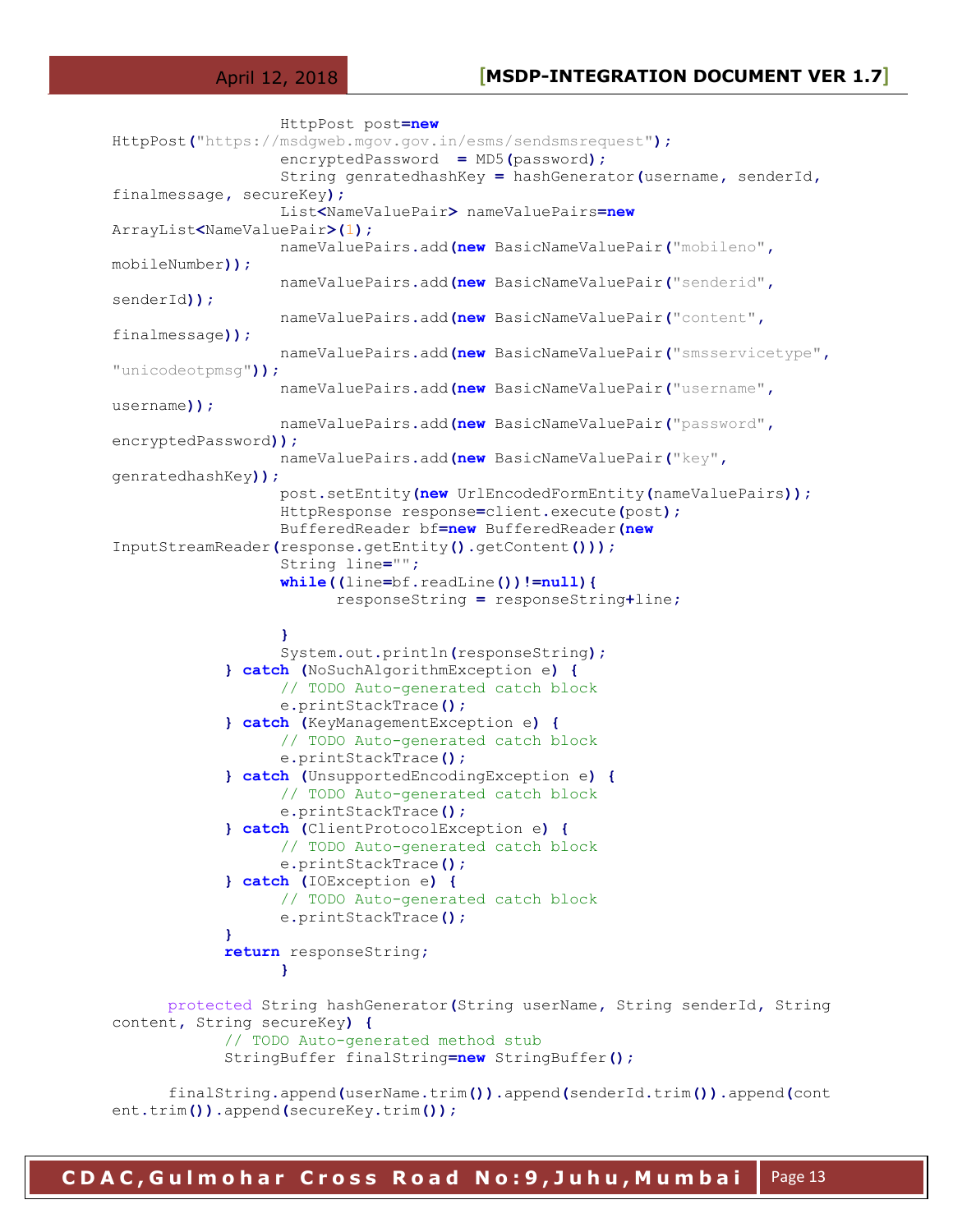#### April 12, 2018 **[MSDP-INTEGRATION DOCUMENT VER 1.7]**

```
 HttpPost post=new
HttpPost("https://msdgweb.mgov.gov.in/esms/sendsmsrequest");
                   encryptedPassword = MD5(password);
                   String genratedhashKey = hashGenerator(username, senderId,
finalmessage, secureKey);
                   List<NameValuePair> nameValuePairs=new
ArrayList<NameValuePair>(1);
                   nameValuePairs.add(new BasicNameValuePair("mobileno",
mobileNumber));
                   nameValuePairs.add(new BasicNameValuePair("senderid",
senderId));
                   nameValuePairs.add(new BasicNameValuePair("content",
finalmessage));
                   nameValuePairs.add(new BasicNameValuePair("smsservicetype",
"unicodeotpmsg"));
                   nameValuePairs.add(new BasicNameValuePair("username",
username));
                   nameValuePairs.add(new BasicNameValuePair("password",
encryptedPassword));
                   nameValuePairs.add(new BasicNameValuePair("key",
genratedhashKey));
                   post.setEntity(new UrlEncodedFormEntity(nameValuePairs));
                   HttpResponse response=client.execute(post);
                   BufferedReader bf=new BufferedReader(new
InputStreamReader(response.getEntity().getContent()));
                   String line="";
                   while((line=bf.readLine())!=null){
                         responseString = responseString+line;
 }
                   System.out.println(responseString);
             } catch (NoSuchAlgorithmException e) {
                   // TODO Auto-generated catch block
                   e.printStackTrace();
             } catch (KeyManagementException e) {
                   // TODO Auto-generated catch block
                   e.printStackTrace();
             } catch (UnsupportedEncodingException e) {
                   // TODO Auto-generated catch block
                   e.printStackTrace();
             } catch (ClientProtocolException e) {
                   // TODO Auto-generated catch block
                   e.printStackTrace();
             } catch (IOException e) {
                   // TODO Auto-generated catch block
                   e.printStackTrace();
 }
             return responseString;
 }
      protected String hashGenerator(String userName, String senderId, String 
content, String secureKey) {
             // TODO Auto-generated method stub
             StringBuffer finalString=new StringBuffer();
      finalString.append(userName.trim()).append(senderId.trim()).append(cont
ent.trim()).append(secureKey.trim());
```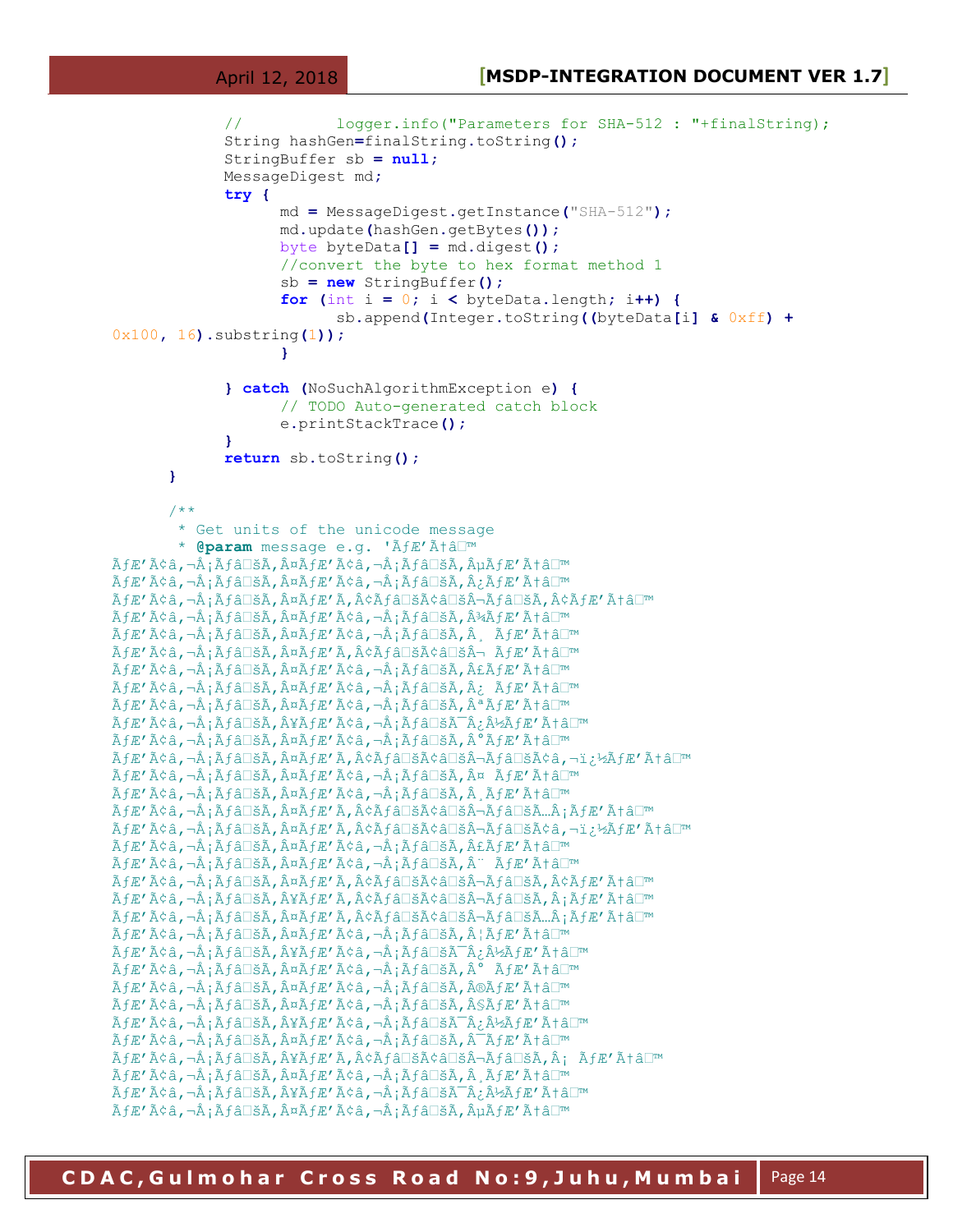```
 // logger.info("Parameters for SHA-512 : "+finalString);
            String hashGen=finalString.toString();
            StringBuffer sb = null;
            MessageDigest md;
            try {
                  md = MessageDigest.getInstance("SHA-512");
                  md.update(hashGen.getBytes());
                  byte byteData[] = md.digest();
                  //convert the byte to hex format method 1
                  sb = new StringBuffer();
                 for (int i = 0; i < byb) byteData.length; i++) {
                       sb.append(Integer.toString((byteData[i] & 0xff) +
0x100, 16).substring(1));
 }
            } catch (NoSuchAlgorithmException e) {
                 // TODO Auto-generated catch block
                  e.printStackTrace();
 }
            return sb.toString();
     }
     /**
       * Get units of the unicode message
      * @param message e.g. 'ÃfÆ'Ãtâ<sup>□™</sup>
̮'̢â,¬Å¡Ãƒâ□šÃ,¤ÃƒÆ'ââ,¬Å¡Ãƒâ□šÃ,µÃƒÆ'Æâ□™
ÃÆ′ââ,¬Å¡Ãƒâ□šÃ,¤ÃƒÆ′ââ,¬Å¡Ãƒâ□šÃ,¿ÃƒÆ′Æâ□™
ÃÆ′ââ,¬Å¡Ãƒâ⊡šÃ,¤ÃƒÆ′Ã,¢Ãƒâ⊡šÃ¢â⊡šÂ¬Ãƒâ⊡šÃ,¢ÃƒÆ′Æâ□™
̮'̢â,¬Å¡Ãƒâ□šÃ,¤ÃƒÆ'ââ,¬Å¡Ãƒâ□šÃ,¾ÃƒÆ'Æâ□™
ÃfÆ'ââ,¬Å;Ãfâ□šÃ,¤ÃfÆ'ââ,¬Å;Ãfâ□šÃ,¸ÃfÆ'Ãtâ□™
ÃfÆ'ââ,¬Å;Ãfâ□šÃ,¤ÃfÆ'Ã,¢Ãfâ□šÃ¢â□šÂ¬ ÃfÆ'Æâ□™
ÃÆ′ââ,¬Å¡Ãƒâ□šÃ,¤ÃƒÆ′ââ,¬Å¡Ãƒâ□šÃ,£ÃƒÆ′Æâ□™
ÃÆ′ââ,¬Å¡Ãƒâ□šÃ,¤ÃƒÆ′ââ,¬Å¡Ãƒâ□šÃ,¿ÃƒÆ′Æâ□™
ÃfÆ'ââ,¬Å;Ãfâ□šÃ,¤ÃfÆ'ââ,¬Å;Ãfâ□šÃ,ªÃfÆ'Æâ□™
ÃÆ′ââ,¬Å¡Ãƒâ□šÃ,¥ÃÆ′ââ,¬Å¡Ãƒâ□šÃ¯Â¿Â½ÃƒÆ′Æâ□™
ÃÆ′ââ,¬Å¡Ãƒâ□šÃ,¤ÃƒÆ′ââ,¬Å¡Ãƒâ□šÃ,°ÃƒÆ′Æâ□™
ÃÆ′ââ,¬Å¡Ãƒâ□šÃ,¤ÃƒÆ′Ã,¢Ãƒâ□šÃ¢â□šÂ¬Ãƒâ□šÃ¢â,¬ï¿½ÃƒÆ′Æâ□™
ÃÆ′ââ,¬Å;Ãâ□šÃ,¤ÃƒÆ′ââ,¬Å;Ãâ□šÃ,¤ ÃÆ′Æâ□™
̮'̢â,¬Å¡Ãƒâ□šÃ,¤ÃƒÆ'ââ,¬Å¡Ãƒâ□šÃ,¸ÃƒÆ'Æâ□™
ÃÆ′ââ,¬Å;Ãâ□šÃ,¤ÃƒÆ′Ã,¢Ãƒâ□šÃ¢â□šÂ¬Ãƒâ□šÃ…Â;ÃÆ′Æâ□™
ÃÆ′ââ,¬Å¡Ãƒâ□šÃ,¤ÃƒÆ′Ã,¢Ãƒâ□šÃ¢â□šÂ¬Ãƒâ□šÃ¢â,¬ï¿½ÃƒÆ′Æâ□™
ÃÆ′ââ,¬Å¡Ãƒâ□šÃ,¤ÃƒÆ′ââ,¬Å¡Ãƒâ□šÃ,£ÃƒÆ′Æâ□™
ÃÆ′ââ,¬Å¡Ãƒâ□šÃ,¤ÃƒÆ′ââ,¬Å¡Ãƒâ□šÃ,¨ÃƒÆ′Æâ□™
ÃÆ′ââ,¬Å¡Ãƒâ□šÃ,¤ÃƒÆ′Ã,¢Ãƒâ□šÃ¢â□šÂ¬Ãƒâ□šÃ,¢ÃƒÆ′Æâ□™
ÃÆ′ââ,¬Å¡Ãƒâ□šÃ,¥ÃÆ′Ã,¢Ãƒâ□šÃ¢â□šÂ¬Ãƒâ□šÃ,¡ÃƒÆ′Æâ□™
ÃÆ′ââ,¬Å¡Ãƒâ□šÃ,¤ÃƒÆ′Ã,¢Ãƒâ□šÃ¢â□šÂ¬Ãƒâ□šÃ…¡ÃƒÆ′Æâ□™
ÃfÆ'ââ,¬Å;Ãfâ□šÃ,¤ÃfÆ'ââ,¬Å;Ãfâ□šÃ,¦ÃfÆ'Æâ□™
ÃfÆ'ââ,¬Å;Ãfâ□šÃ,Â¥ÃfÆ'ââ,¬Å;Ãfâ□šÃ¯Â;½ÃfÆ'Ãtâ□™
ÃfÆ'ââ,¬Å¡Ãfâ□šÃ,¤ÃfÆ'ââ,¬Å¡Ãfâ□šÃ,°ÃfÆ'Ãtâ□™
ÃfÆ'ââ,¬Å;Ãâ□šÃ,¤ÃfÆ'ââ,¬Å;Ãâ□šÃ,®ÃfÆ'Æâ□™
ÃÆ′ââ,¬Å¡Ãƒâ□šÃ,¤ÃƒÆ′ââ,¬Å¡Ãƒâ□šÃ,§ÃƒÆ′Æâ□™
\tilde{A}fE'ââ,¬Å;Ãfâ\squarešÃ,Â¥ÃfE'Æâ\square*Ãfâ\square*Ã\blacksquare*ÃÆ′ââ,¬Å¡Ãƒâ□šÃ,¤ÃƒÆ′ââ,¬Å¡Ãƒâ□šÃ,¯ÃƒÆ′Æâ□™
ÃÆ′ââ,¬Å¡Ãƒâ□šÃ,¥ÃÆ′Ã,¢Ãƒâ□šÃ¢â□šÂ¬Ãƒâ□šÃ,¡ ÃÆ′Æâ□™
ÃÆ′ââ,¬Å¡Ãƒâ□šÃ,¤ÃƒÆ′ââ,¬Å¡Ãƒâ□šÃ,¸ÃƒÆ′Æâ□™
ÃÆ′ââ,¬Å¡Ãƒâ⊡šÃ,¥ÃÆ′ââ,¬Å¡Ãƒâ⊡šÃ¯Â¿Â½ÃƒÆ′Æâ□™
̮'̢â,¬Å¡Ãƒâ□šÃ,¤ÃƒÆ'ââ,¬Å¡Ãƒâ□šÃ,µÃƒÆ'Æâ□™
```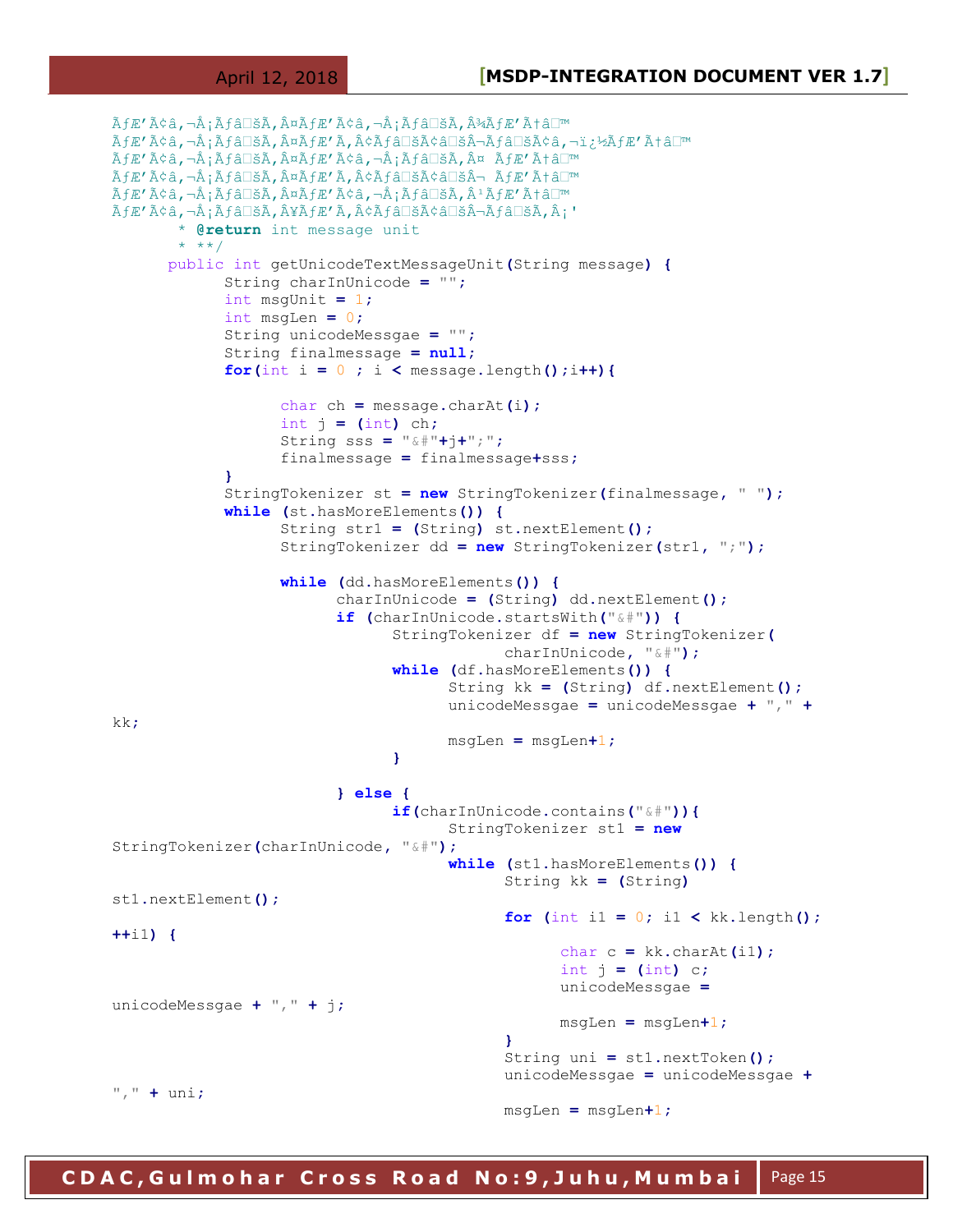```
ÃfÆ'ââ,¬Å¡Ãƒâ□šÃ,¤ÃfÆ'ââ,¬Å¡Ãƒâ□šÃ,¾ÃfÆ'Æâ□™
̮'̢â,¬Å¡Ãƒâ□šÃ,¤ÃƒÆ'Ã,¢Ãƒâ□šÃ¢â□šÂ¬Ãƒâ□šÃ¢â,¬ï¿½ÃƒÆ'Æâ□™
ÃÆ′ââ,¬Å¡Ãƒâ□šÃ,¤ÃƒÆ′ââ,¬Å¡Ãƒâ□šÃ,¤ ÃÆ′Æâ□™
ÃÆ′ââ,¬Å¡Ãƒâ□šÃ,¤ÃƒÆ′Ã,¢Ãƒâ□šÃ¢â□šÂ¬ ÃÆ′Æâ□™
ÃÆ′ââ,¬Å¡Ãƒâ□šÃ,¤ÃƒÆ′ââ,¬Å¡Ãƒâ□šÃ,ªÃƒÆ′Æâ□™
ÃÆ′ââ,¬Å¡Ãƒâ□šÃ,¥ÃÆ′Ã,¢Ãƒâ□šÃ¢â□šÂ¬Ãƒâ□šÃ,¡'
        * @return int message unit
       * **/
     public int getUnicodeTextMessageUnit(String message) {
            String charInUnicode = "";
            int msgUnit = 1;
            int msgLen = 0;
            String unicodeMessgae = "";
            String finalmessage = null;
           for(int i = 0 ; i < message.length();i++){
                  char ch = message.charAt(i);
                  int j = (int) ch;
                  String sss = "&#"+j+";";
                  finalmessage = finalmessage+sss;
 }
            StringTokenizer st = new StringTokenizer(finalmessage, " ");
            while (st.hasMoreElements()) {
                  String str1 = (String) st.nextElement();
                  StringTokenizer dd = new StringTokenizer(str1, ";");
                  while (dd.hasMoreElements()) {
                        charInUnicode = (String) dd.nextElement();
                        if (charInUnicode.startsWith("&#")) {
                              StringTokenizer df = new StringTokenizer(
                                         charInUnicode, "&#");
                              while (df.hasMoreElements()) {
                                    String kk = (String) df.nextElement();
                                    unicodeMessgae = unicodeMessgae + "," +
kk;
                                   msgLen = msgLen+1;
 }
                        } else {
                              if(charInUnicode.contains("&#")){
                                    StringTokenizer st1 = new
StringTokenizer(charInUnicode, "&#");
                                    while (st1.hasMoreElements()) {
                                         String kk = (String)
st1.nextElement();
                                        for (int i1 = 0; i1 < kk.length();
++i1) {
                                               char c = kk.charAt(i1);
                                               int j = (int) c;
                                               unicodeMessgae =
unicodeMessgae + "," + j;
                                               msgLen = msgLen+1;
 }
                                        String uni = st1.nextToken();
                                         unicodeMessgae = unicodeMessgae +
"," + uni;
                                         msgLen = msgLen+1;
```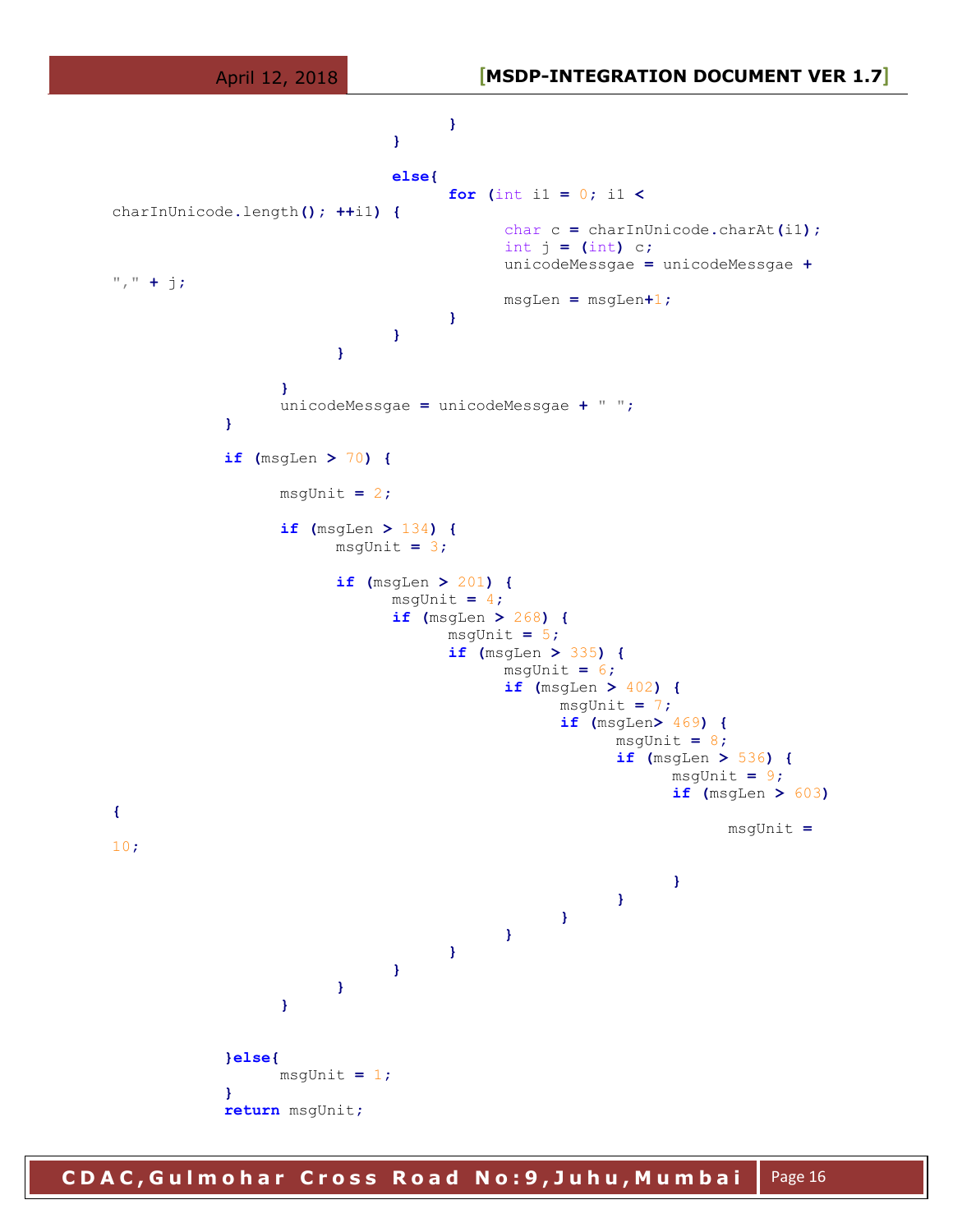

**C D A C , G u l m o h a r C r o s s R o a d N o : 9 , J u h u , M u m b a i**  Page 16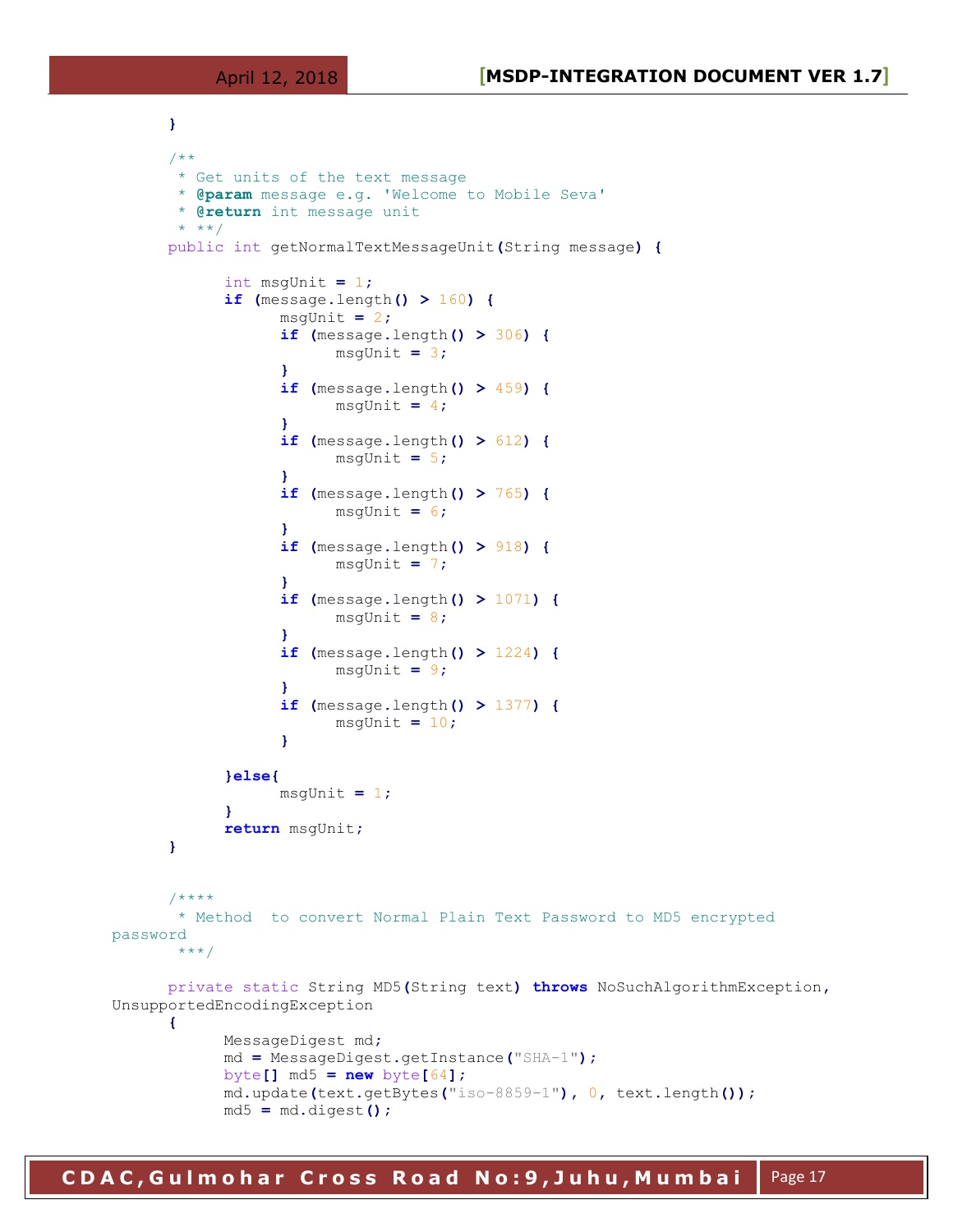```
}
     /**
       * Get units of the text message
       * @param message e.g. 'Welcome to Mobile Seva'
       * @return int message unit
       * **/
     public int getNormalTextMessageUnit(String message) {
            int msgUnit = 1;
            if (message.length() > 160) {
                 msgUnit = 2;
                 if (message.length() > 306) {
                      msgUnit = 3;
 }
                 if (message.length() > 459) {
                     msqUnit = 4; }
                 if (message.length() > 612) {
                      msgUnit = 5;
 }
                 if (message.length() > 765) {
                      msgUnit = 6;
 }
                 if (message.length() > 918) {
                      msgUnit = 7;
 }
                 if (message.length() > 1071) {
                      msgUnit = 8;
 }
                 if (message.length() > 1224) {
                     msqUnit = 9; }
                 if (message.length() > 1377) {
                      msgUnit = 10;
 }
            }else{
                 msgUnit = 1;
 }
            return msgUnit;
     }
     /****
       * Method to convert Normal Plain Text Password to MD5 encrypted 
password
       ***/
     private static String MD5(String text) throws NoSuchAlgorithmException,
UnsupportedEncodingException 
     { 
           MessageDigest md;
           md = MessageDigest.getInstance("SHA-1");
           byte[] md5 = new byte[64];
           md.update(text.getBytes("iso-8859-1"), 0, text.length());
           md5 = md.digest();
```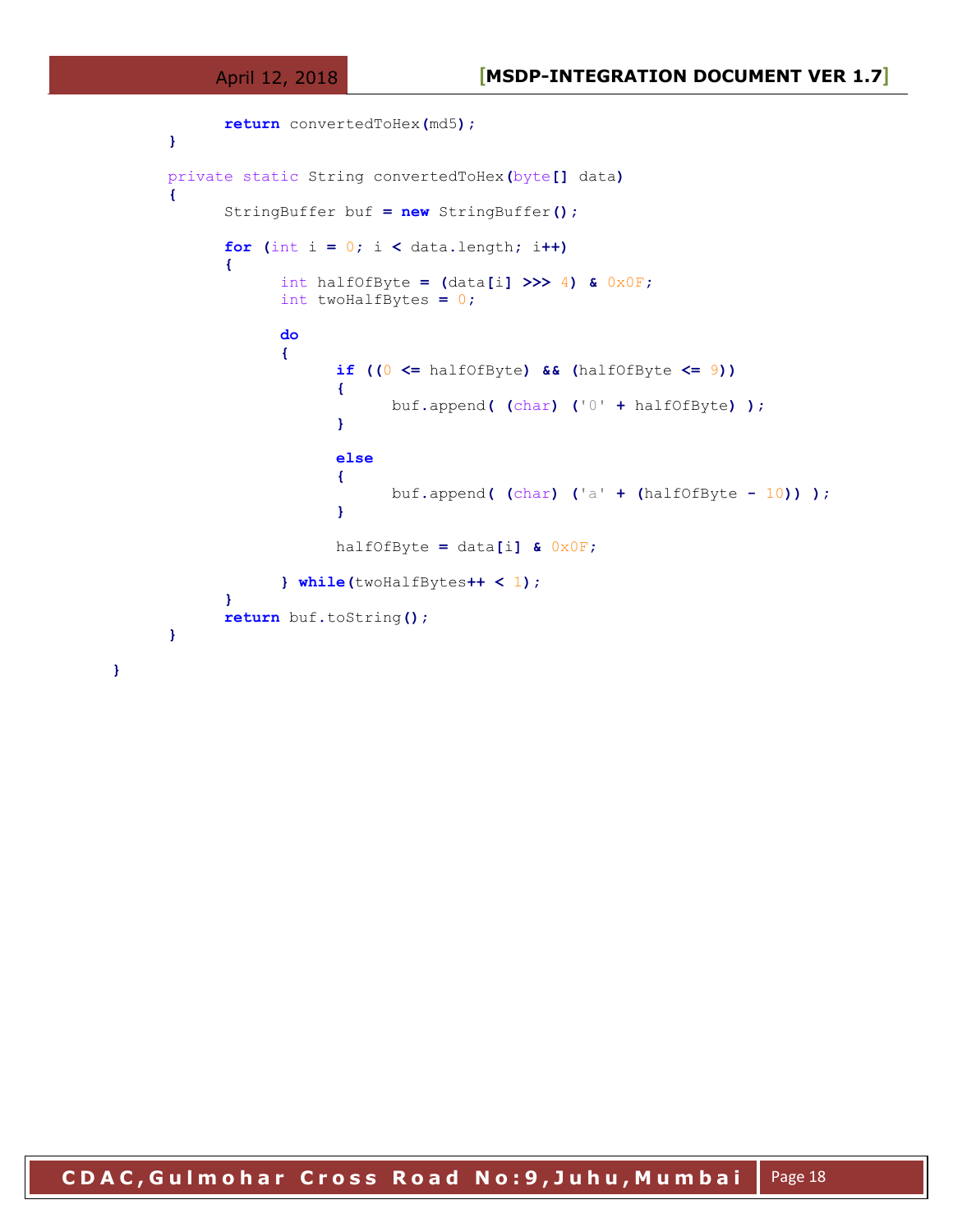**}**

```
 return convertedToHex(md5);
           }
          private static String convertedToHex(byte[] data) 
           { 
                       StringBuffer buf = new StringBuffer();
                       for (int i = 0; i < data.length; i++) 
 { 
                                   int halfOfByte = (data[i] >>> 4) & 0x0F;
                                   int twoHalfBytes = 0;
do de la contrata de la contrata de
{ \mathbf{f} } \mathbf{f} } \mathbf{f} } \mathbf{f} } \mathbf{f} } \mathbf{f} } \mathbf{f} } \mathbf{f} } \mathbf{f} } \mathbf{f} } \mathbf{f} } \mathbf{f} } \mathbf{f} } \mathbf{f} } \mathbf{f} } \mathbf{f} } \mathbf{f} } \mathbf{f} } \mathbf{f} } \mathbf{f} if ((0 <= halfOfByte) && (halfOfByte <= 9)) 
{ \mathbf{r} = \mathbf{r} \cdot \mathbf{r} } \mathbf{r} = \mathbf{r} \cdot \mathbf{r} } \mathbf{r} = \mathbf{r} \cdot \mathbf{r} } \mathbf{r} = \mathbf{r} \cdot \mathbf{r} } \mathbf{r} = \mathbf{r} \cdot \mathbf{r} } \mathbf{r} = \mathbf{r} \cdot \mathbf{r} } \mathbf{r} = \mathbf{r} \cdot \mathbf{r} } \mathbf{r} = \mathbf{r} \cdot \mathbf{r} } \mathbf{r} = buf.append( (char) ('0' + halfOfByte) );
 }
                                              else 
                                              {
                                                          buf.append( (char) ('a' + (halfOfByte - 10)) );
 }
                                              halfOfByte = data[i] & 0x0F;
                                   } while(twoHalfBytes++ < 1);
 } 
                       return buf.toString();
           }
```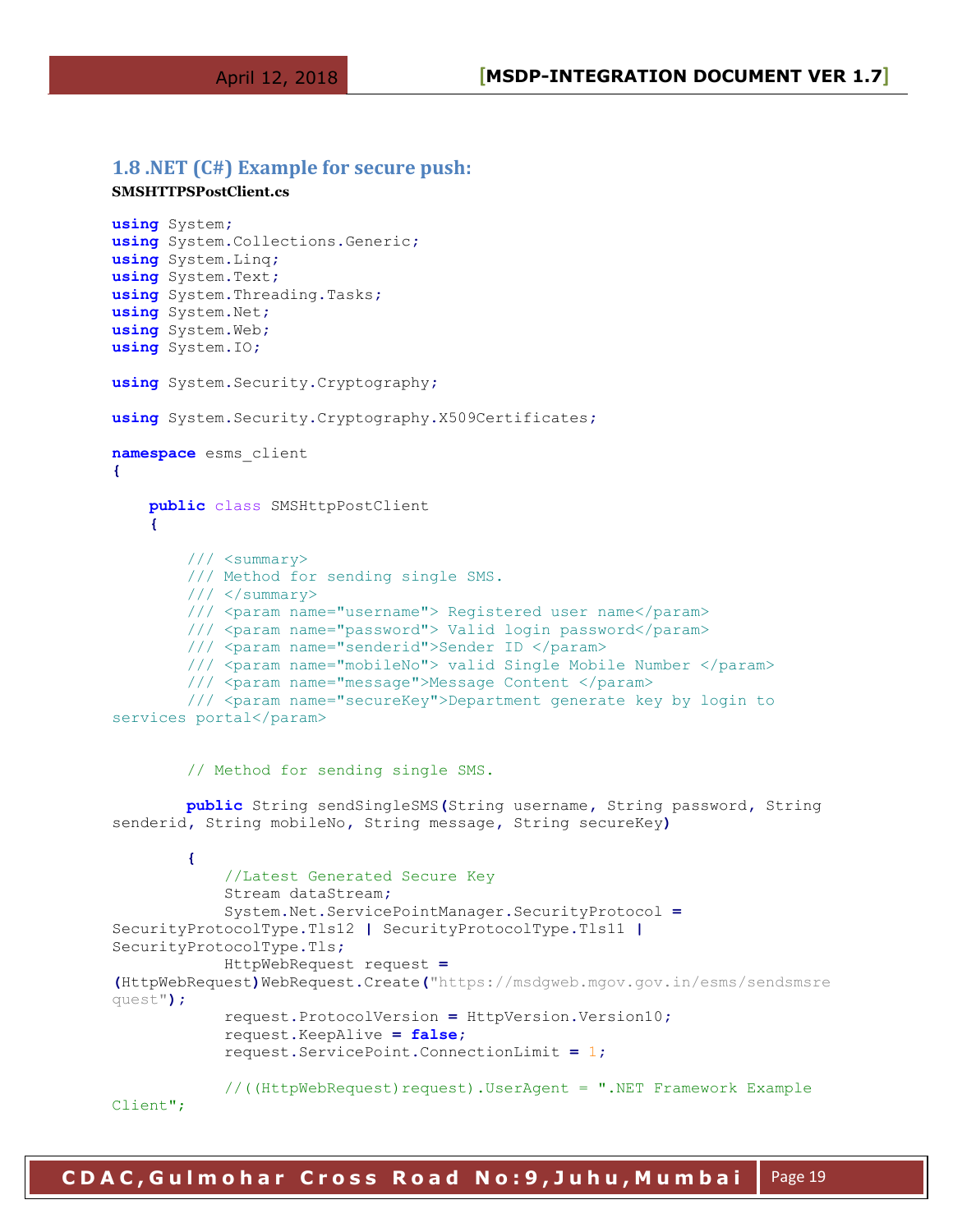#### <span id="page-18-0"></span>**1.8 .NET (C#) Example for secure push:**

#### **SMSHTTPSPostClient.cs**

```
using System;
using System.Collections.Generic;
using System.Linq;
using System.Text;
using System.Threading.Tasks;
using System.Net;
using System.Web;
using System.IO;
using System.Security.Cryptography;
using System.Security.Cryptography.X509Certificates;
namespace esms_client
{
    public class SMSHttpPostClient
     {
         /// <summary>
         /// Method for sending single SMS.
        // / </summary>
         /// <param name="username"> Registered user name</param>
         /// <param name="password"> Valid login password</param>
         /// <param name="senderid">Sender ID </param>
         /// <param name="mobileNo"> valid Single Mobile Number </param>
         /// <param name="message">Message Content </param>
         /// <param name="secureKey">Department generate key by login to
services portal</param>
         // Method for sending single SMS.
         public String sendSingleSMS(String username, String password, String 
senderid, String mobileNo, String message, String secureKey)
 {
             //Latest Generated Secure Key
             Stream dataStream;
             System.Net.ServicePointManager.SecurityProtocol =
SecurityProtocolType.Tls12 | SecurityProtocolType.Tls11 |
SecurityProtocolType.Tls;
             HttpWebRequest request =
(HttpWebRequest)WebRequest.Create("https://msdgweb.mgov.gov.in/esms/sendsmsre
quest");
             request.ProtocolVersion = HttpVersion.Version10;
             request.KeepAlive = false;
             request.ServicePoint.ConnectionLimit = 1;
             //((HttpWebRequest)request).UserAgent = ".NET Framework Example 
Client";
```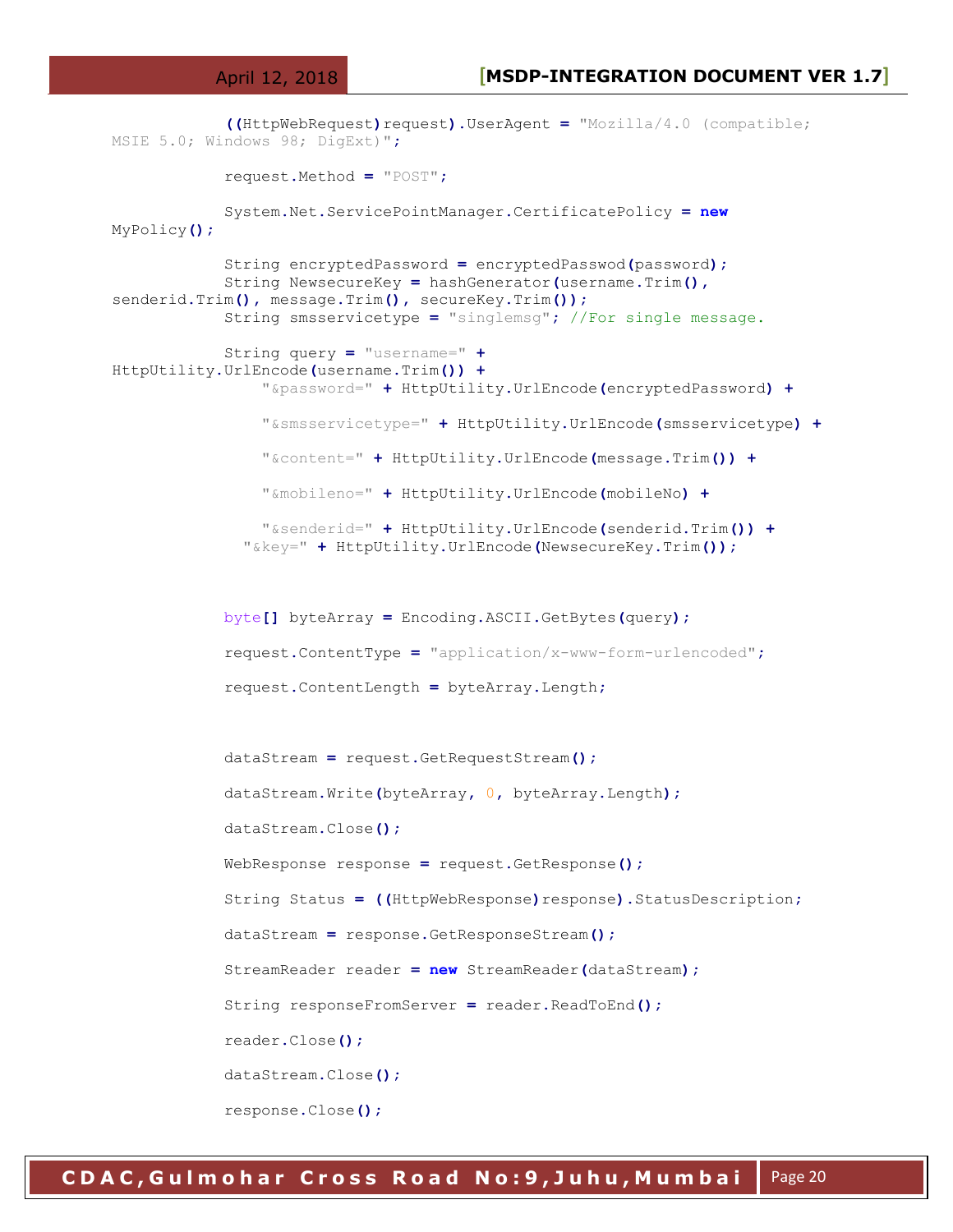```
 ((HttpWebRequest)request).UserAgent = "Mozilla/4.0 (compatible; 
MSIE 5.0; Windows 98; DigExt)";
             request.Method = "POST";
             System.Net.ServicePointManager.CertificatePolicy = new
MyPolicy();
             String encryptedPassword = encryptedPasswod(password);
             String NewsecureKey = hashGenerator(username.Trim(),
senderid.Trim(), message.Trim(), secureKey.Trim());
             String smsservicetype = "singlemsg"; //For single message.
             String query = "username=" +
HttpUtility.UrlEncode(username.Trim()) +
                 "&password=" + HttpUtility.UrlEncode(encryptedPassword) +
                 "&smsservicetype=" + HttpUtility.UrlEncode(smsservicetype) +
                 "&content=" + HttpUtility.UrlEncode(message.Trim()) +
                 "&mobileno=" + HttpUtility.UrlEncode(mobileNo) +
                 "&senderid=" + HttpUtility.UrlEncode(senderid.Trim()) +
               "&key=" + HttpUtility.UrlEncode(NewsecureKey.Trim());
             byte[] byteArray = Encoding.ASCII.GetBytes(query);
             request.ContentType = "application/x-www-form-urlencoded";
             request.ContentLength = byteArray.Length;
             dataStream = request.GetRequestStream();
             dataStream.Write(byteArray, 0, byteArray.Length);
             dataStream.Close();
             WebResponse response = request.GetResponse();
             String Status = ((HttpWebResponse)response).StatusDescription;
             dataStream = response.GetResponseStream();
             StreamReader reader = new StreamReader(dataStream);
             String responseFromServer = reader.ReadToEnd();
             reader.Close();
             dataStream.Close();
             response.Close();
```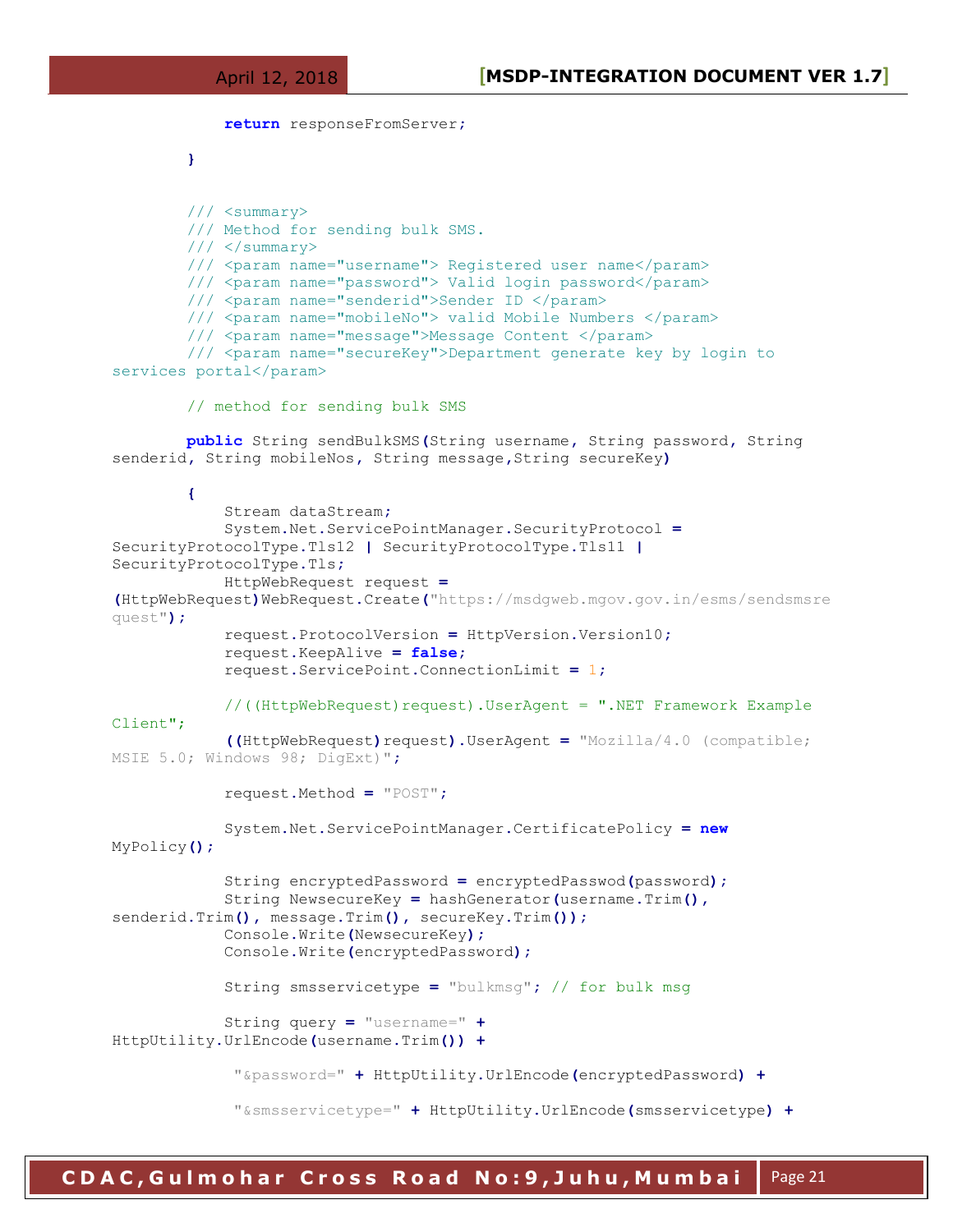```
 return responseFromServer;
 }
         /// <summary>
         /// Method for sending bulk SMS.
         /// </summary>
         /// <param name="username"> Registered user name</param>
         /// <param name="password"> Valid login password</param>
         /// <param name="senderid">Sender ID </param>
         /// <param name="mobileNo"> valid Mobile Numbers </param>
         /// <param name="message">Message Content </param>
         /// <param name="secureKey">Department generate key by login to 
services portal</param>
         // method for sending bulk SMS
         public String sendBulkSMS(String username, String password, String 
senderid, String mobileNos, String message,String secureKey)
 {
             Stream dataStream;
             System.Net.ServicePointManager.SecurityProtocol =
SecurityProtocolType.Tls12 | SecurityProtocolType.Tls11 |
SecurityProtocolType.Tls;
             HttpWebRequest request =
(HttpWebRequest)WebRequest.Create("https://msdgweb.mgov.gov.in/esms/sendsmsre
quest");
             request.ProtocolVersion = HttpVersion.Version10;
             request.KeepAlive = false;
             request.ServicePoint.ConnectionLimit = 1;
             //((HttpWebRequest)request).UserAgent = ".NET Framework Example 
Client";
             ((HttpWebRequest)request).UserAgent = "Mozilla/4.0 (compatible; 
MSIE 5.0; Windows 98; DigExt)";
             request.Method = "POST";
             System.Net.ServicePointManager.CertificatePolicy = new
MyPolicy();
             String encryptedPassword = encryptedPasswod(password);
             String NewsecureKey = hashGenerator(username.Trim(),
senderid.Trim(), message.Trim(), secureKey.Trim());
             Console.Write(NewsecureKey);
             Console.Write(encryptedPassword);
             String smsservicetype = "bulkmsg"; // for bulk msg
             String query = "username=" +
HttpUtility.UrlEncode(username.Trim()) +
              "&password=" + HttpUtility.UrlEncode(encryptedPassword) +
              "&smsservicetype=" + HttpUtility.UrlEncode(smsservicetype) +
```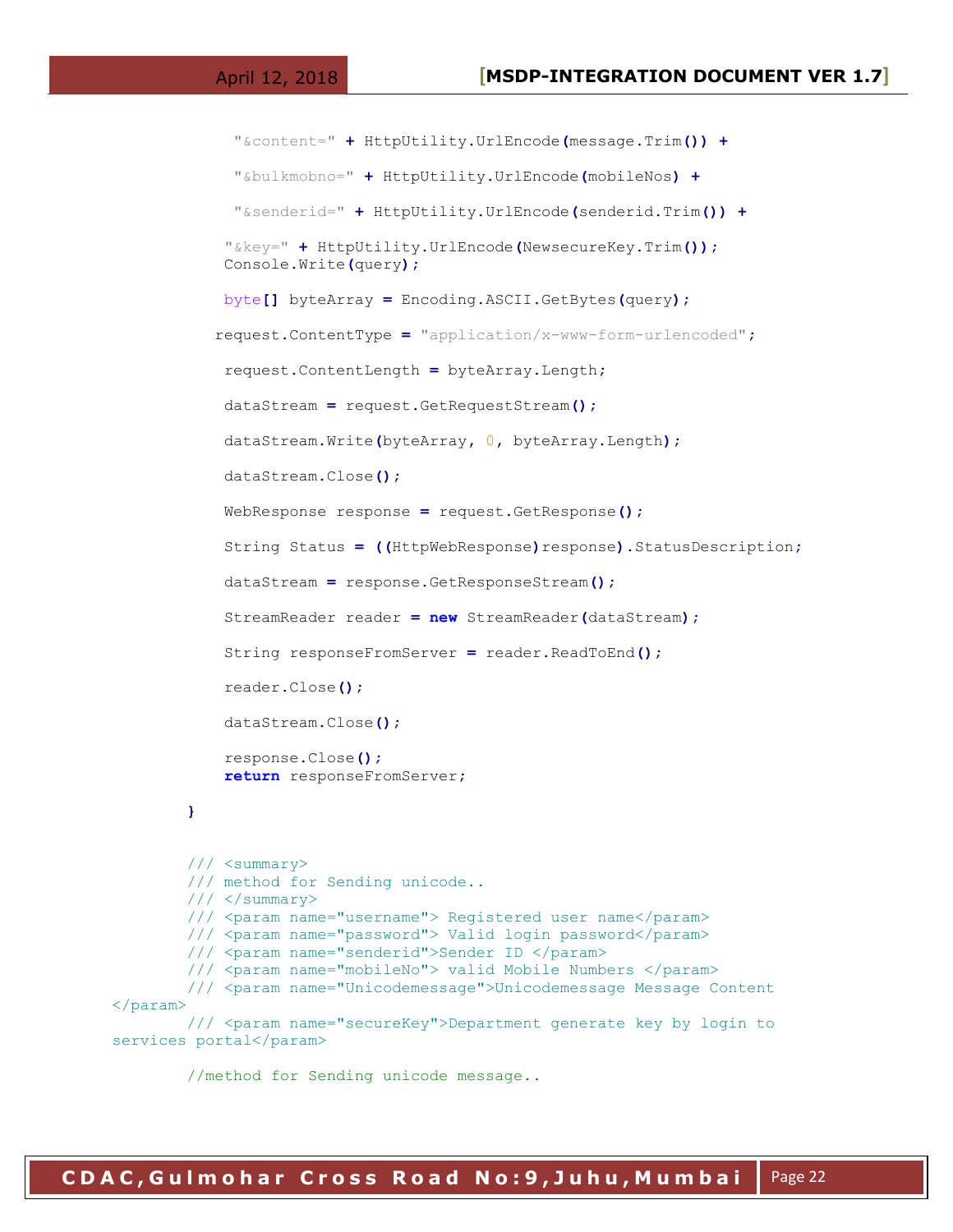```
 "&content=" + HttpUtility.UrlEncode(message.Trim()) +
              "&bulkmobno=" + HttpUtility.UrlEncode(mobileNos) +
              "&senderid=" + HttpUtility.UrlEncode(senderid.Trim()) +
             "&key=" + HttpUtility.UrlEncode(NewsecureKey.Trim());
             Console.Write(query);
             byte[] byteArray = Encoding.ASCII.GetBytes(query);
            request.ContentType = "application/x-www-form-urlencoded";
             request.ContentLength = byteArray.Length;
             dataStream = request.GetRequestStream();
             dataStream.Write(byteArray, 0, byteArray.Length);
             dataStream.Close();
             WebResponse response = request.GetResponse();
             String Status = ((HttpWebResponse)response).StatusDescription;
             dataStream = response.GetResponseStream();
             StreamReader reader = new StreamReader(dataStream);
             String responseFromServer = reader.ReadToEnd();
             reader.Close();
             dataStream.Close();
             response.Close();
             return responseFromServer;
         }
         /// <summary>
         /// method for Sending unicode..
         /// </summary>
         /// <param name="username"> Registered user name</param>
         /// <param name="password"> Valid login password</param>
         /// <param name="senderid">Sender ID </param>
         /// <param name="mobileNo"> valid Mobile Numbers </param>
         /// <param name="Unicodemessage">Unicodemessage Message Content 
</param>
         /// <param name="secureKey">Department generate key by login to 
services portal</param>
```
//method for Sending unicode message..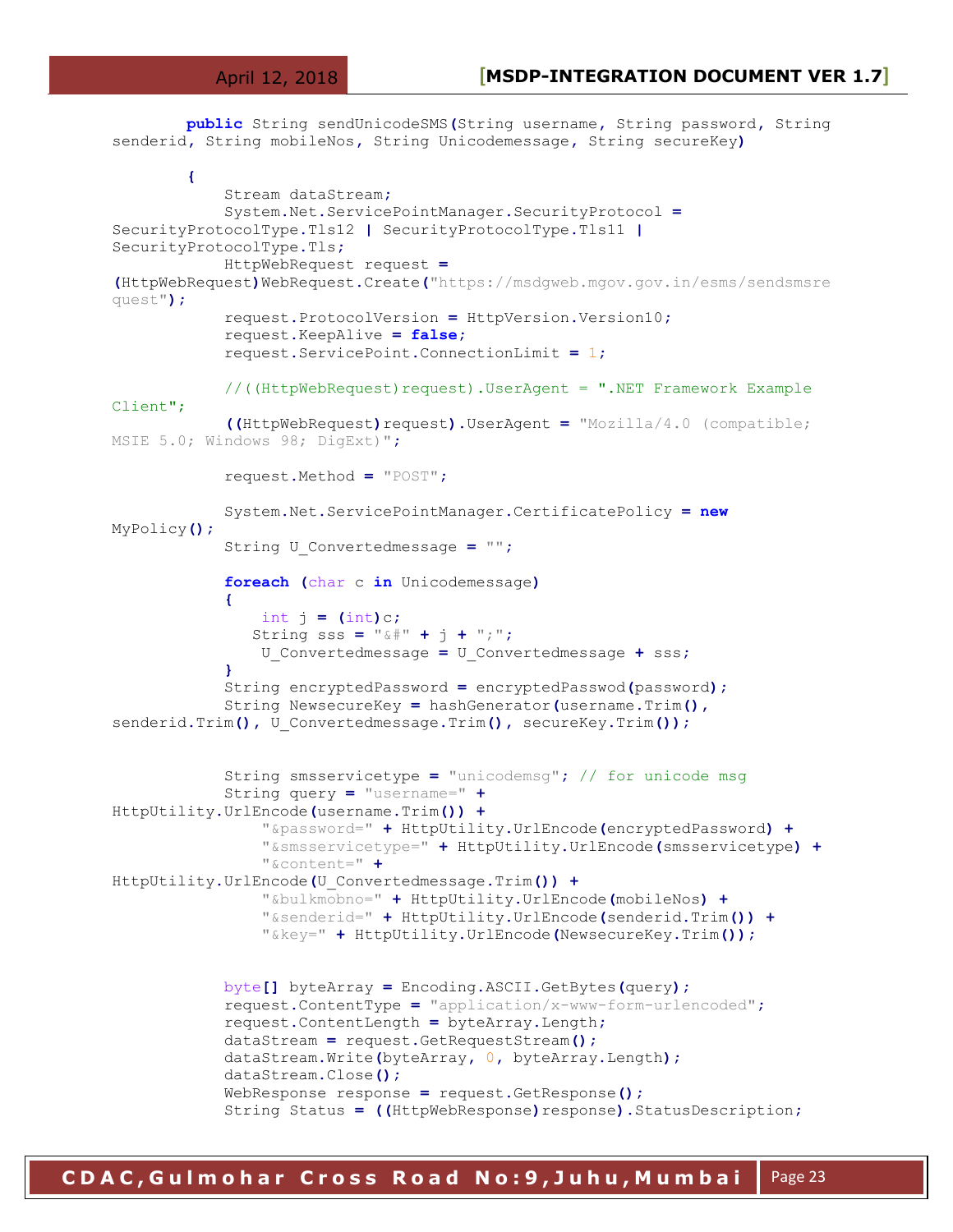**public** String sendUnicodeSMS**(**String username**,** String password**,** String senderid**,** String mobileNos**,** String Unicodemessage**,** String secureKey**) {** Stream dataStream**;** System**.**Net**.**ServicePointManager**.**SecurityProtocol **=** SecurityProtocolType**.**Tls12 **|** SecurityProtocolType**.**Tls11 **|** SecurityProtocolType**.**Tls**;** HttpWebRequest request **= (**HttpWebRequest**)**WebRequest**.**Create**(**"https://msdgweb.mgov.gov.in/esms/sendsmsre quest"**);** request**.**ProtocolVersion **=** HttpVersion**.**Version10**;** request**.**KeepAlive **= false;** request**.**ServicePoint**.**ConnectionLimit **=** 1**;** //((HttpWebRequest)request).UserAgent = ".NET Framework Example Client"; **((**HttpWebRequest**)**request**).**UserAgent **=** "Mozilla/4.0 (compatible; MSIE 5.0; Windows 98; DigExt)"**;** request**.**Method **=** "POST"**;** System**.**Net**.**ServicePointManager**.**CertificatePolicy **= new** MyPolicy**();** String U\_Convertedmessage **=** ""**; foreach (**char c **in** Unicodemessage**) {** int  $j = (int)c$ ; String sss =  $"\&\|$  +  $\|$  +  $\|$  +  $"\;$ ; "; U\_Convertedmessage **=** U\_Convertedmessage **+** sss**; }** String encryptedPassword **=** encryptedPasswod**(**password**);** String NewsecureKey **=** hashGenerator**(**username**.**Trim**(),** senderid**.**Trim**(),** U\_Convertedmessage**.**Trim**(),** secureKey**.**Trim**());** String smsservicetype **=** "unicodemsg"**;** // for unicode msg String query **=** "username=" **+** HttpUtility**.**UrlEncode**(**username**.**Trim**()) +** "&password=" **+** HttpUtility**.**UrlEncode**(**encryptedPassword**) +** "&smsservicetype=" **+** HttpUtility**.**UrlEncode**(**smsservicetype**) +** "&content=" **+** HttpUtility**.**UrlEncode**(**U\_Convertedmessage**.**Trim**()) +** "&bulkmobno=" **+** HttpUtility**.**UrlEncode**(**mobileNos**) +** "&senderid=" **+** HttpUtility**.**UrlEncode**(**senderid**.**Trim**()) +** "&key=" **+** HttpUtility**.**UrlEncode**(**NewsecureKey**.**Trim**());** byte**[]** byteArray **=** Encoding**.**ASCII**.**GetBytes**(**query**);** request**.**ContentType **=** "application/x-www-form-urlencoded"**;** request**.**ContentLength **=** byteArray**.**Length**;** dataStream **=** request**.**GetRequestStream**();** dataStream**.**Write**(**byteArray**,** 0**,** byteArray**.**Length**);** dataStream**.**Close**();** WebResponse response **=** request**.**GetResponse**();**

String Status **= ((**HttpWebResponse**)**response**).**StatusDescription**;**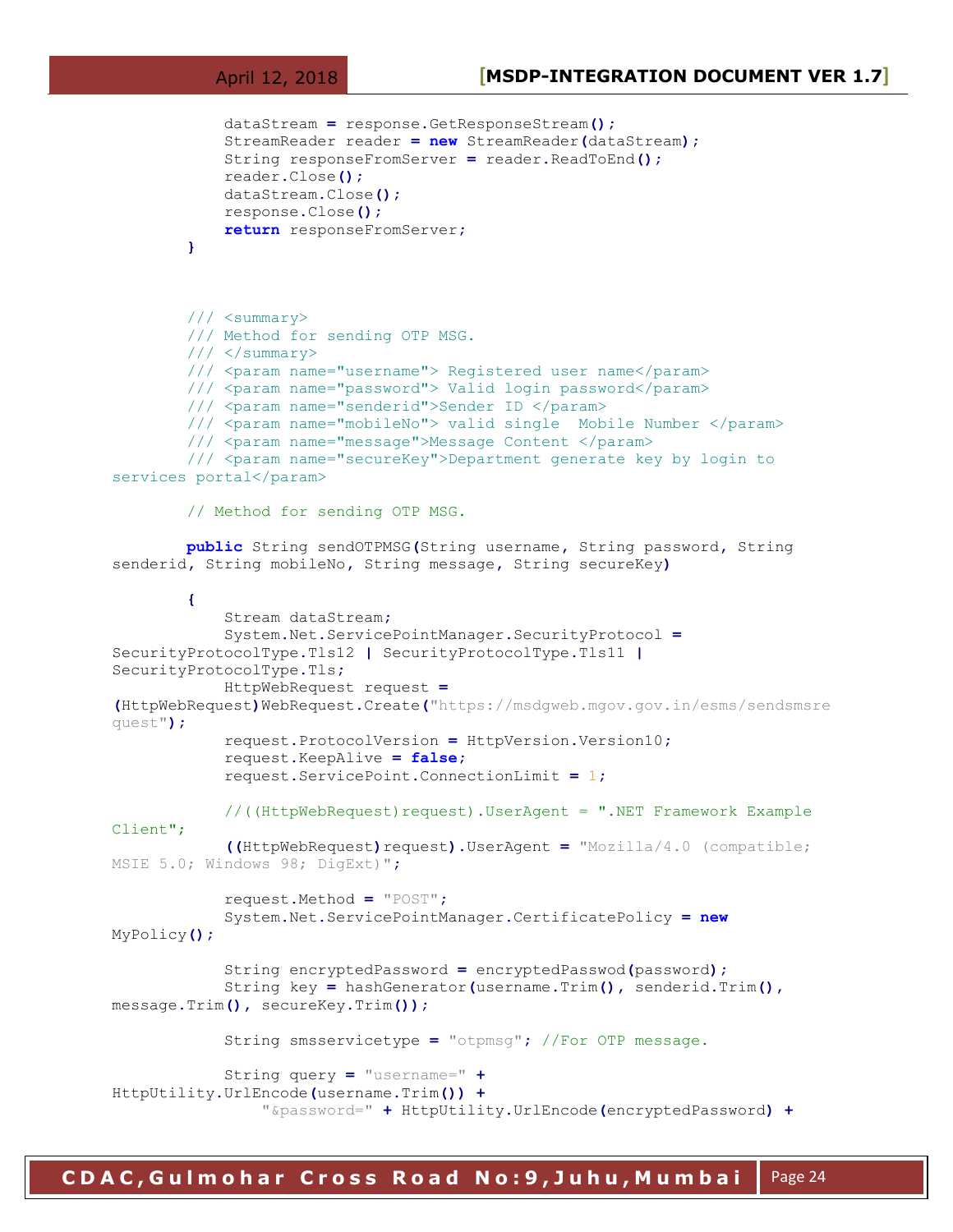```
 dataStream = response.GetResponseStream();
             StreamReader reader = new StreamReader(dataStream);
             String responseFromServer = reader.ReadToEnd();
             reader.Close();
             dataStream.Close();
             response.Close();
             return responseFromServer;
         }
         /// <summary>
         /// Method for sending OTP MSG.
         /// </summary>
         /// <param name="username"> Registered user name</param>
         /// <param name="password"> Valid login password</param>
         /// <param name="senderid">Sender ID </param>
         /// <param name="mobileNo"> valid single Mobile Number </param>
         /// <param name="message">Message Content </param>
         /// <param name="secureKey">Department generate key by login to 
services portal</param>
         // Method for sending OTP MSG.
         public String sendOTPMSG(String username, String password, String 
senderid, String mobileNo, String message, String secureKey)
         {
             Stream dataStream;
             System.Net.ServicePointManager.SecurityProtocol =
SecurityProtocolType.Tls12 | SecurityProtocolType.Tls11 |
SecurityProtocolType.Tls;
             HttpWebRequest request =
(HttpWebRequest)WebRequest.Create("https://msdgweb.mgov.gov.in/esms/sendsmsre
quest");
             request.ProtocolVersion = HttpVersion.Version10;
             request.KeepAlive = false;
             request.ServicePoint.ConnectionLimit = 1;
             //((HttpWebRequest)request).UserAgent = ".NET Framework Example 
Client";
             ((HttpWebRequest)request).UserAgent = "Mozilla/4.0 (compatible; 
MSIE 5.0; Windows 98; DigExt)";
             request.Method = "POST";
             System.Net.ServicePointManager.CertificatePolicy = new
MyPolicy();
             String encryptedPassword = encryptedPasswod(password);
             String key = hashGenerator(username.Trim(), senderid.Trim(),
message.Trim(), secureKey.Trim());
             String smsservicetype = "otpmsg"; //For OTP message.
             String query = "username=" +
HttpUtility.UrlEncode(username.Trim()) +
                 "&password=" + HttpUtility.UrlEncode(encryptedPassword) +
```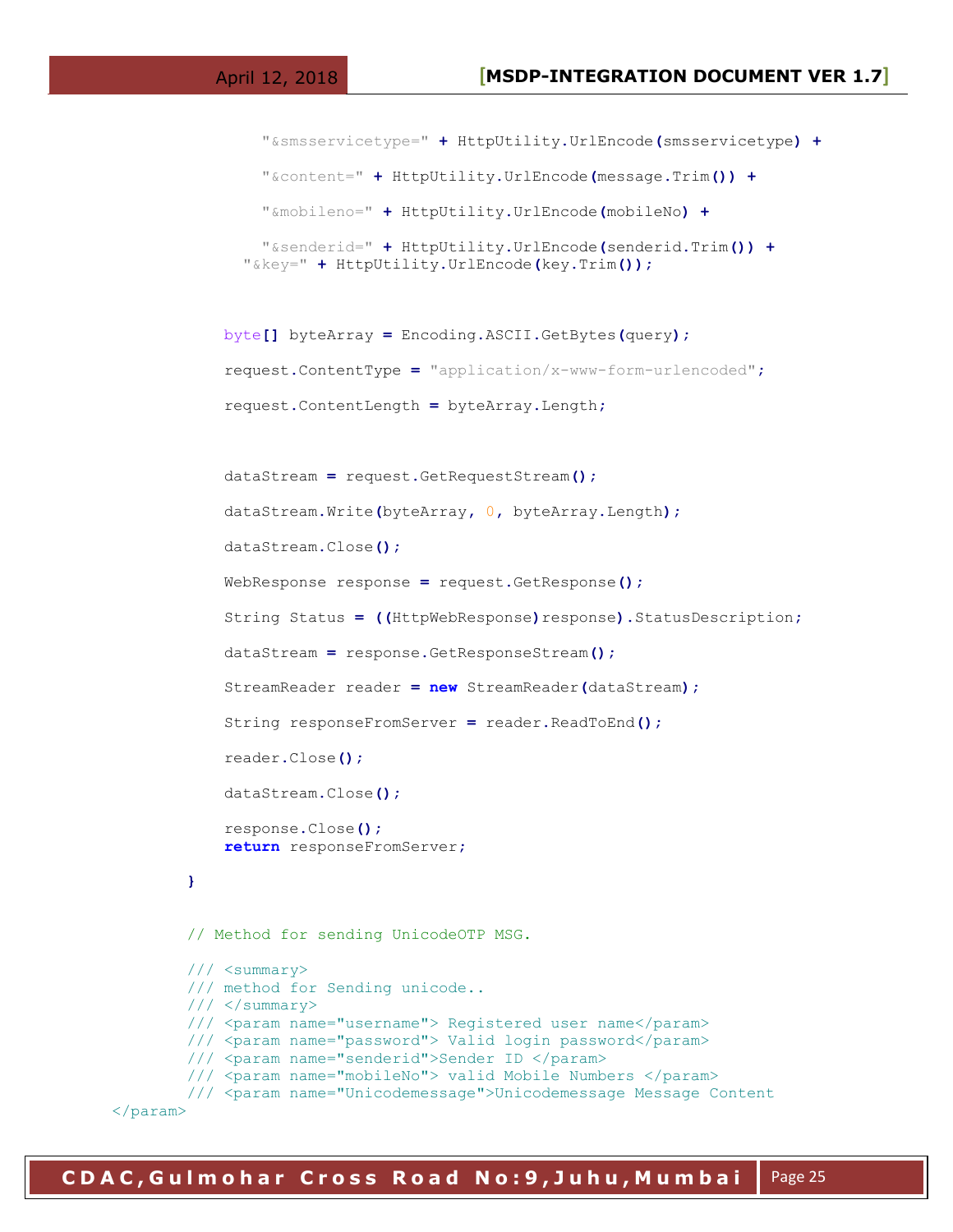```
 "&smsservicetype=" + HttpUtility.UrlEncode(smsservicetype) +
     "&content=" + HttpUtility.UrlEncode(message.Trim()) +
     "&mobileno=" + HttpUtility.UrlEncode(mobileNo) +
     "&senderid=" + HttpUtility.UrlEncode(senderid.Trim()) +
   "&key=" + HttpUtility.UrlEncode(key.Trim());
 byte[] byteArray = Encoding.ASCII.GetBytes(query);
 request.ContentType = "application/x-www-form-urlencoded";
 request.ContentLength = byteArray.Length;
```

```
 dataStream = request.GetRequestStream();
     dataStream.Write(byteArray, 0, byteArray.Length);
     dataStream.Close();
     WebResponse response = request.GetResponse();
     String Status = ((HttpWebResponse)response).StatusDescription;
     dataStream = response.GetResponseStream();
     StreamReader reader = new StreamReader(dataStream);
     String responseFromServer = reader.ReadToEnd();
     reader.Close();
    dataStream.Close();
     response.Close();
     return responseFromServer;
 }
 // Method for sending UnicodeOTP MSG.
 /// <summary>
 /// method for Sending unicode..
// / </summary>
 /// <param name="username"> Registered user name</param>
 /// <param name="password"> Valid login password</param>
/// <param name="senderid">Sender ID </param>
 /// <param name="mobileNo"> valid Mobile Numbers </param>
 /// <param name="Unicodemessage">Unicodemessage Message Content
```
</param>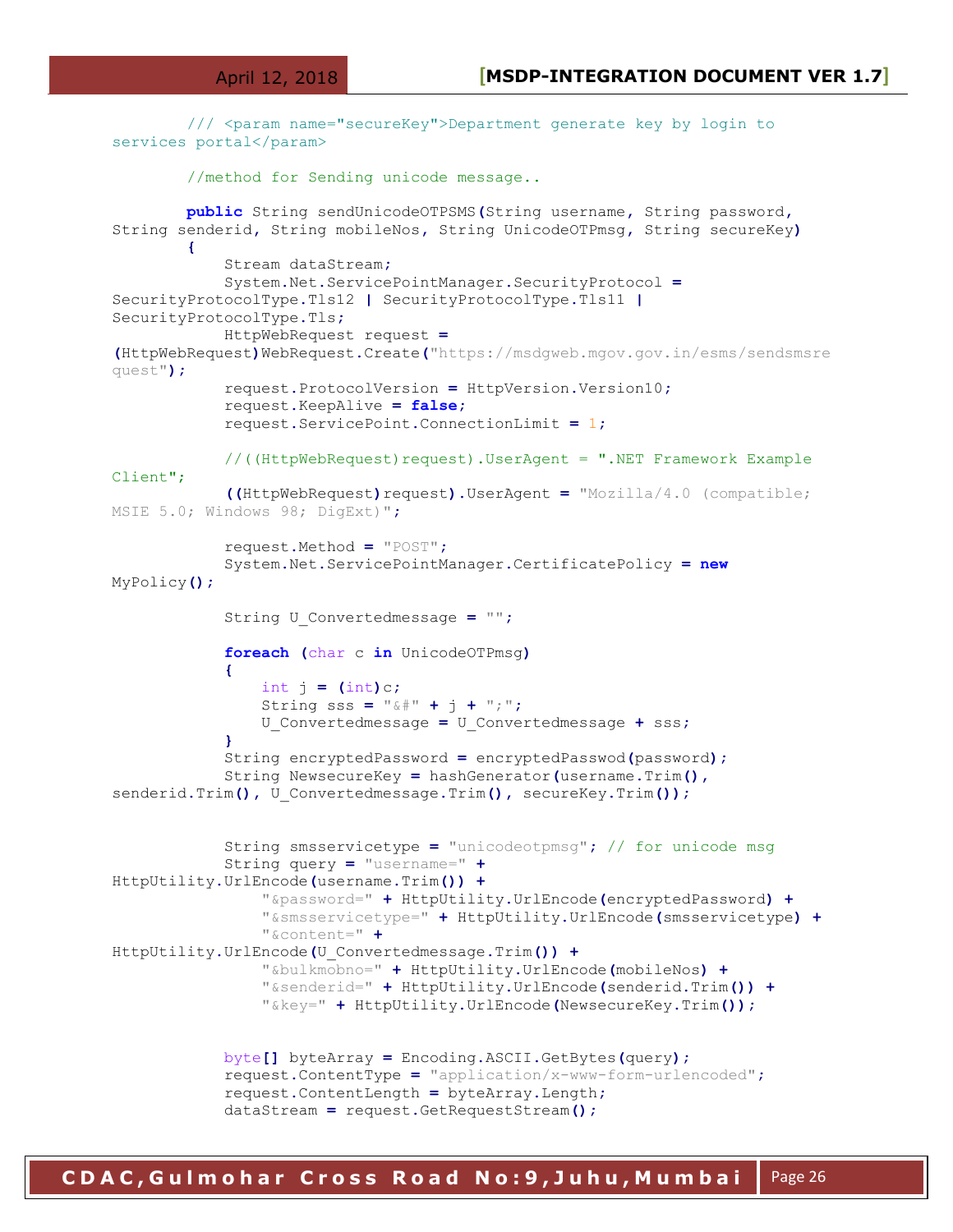```
 /// <param name="secureKey">Department generate key by login to 
services portal</param>
         //method for Sending unicode message..
         public String sendUnicodeOTPSMS(String username, String password,
String senderid, String mobileNos, String UnicodeOTPmsg, String secureKey)
 {
             Stream dataStream;
             System.Net.ServicePointManager.SecurityProtocol =
SecurityProtocolType.Tls12 | SecurityProtocolType.Tls11 |
SecurityProtocolType.Tls;
             HttpWebRequest request =
(HttpWebRequest)WebRequest.Create("https://msdgweb.mgov.gov.in/esms/sendsmsre
quest");
             request.ProtocolVersion = HttpVersion.Version10;
             request.KeepAlive = false;
             request.ServicePoint.ConnectionLimit = 1;
             //((HttpWebRequest)request).UserAgent = ".NET Framework Example 
Client";
             ((HttpWebRequest)request).UserAgent = "Mozilla/4.0 (compatible; 
MSIE 5.0; Windows 98; DigExt)";
             request.Method = "POST";
             System.Net.ServicePointManager.CertificatePolicy = new
MyPolicy();
             String U_Convertedmessage = "";
             foreach (char c in UnicodeOTPmsg)
 {
                int \ i = \frac{\ln t}{c};
                 String sss = "&#" + j + ";";
                 U_Convertedmessage = U_Convertedmessage + sss;
 }
             String encryptedPassword = encryptedPasswod(password);
             String NewsecureKey = hashGenerator(username.Trim(),
senderid.Trim(), U_Convertedmessage.Trim(), secureKey.Trim());
             String smsservicetype = "unicodeotpmsg"; // for unicode msg
             String query = "username=" +
HttpUtility.UrlEncode(username.Trim()) +
                 "&password=" + HttpUtility.UrlEncode(encryptedPassword) +
                 "&smsservicetype=" + HttpUtility.UrlEncode(smsservicetype) +
                 "&content=" +
HttpUtility.UrlEncode(U_Convertedmessage.Trim()) +
                 "&bulkmobno=" + HttpUtility.UrlEncode(mobileNos) +
                 "&senderid=" + HttpUtility.UrlEncode(senderid.Trim()) +
                 "&key=" + HttpUtility.UrlEncode(NewsecureKey.Trim());
             byte[] byteArray = Encoding.ASCII.GetBytes(query);
             request.ContentType = "application/x-www-form-urlencoded";
             request.ContentLength = byteArray.Length;
             dataStream = request.GetRequestStream();
```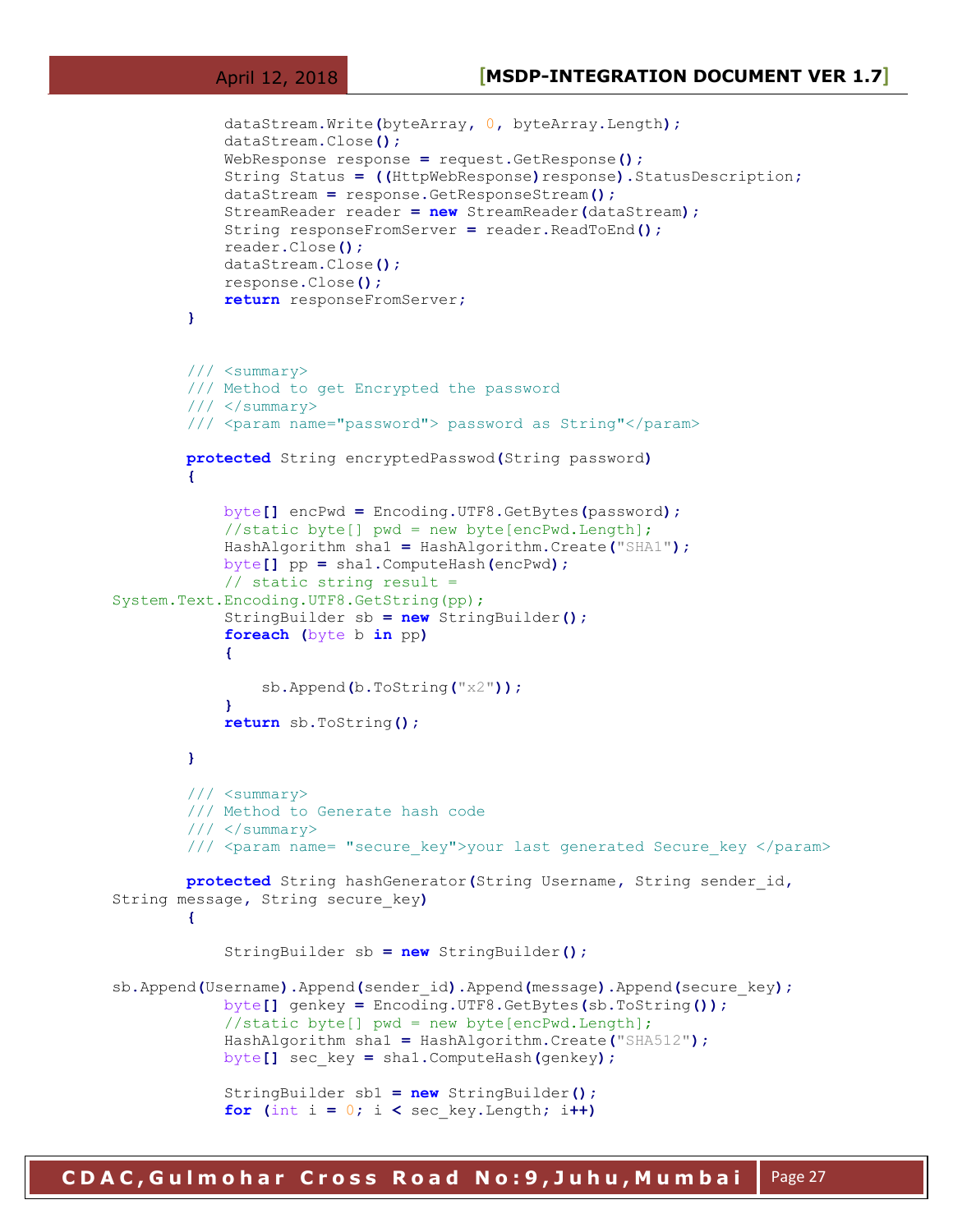```
 dataStream.Write(byteArray, 0, byteArray.Length);
             dataStream.Close();
             WebResponse response = request.GetResponse();
             String Status = ((HttpWebResponse)response).StatusDescription;
             dataStream = response.GetResponseStream();
             StreamReader reader = new StreamReader(dataStream);
             String responseFromServer = reader.ReadToEnd();
             reader.Close();
             dataStream.Close();
             response.Close();
             return responseFromServer;
 }
         /// <summary>
         /// Method to get Encrypted the password 
        // / </summary>
         /// <param name="password"> password as String"</param>
         protected String encryptedPasswod(String password)
 {
             byte[] encPwd = Encoding.UTF8.GetBytes(password);
             //static byte[] pwd = new byte[encPwd.Length];
             HashAlgorithm sha1 = HashAlgorithm.Create("SHA1");
             byte[] pp = sha1.ComputeHash(encPwd);
             // static string result = 
System.Text.Encoding.UTF8.GetString(pp);
             StringBuilder sb = new StringBuilder();
             foreach (byte b in pp)
 {
                 sb.Append(b.ToString("x2"));
 }
             return sb.ToString();
         }
         /// <summary>
         /// Method to Generate hash code 
        // / </summary>
        /// <param name= "secure key">your last generated Secure key </param>
        protected String hashGenerator(String Username, String sender_id,
String message, String secure_key)
         {
             StringBuilder sb = new StringBuilder();
sb.Append(Username).Append(sender_id).Append(message).Append(secure_key);
             byte[] genkey = Encoding.UTF8.GetBytes(sb.ToString());
            //static byte[] pwd = new byte[encPwd.length];
             HashAlgorithm sha1 = HashAlgorithm.Create("SHA512");
             byte[] sec_key = sha1.ComputeHash(genkey);
             StringBuilder sb1 = new StringBuilder();
            for (int i = 0; i \leq sec key. Length; i+1)
```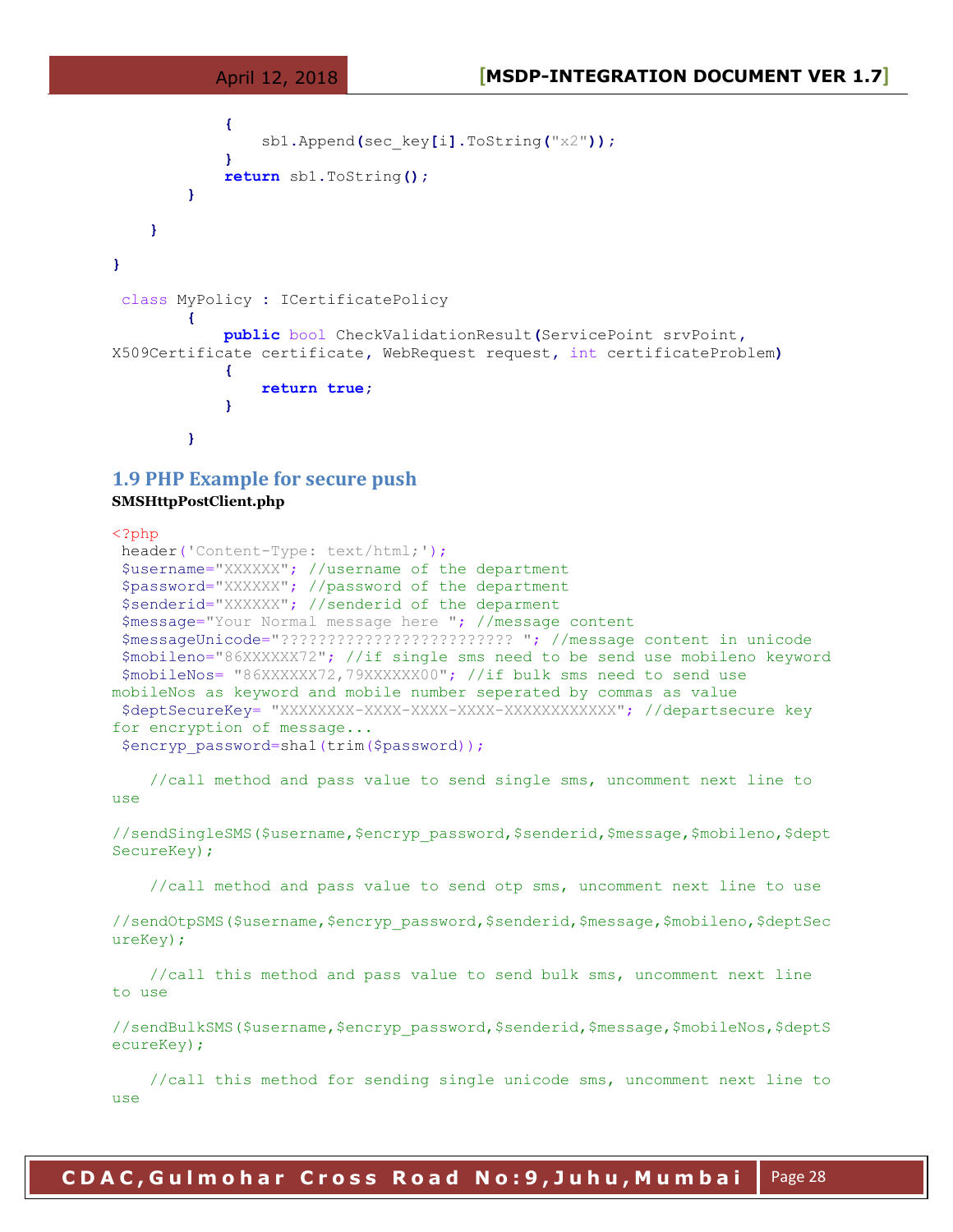```
 {
              sb1.Append(sec_key[i].ToString("x2"));
 }
           return sb1.ToString();
 }
    }
}
class MyPolicy : ICertificatePolicy
 {
           public bool CheckValidationResult(ServicePoint srvPoint,
X509Certificate certificate, WebRequest request, int certificateProblem)
 {
              return true;
 }
 }
```
#### **1.9 PHP Example for secure push**

#### **SMSHttpPostClient.php**

```
<?php
header('Content-Type: text/html;');
$username="XXXXXX"; //username of the department
 $password="XXXXXX"; //password of the department
 $senderid="XXXXXX"; //senderid of the deparment
 $message="Your Normal message here "; //message content
 $messageUnicode="????????????????????????? "; //message content in unicode
 $mobileno="86XXXXXX72"; //if single sms need to be send use mobileno keyword
 $mobileNos= "86XXXXXX72,79XXXXXX00"; //if bulk sms need to send use 
mobileNos as keyword and mobile number seperated by commas as value
 $deptSecureKey= "XXXXXXXX-XXXX-XXXX-XXXX-XXXXXXXXXXXX"; //departsecure key 
for encryption of message...
 $encryp_password=shal(trim($password));
```
 //call method and pass value to send single sms, uncomment next line to use

//sendSingleSMS(\$username,\$encryp\_password,\$senderid,\$message,\$mobileno,\$dept SecureKey);

//call method and pass value to send otp sms, uncomment next line to use

//sendOtpSMS(\$username,\$encryp\_password,\$senderid,\$message,\$mobileno,\$deptSec ureKey);

 //call this method and pass value to send bulk sms, uncomment next line to use

//sendBulkSMS(\$username, \$encryp\_password, \$senderid, \$message, \$mobileNos, \$deptS ecureKey);

 //call this method for sending single unicode sms, uncomment next line to use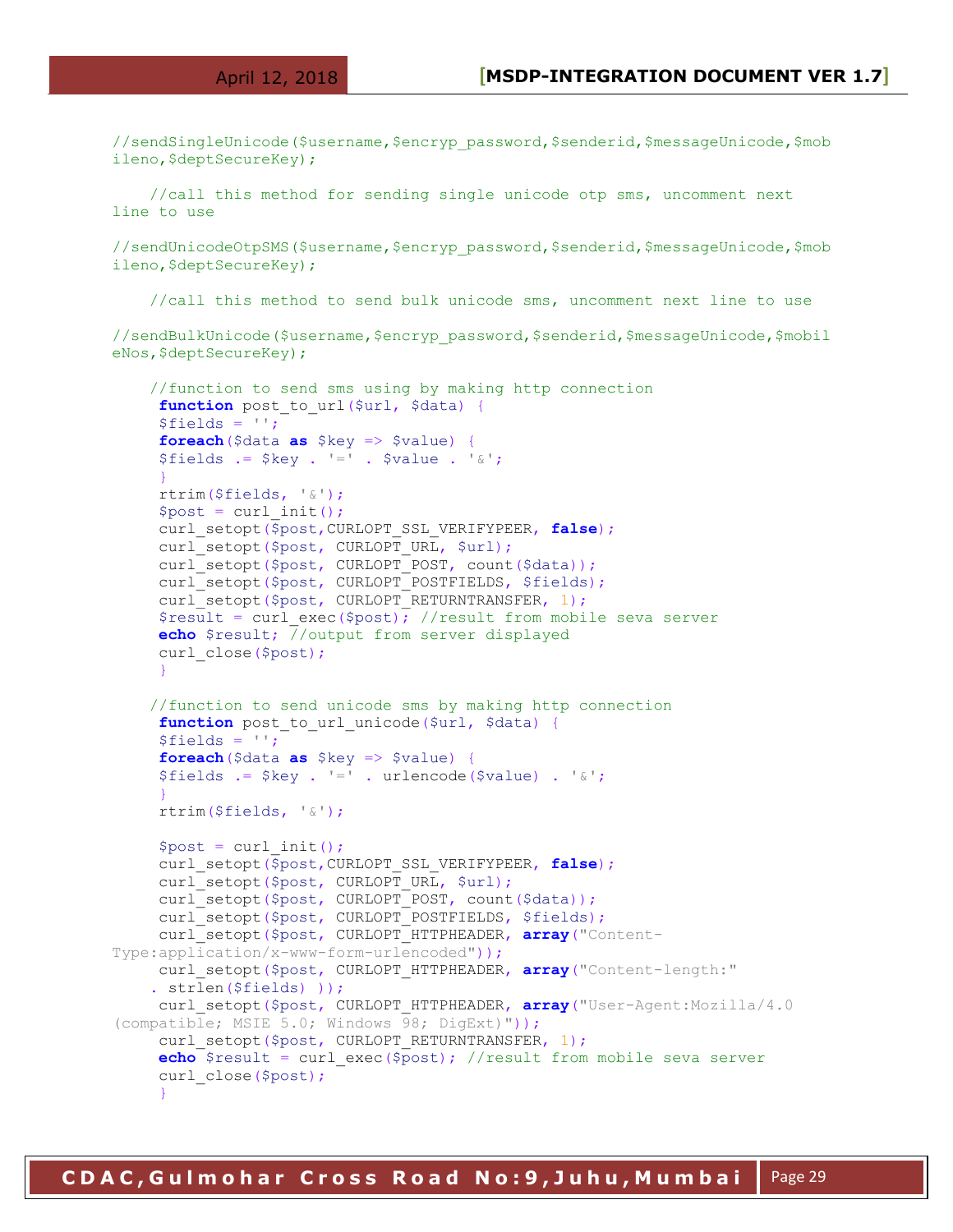//sendSingleUnicode(\$username,\$encryp\_password,\$senderid,\$messageUnicode,\$mob ileno, \$deptSecureKey);

 //call this method for sending single unicode otp sms, uncomment next line to use

//sendUnicodeOtpSMS(\$username,\$encryp\_password,\$senderid,\$messageUnicode,\$mob ileno, \$deptSecureKey);

//call this method to send bulk unicode sms, uncomment next line to use

//sendBulkUnicode(\$username,\$encryp\_password,\$senderid,\$messageUnicode,\$mobil eNos, \$deptSecureKey);

//function to send sms using by making http connection

```
function post to url($url, $data) {
     $fields = '';
     foreach($data as $key => $value) {
    $fields := $key : !=' : $value : '`': }
     rtrim($fields, '&');
    $post = curl init();
     curl_setopt($post,CURLOPT_SSL_VERIFYPEER, false);
    curl setopt($post, CURLOPT URL, $url);
    curl setopt($post, CURLOPT POST, count($data));
     curl setopt($post, CURLOPT POSTFIELDS, $fields);
    curl_setopt($post, CURLOPT_RETURNTRANSFER, 1);
    $result = curl exec($post); //result from mobile seva server
     echo $result; //output from server displayed
    curl_close($post);
 }
     //function to send unicode sms by making http connection
     function post to url unicode($url, $data) {
      $fields = '';
     foreach($data as $key => $value) {
    $fields := $key : !=' : urlencode ($value) : '`; }
     rtrim($fields, '&');
    $post = curl init(); curl_setopt($post,CURLOPT_SSL_VERIFYPEER, false);
    curl_setopt($post, CURLOPT_URL, $url);
    curl setopt($post, CURLOPT POST, count($data));
    curl setopt($post, CURLOPT POSTFIELDS, $fields);
     curl_setopt($post, CURLOPT_HTTPHEADER, array("Content-
Type:application/x-www-form-urlencoded"));
     curl_setopt($post, CURLOPT_HTTPHEADER, array("Content-length:"
     . strlen($fields) ));
    curl setopt($post, CURLOPT HTTPHEADER, array("User-Agent:Mozilla/4.0
(compatible; MSIE 5.0; Windows 98; DigExt)"));
     curl setopt($post, CURLOPT RETURNTRANSFER, 1);
      echo $result = curl_exec($post); //result from mobile seva server
     curl_close($post);
 }
```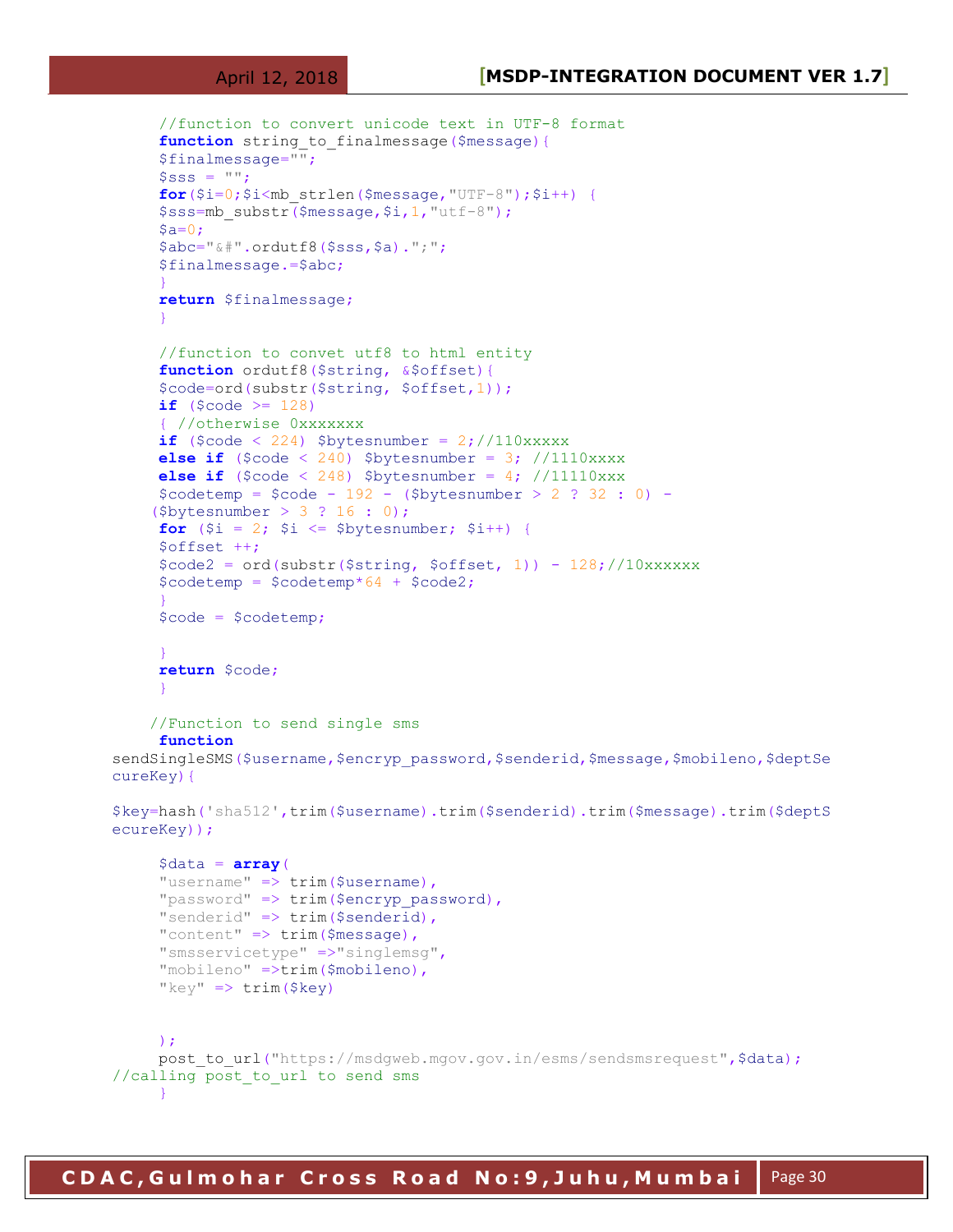```
 //function to convert unicode text in UTF-8 format
     function string to finalmessage($message){
      $finalmessage="";
     $SSS = "";for($i=0;$i<mb strlen($message, "UTF-8");$i++) {
      $sss=mb_substr($message,$i,1,"utf-8");
     Sa=0:
      $abc="&#".ordutf8($sss,$a).";";
      $finalmessage.=$abc;
 }
      return $finalmessage;
 }
      //function to convet utf8 to html entity
     function ordutf8($string, &$offset){
      $code=ord(substr($string, $offset,1));
     if ($code >= 128)
      { //otherwise 0xxxxxxx
     if ($code < 224) $bytesnumber = 2; //110xxxxx
     else if (\text{6code} < 240) \text{6by}tesnumber = 3; //1110xxxx
     else if (\text{%code} < 248) \text{%bytesnumber} = 4; //11110xxx$codetemp = $code - 192 - ($bytesnumber > 2 : 32 : 0) - ($bytesnumber > 3 ? 16 : 0);
     for (\hat{S}i = 2; \hat{S}i \leq \hat{S}bytesnumber; \hat{S}i++) {
      $offset ++;
     \text{Scode2 = ord(substr(\$string, \$offset, 1)) - 128; //10xxxxxx$codetemp = $codetemp*64 + $code2; }
      $code = $codetemp;
 }
      return $code;
      }
     //Function to send single sms
      function
sendSingleSMS($username, $encryp_password, $senderid, $message, $mobileno, $deptSe
cureKey){
$key=hash('sha512',trim($username).trim($senderid).trim($message).trim($deptS
ecureKey));
     \deltadata = \arctan(\theta)"username" \Rightarrow trim($username),
     "password" => trim($encryp password),
     "senderid" \Rightarrow trim($senderid),
     "content" \Rightarrow trim($message),
      "smsservicetype" =>"singlemsg",
      "mobileno" =>trim($mobileno),
     "key" \Rightarrow \text{trim}(\$key) );
     post to url("https://msdgweb.mgov.gov.in/esms/sendsmsrequest", $data);
//calling post to url to send sms
 }
```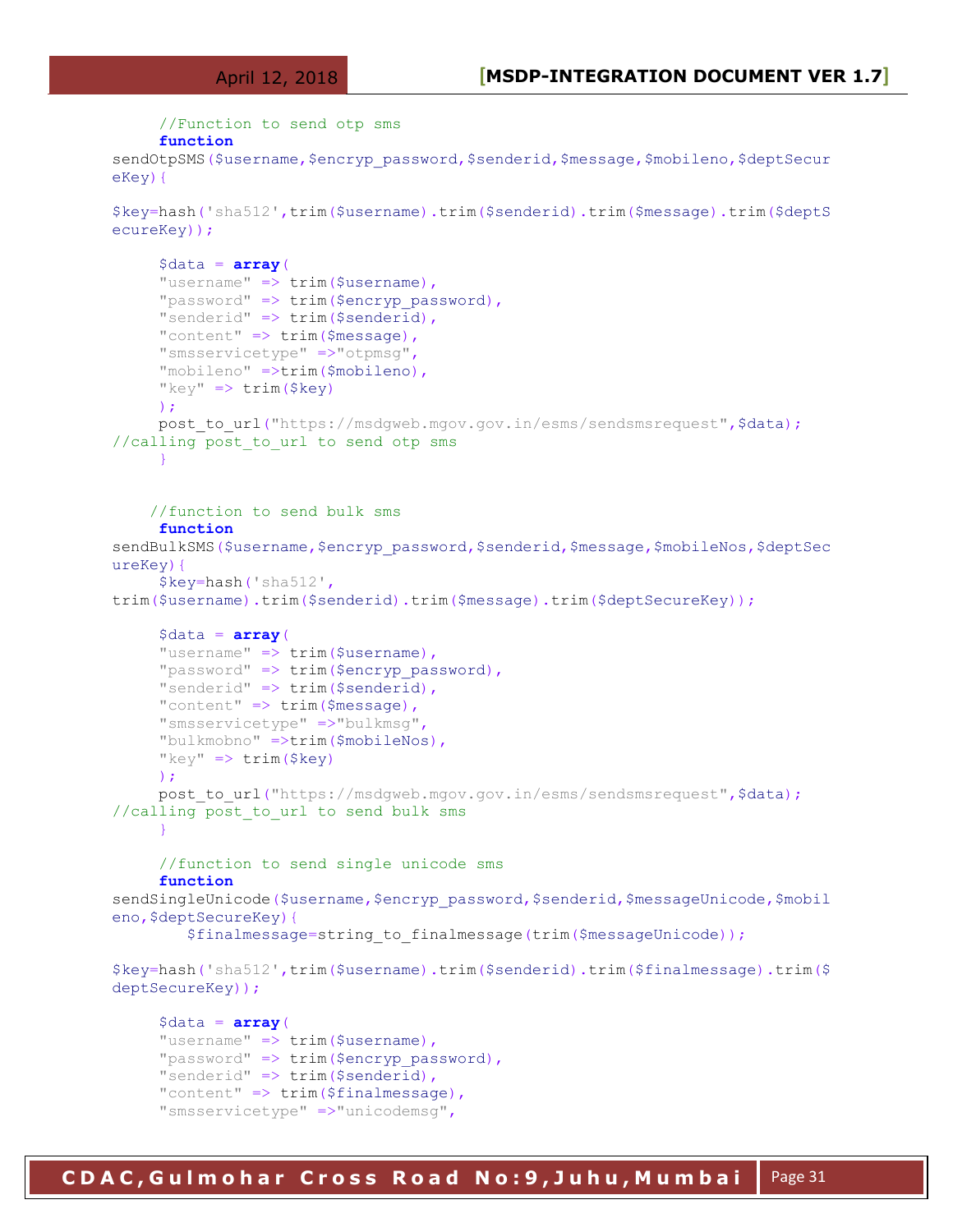```
 //Function to send otp sms
      function
sendOtpSMS($username, $encryp_password, $senderid, $message, $mobileno, $deptSecur
eKey){
$key=hash('sha512',trim($username).trim($senderid).trim($message).trim($deptS
ecureKey));
     \text{6data} = \text{array}"username" \Rightarrow trim($username),
     "password" \Rightarrow trim($encryp password),
     "senderid" \Rightarrow trim($senderid),
     "content" \Rightarrow trim($message),
      "smsservicetype" =>"otpmsg",
      "mobileno" =>trim($mobileno),
     "key" \Rightarrow \text{trim}(\$key) );
     post to url("https://msdqweb.mgov.gov.in/esms/sendsmsrequest", $data);
//calling post to url to send otp sms
      }
     //function to send bulk sms
      function
sendBulkSMS($username, $encryp_password, $senderid, $message, $mobileNos, $deptSec
ureKey){
      $key=hash('sha512',
trim($username).trim($senderid).trim($message).trim($deptSecureKey)); 
     \deltadata = array("username" \Rightarrow trim($username),
      "password" => trim($encryp_password),
      "senderid" => trim($senderid),
     "content" \Rightarrow trim($message),
      "smsservicetype" =>"bulkmsg",
      "bulkmobno" =>trim($mobileNos),
     "key" \Rightarrow \text{trim}(\$key) );
     post to url("https://msdgweb.mgov.gov.in/esms/sendsmsrequest", $data);
//calling post to url to send bulk sms
      }
      //function to send single unicode sms
      function
sendSingleUnicode($username,$encryp_password,$senderid,$messageUnicode,$mobil
eno, $deptSecureKey) {
          $finalmessage=string_to_finalmessage(trim($messageUnicode));
$key=hash('sha512',trim($username).trim($senderid).trim($finalmessage).trim($
deptSecureKey));
     \deltadata = \arctanv(
     "username" => trim($username),
      "password" => trim($encryp_password),
      "senderid" => trim($senderid),
     "content" => trim($finalmessage),
```
"smsservicetype" =>"unicodemsg",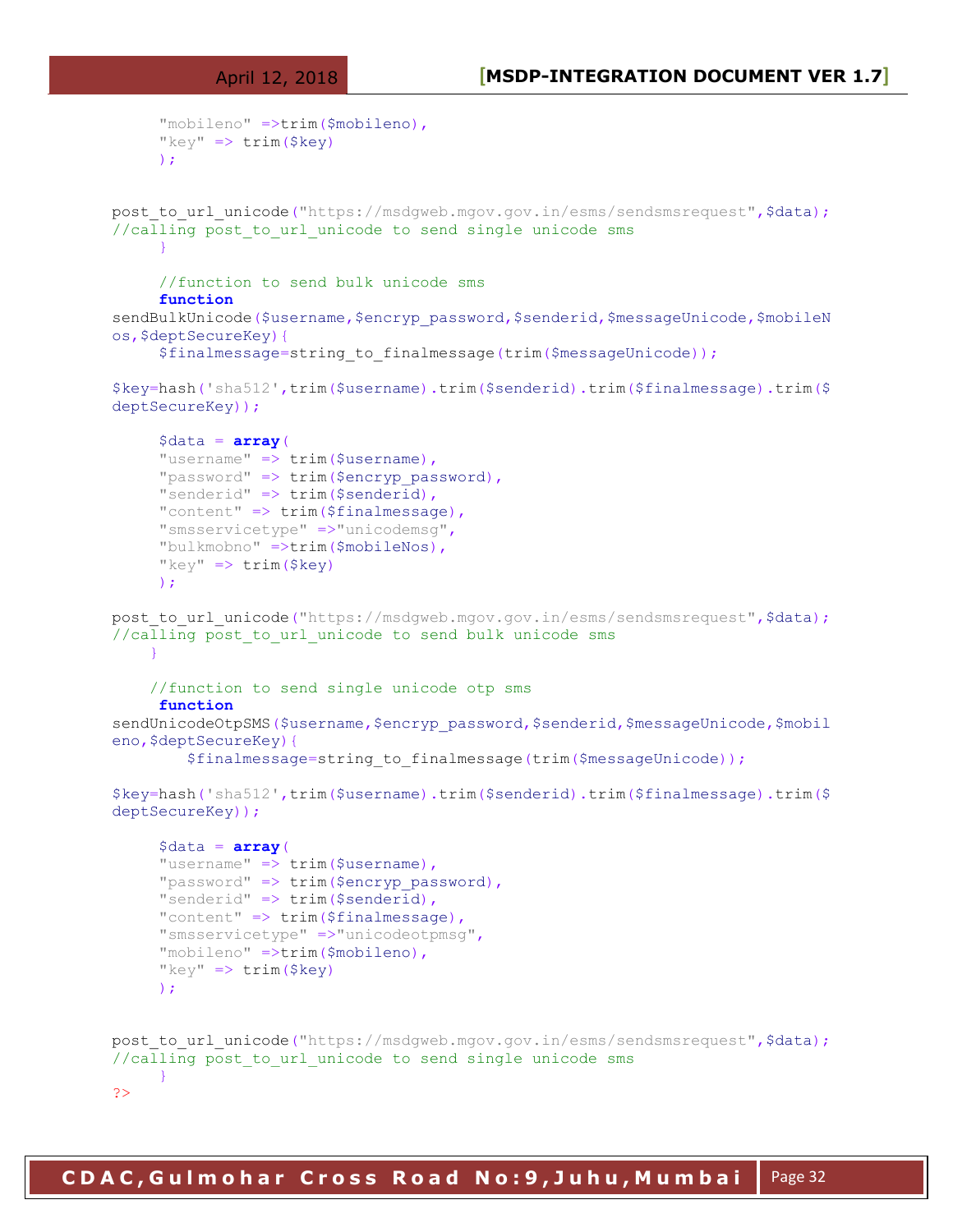```
 "mobileno" =>trim($mobileno),
     "key" \Rightarrow \text{trim}(\$key) );
post to url unicode("https://msdgweb.mgov.gov.in/esms/sendsmsrequest", $data);
//calling post to url unicode to send single unicode sms
 }
      //function to send bulk unicode sms
      function
sendBulkUnicode($username,$encryp_password,$senderid,$messageUnicode,$mobileN
os,$deptSecureKey){
      $finalmessage=string_to_finalmessage(trim($messageUnicode));
$key=hash('sha512',trim($username).trim($senderid).trim($finalmessage).trim($
deptSecureKey));
     \deltadata = array( "username" => trim($username),
     "password" => trim($encryp password),
      "senderid" => trim($senderid),
      "content" => trim($finalmessage),
      "smsservicetype" =>"unicodemsg",
      "bulkmobno" =>trim($mobileNos),
     "key" \Rightarrow trim($key)
      );
post to url unicode("https://msdqweb.mgov.gov.in/esms/sendsmsrequest", $data);
//calling post to url unicode to send bulk unicode sms
 }
     //function to send single unicode otp sms
      function
sendUnicodeOtpSMS($username, $encryp_password, $senderid, $messaqeUnicode, $mobil
eno, $deptSecureKey) {
         $finalmessage=string_to_finalmessage(trim($messageUnicode));
$key=hash('sha512',trim($username).trim($senderid).trim($finalmessage).trim($
deptSecureKey));
     \deltadata = array("username" \Rightarrow trim($username),
     "password" \Rightarrow trim($encryp_password),
     "senderid" \Rightarrow trim($senderid),
     "content" \Rightarrow trim($finalmessage),
      "smsservicetype" =>"unicodeotpmsg",
      "mobileno" =>trim($mobileno),
     "key" \Rightarrow \text{trim}(\$key) );
post to url unicode("https://msdgweb.mgov.gov.in/esms/sendsmsrequest", $data);
//calling post to url unicode to send single unicode sms
 }
?>
```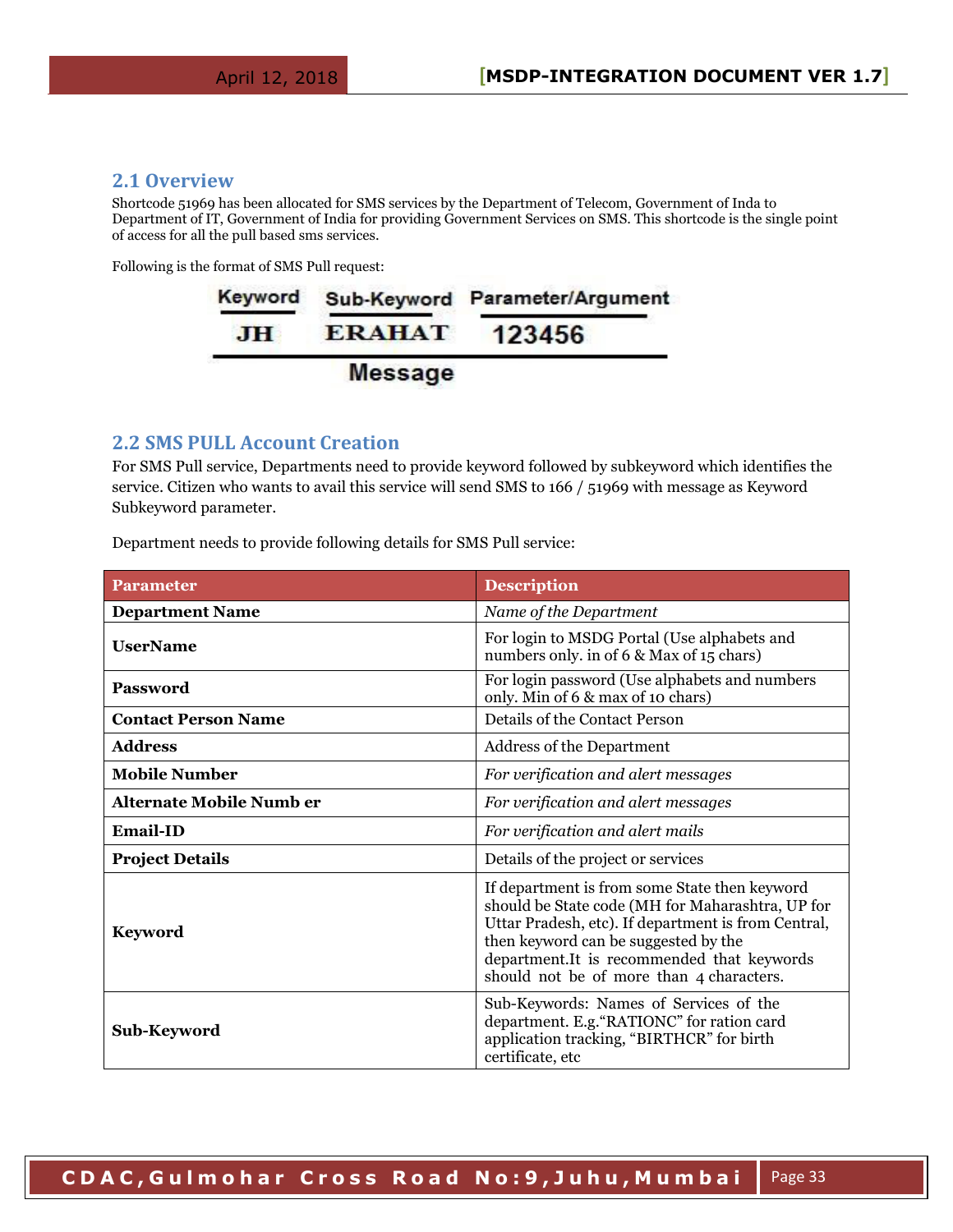#### <span id="page-32-0"></span>**2.1 Overview**

Shortcode 51969 has been allocated for SMS services by the Department of Telecom, Government of Inda to Department of IT, Government of India for providing Government Services on SMS. This shortcode is the single point of access for all the pull based sms services.

Following is the format of SMS Pull request:



#### <span id="page-32-1"></span>**2.2 SMS PULL Account Creation**

For SMS Pull service, Departments need to provide keyword followed by subkeyword which identifies the service. Citizen who wants to avail this service will send SMS to 166 / 51969 with message as Keyword Subkeyword parameter.

Department needs to provide following details for SMS Pull service:

| <b>Parameter</b>                | <b>Description</b>                                                                                                                                                                                                                                                                         |
|---------------------------------|--------------------------------------------------------------------------------------------------------------------------------------------------------------------------------------------------------------------------------------------------------------------------------------------|
| <b>Department Name</b>          | Name of the Department                                                                                                                                                                                                                                                                     |
| <b>UserName</b>                 | For login to MSDG Portal (Use alphabets and<br>numbers only, in of 6 & Max of 15 chars)                                                                                                                                                                                                    |
| <b>Password</b>                 | For login password (Use alphabets and numbers<br>only. Min of 6 & max of 10 chars)                                                                                                                                                                                                         |
| <b>Contact Person Name</b>      | Details of the Contact Person                                                                                                                                                                                                                                                              |
| <b>Address</b>                  | Address of the Department                                                                                                                                                                                                                                                                  |
| <b>Mobile Number</b>            | For verification and alert messages                                                                                                                                                                                                                                                        |
| <b>Alternate Mobile Numb er</b> | For verification and alert messages                                                                                                                                                                                                                                                        |
| <b>Email-ID</b>                 | For verification and alert mails                                                                                                                                                                                                                                                           |
| <b>Project Details</b>          | Details of the project or services                                                                                                                                                                                                                                                         |
| <b>Keyword</b>                  | If department is from some State then keyword<br>should be State code (MH for Maharashtra, UP for<br>Uttar Pradesh, etc). If department is from Central,<br>then keyword can be suggested by the<br>department.It is recommended that keywords<br>should not be of more than 4 characters. |
| Sub-Keyword                     | Sub-Keywords: Names of Services of the<br>department. E.g. "RATIONC" for ration card<br>application tracking, "BIRTHCR" for birth<br>certificate, etc                                                                                                                                      |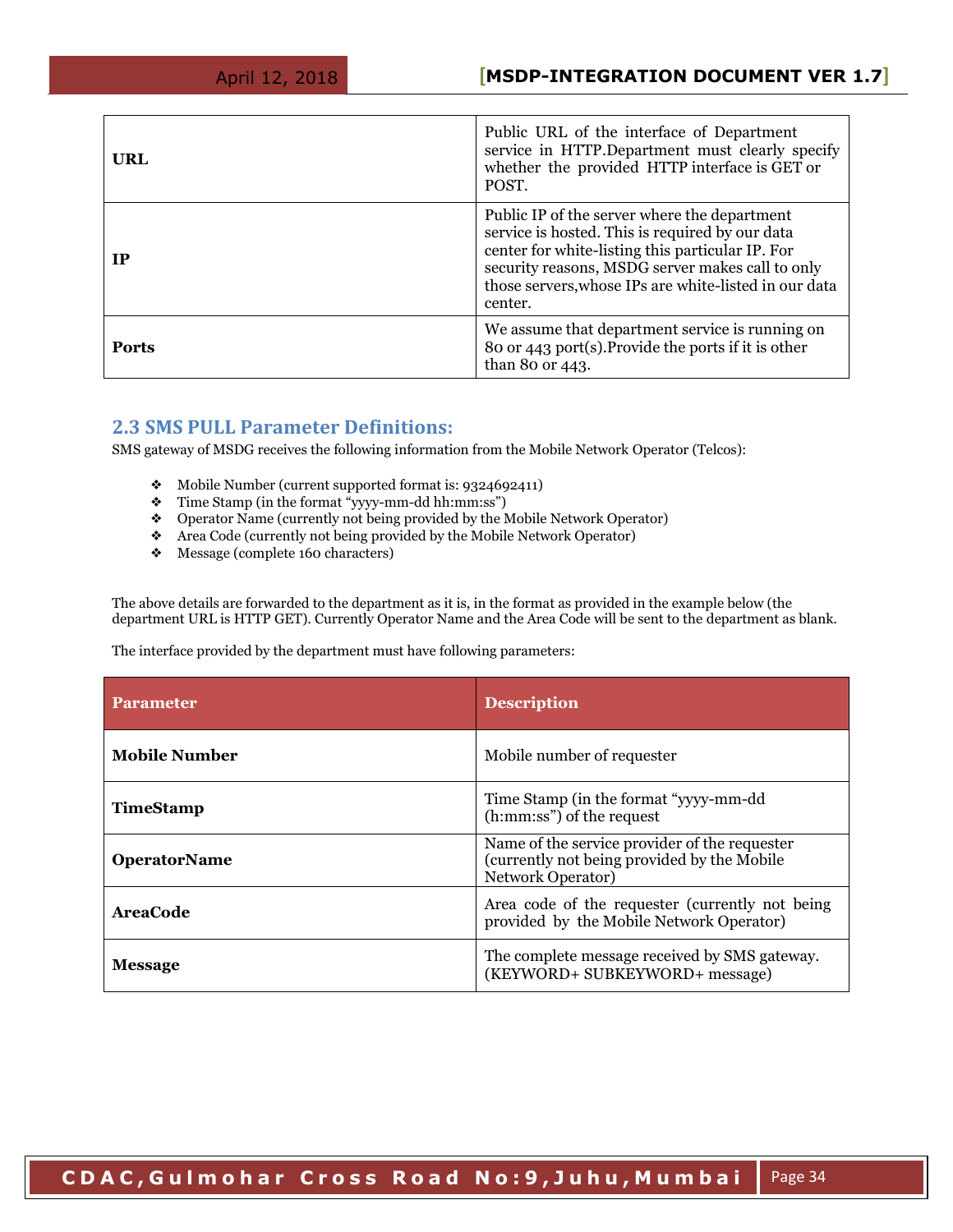| URL          | Public URL of the interface of Department<br>service in HTTP.Department must clearly specify<br>whether the provided HTTP interface is GET or<br>POST.                                                                                                                      |
|--------------|-----------------------------------------------------------------------------------------------------------------------------------------------------------------------------------------------------------------------------------------------------------------------------|
| IP           | Public IP of the server where the department<br>service is hosted. This is required by our data<br>center for white-listing this particular IP. For<br>security reasons, MSDG server makes call to only<br>those servers, whose IPs are white-listed in our data<br>center. |
| <b>Ports</b> | We assume that department service is running on<br>80 or 443 port(s). Provide the ports if it is other<br>than 80 or 443.                                                                                                                                                   |

### <span id="page-33-0"></span>**2.3 SMS PULL Parameter Definitions:**

SMS gateway of MSDG receives the following information from the Mobile Network Operator (Telcos):

- ❖ Mobile Number (current supported format is: 9324692411)
- ❖ Time Stamp (in the format "yyyy-mm-dd hh:mm:ss")
- ❖ Operator Name (currently not being provided by the Mobile Network Operator)
- ❖ Area Code (currently not being provided by the Mobile Network Operator)
- ❖ Message (complete 160 characters)

The above details are forwarded to the department as it is, in the format as provided in the example below (the department URL is HTTP GET). Currently Operator Name and the Area Code will be sent to the department as blank.

The interface provided by the department must have following parameters:

| <b>Parameter</b>     | <b>Description</b>                                                                                                       |
|----------------------|--------------------------------------------------------------------------------------------------------------------------|
| <b>Mobile Number</b> | Mobile number of requester                                                                                               |
| <b>TimeStamp</b>     | Time Stamp (in the format "yyyy-mm-dd")<br>(h:mm:ss") of the request                                                     |
| <b>OperatorName</b>  | Name of the service provider of the requester<br>(currently not being provided by the Mobile<br><b>Network Operator)</b> |
| <b>AreaCode</b>      | Area code of the requester (currently not being)<br>provided by the Mobile Network Operator)                             |
| <b>Message</b>       | The complete message received by SMS gateway.<br>(KEYWORD+ SUBKEYWORD+ message)                                          |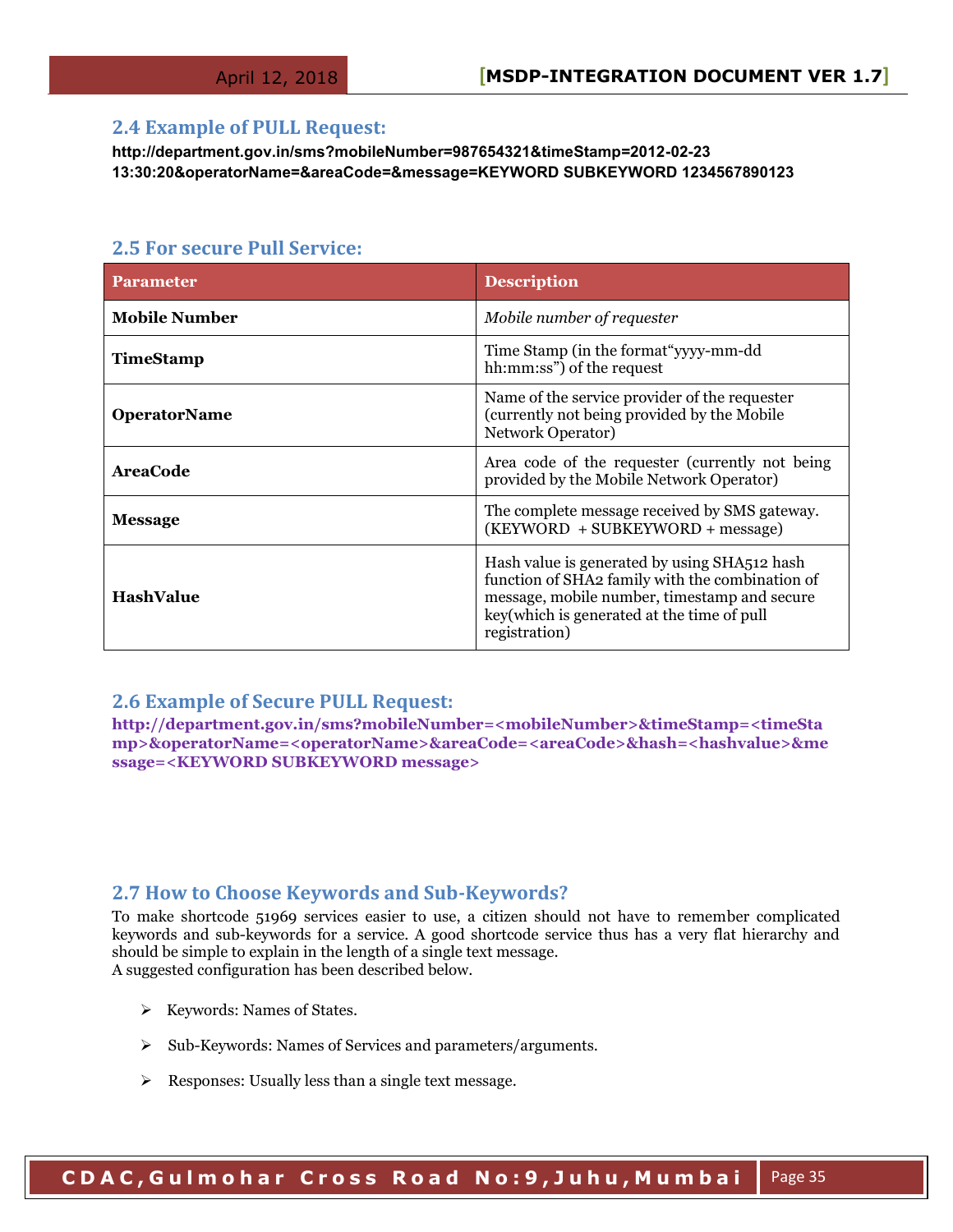#### <span id="page-34-0"></span>**2.4 Example of PULL Request:**

**http://department.gov.in/sms?mobileNumber=987654321&timeStamp=2012-02-23 13:30:20&operatorName=&areaCode=&message=KEYWORD SUBKEYWORD 1234567890123** 

#### <span id="page-34-1"></span>**2.5 For secure Pull Service:**

| <b>Parameter</b>     | <b>Description</b>                                                                                                                                                                                             |
|----------------------|----------------------------------------------------------------------------------------------------------------------------------------------------------------------------------------------------------------|
| <b>Mobile Number</b> | Mobile number of requester                                                                                                                                                                                     |
| TimeStamp            | Time Stamp (in the format "yyyy-mm-dd")<br>hh:mm:ss") of the request                                                                                                                                           |
| <b>OperatorName</b>  | Name of the service provider of the requester<br>(currently not being provided by the Mobile<br>Network Operator)                                                                                              |
| <b>AreaCode</b>      | Area code of the requester (currently not being)<br>provided by the Mobile Network Operator)                                                                                                                   |
| <b>Message</b>       | The complete message received by SMS gateway.<br>$(KEYWORD + SUBKEYWORD + message)$                                                                                                                            |
| <b>HashValue</b>     | Hash value is generated by using SHA512 hash<br>function of SHA2 family with the combination of<br>message, mobile number, timestamp and secure<br>key(which is generated at the time of pull<br>registration) |

#### <span id="page-34-2"></span>**2.6 Example of Secure PULL Request:**

**http://department.gov.in/sms?mobileNumber=<mobileNumber>&timeStamp=<timeSta mp>&operatorName=<operatorName>&areaCode=<areaCode>&hash=<hashvalue>&me ssage=<KEYWORD SUBKEYWORD message>** 

#### <span id="page-34-3"></span>**2.7 How to Choose Keywords and Sub-Keywords?**

To make shortcode 51969 services easier to use, a citizen should not have to remember complicated keywords and sub-keywords for a service. A good shortcode service thus has a very flat hierarchy and should be simple to explain in the length of a single text message. A suggested configuration has been described below.

- $\triangleright$  Keywords: Names of States.
- Sub-Keywords: Names of Services and parameters/arguments.
- $\triangleright$  Responses: Usually less than a single text message.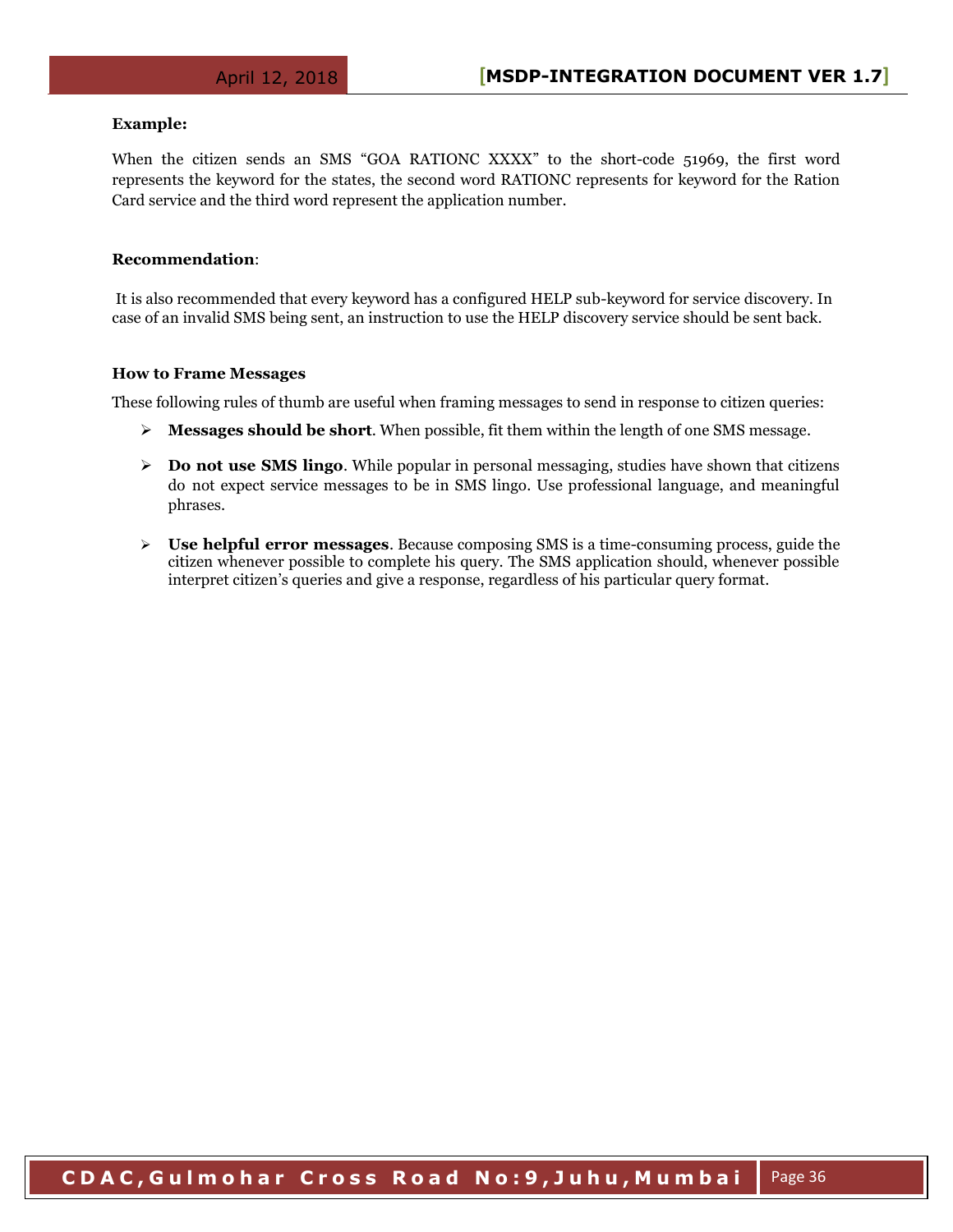#### **Example:**

When the citizen sends an SMS "GOA RATIONC XXXX" to the short-code 51969, the first word represents the keyword for the states, the second word RATIONC represents for keyword for the Ration Card service and the third word represent the application number.

#### **Recommendation**:

 It is also recommended that every keyword has a configured HELP sub-keyword for service discovery. In case of an invalid SMS being sent, an instruction to use the HELP discovery service should be sent back.

#### **How to Frame Messages**

These following rules of thumb are useful when framing messages to send in response to citizen queries:

- **Messages should be short**. When possible, fit them within the length of one SMS message.
- **►** Do not use SMS lingo. While popular in personal messaging, studies have shown that citizens do not expect service messages to be in SMS lingo. Use professional language, and meaningful phrases.
- **Use helpful error messages**. Because composing SMS is a time-consuming process, guide the citizen whenever possible to complete his query. The SMS application should, whenever possible interpret citizen's queries and give a response, regardless of his particular query format.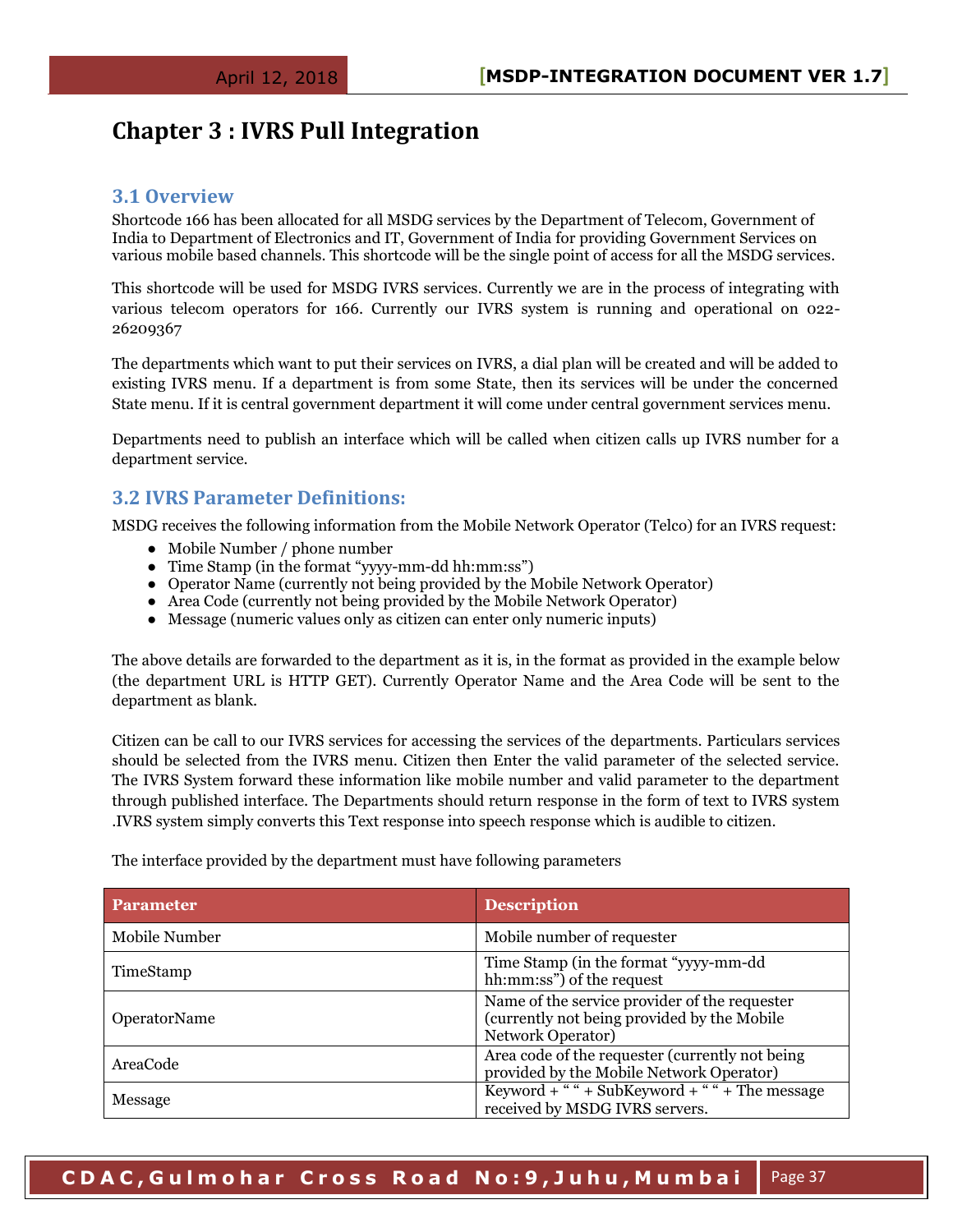## **Chapter 3 : IVRS Pull Integration**

#### <span id="page-36-0"></span>**3.1 Overview**

Shortcode 166 has been allocated for all MSDG services by the Department of Telecom, Government of India to Department of Electronics and IT, Government of India for providing Government Services on various mobile based channels. This shortcode will be the single point of access for all the MSDG services.

This shortcode will be used for MSDG IVRS services. Currently we are in the process of integrating with various telecom operators for 166. Currently our IVRS system is running and operational on 022- 26209367

The departments which want to put their services on IVRS, a dial plan will be created and will be added to existing IVRS menu. If a department is from some State, then its services will be under the concerned State menu. If it is central government department it will come under central government services menu.

Departments need to publish an interface which will be called when citizen calls up IVRS number for a department service.

#### <span id="page-36-1"></span>**3.2 IVRS Parameter Definitions:**

MSDG receives the following information from the Mobile Network Operator (Telco) for an IVRS request:

- Mobile Number / phone number
- Time Stamp (in the format "yyyy-mm-dd hh:mm:ss")
- Operator Name (currently not being provided by the Mobile Network Operator)
- Area Code (currently not being provided by the Mobile Network Operator)
- Message (numeric values only as citizen can enter only numeric inputs)

The above details are forwarded to the department as it is, in the format as provided in the example below (the department URL is HTTP GET). Currently Operator Name and the Area Code will be sent to the department as blank.

Citizen can be call to our IVRS services for accessing the services of the departments. Particulars services should be selected from the IVRS menu. Citizen then Enter the valid parameter of the selected service. The IVRS System forward these information like mobile number and valid parameter to the department through published interface. The Departments should return response in the form of text to IVRS system .IVRS system simply converts this Text response into speech response which is audible to citizen.

The interface provided by the department must have following parameters

| <b>Parameter</b> | <b>Description</b>                                                                                                        |
|------------------|---------------------------------------------------------------------------------------------------------------------------|
| Mobile Number    | Mobile number of requester                                                                                                |
| TimeStamp        | Time Stamp (in the format "yyyy-mm-dd")<br>hh:mm:ss") of the request                                                      |
| OperatorName     | Name of the service provider of the requester<br>(currently not being provided by the Mobile)<br><b>Network Operator)</b> |
| AreaCode         | Area code of the requester (currently not being)<br>provided by the Mobile Network Operator)                              |
| Message          | Keyword + " " + SubKeyword + " " + The message<br>received by MSDG IVRS servers.                                          |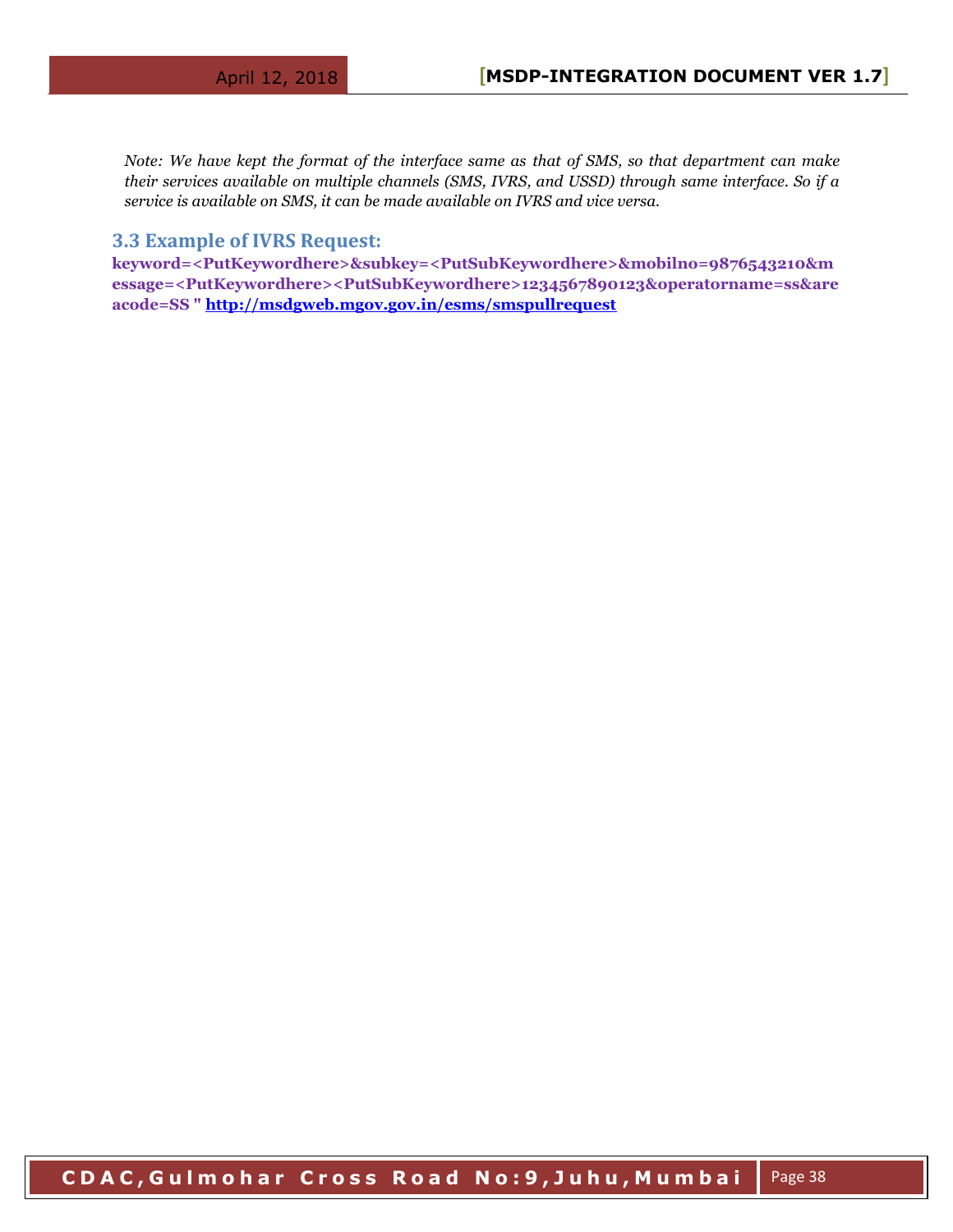*Note: We have kept the format of the interface same as that of SMS, so that department can make their services available on multiple channels (SMS, IVRS, and USSD) through same interface. So if a service is available on SMS, it can be made available on IVRS and vice versa.*

#### <span id="page-37-0"></span>**3.3 Example of IVRS Request:**

**keyword=<PutKeywordhere>&subkey=<PutSubKeywordhere>&mobilno=9876543210&m essage=<PutKeywordhere><PutSubKeywordhere>1234567890123&operatorname=ss&are acode=SS "<http://msdgweb.mgov.gov.in/esms/smspullrequest>**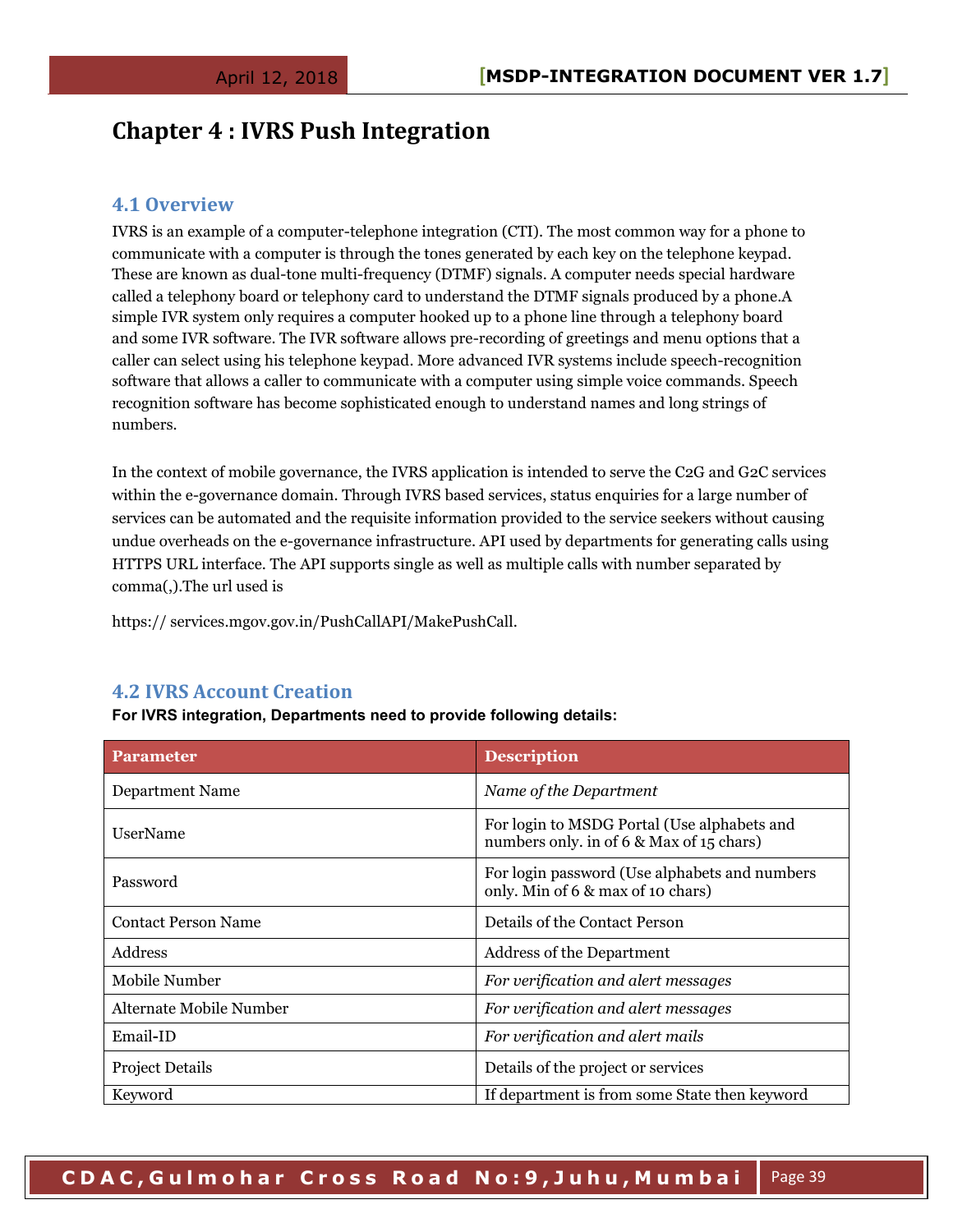## <span id="page-38-0"></span>**Chapter 4 : IVRS Push Integration**

#### <span id="page-38-1"></span>**4.1 Overview**

IVRS is an example of a computer-telephone integration (CTI). The most common way for a phone to communicate with a computer is through the tones generated by each key on the telephone keypad. These are known as dual-tone multi-frequency (DTMF) signals. A computer needs special hardware called a telephony board or telephony card to understand the DTMF signals produced by a phone.A simple IVR system only requires a computer hooked up to a phone line through a telephony board and some IVR software. The IVR software allows pre-recording of greetings and menu options that a caller can select using his telephone keypad. More advanced IVR systems include speech-recognition software that allows a caller to communicate with a computer using simple voice commands. Speech recognition software has become sophisticated enough to understand names and long strings of numbers.

In the context of mobile governance, the IVRS application is intended to serve the C2G and G2C services within the e-governance domain. Through IVRS based services, status enquiries for a large number of services can be automated and the requisite information provided to the service seekers without causing undue overheads on the e-governance infrastructure. API used by departments for generating calls using HTTPS URL interface. The API supports single as well as multiple calls with number separated by comma(,).The url used is

https:// services.mgov.gov.in/PushCallAPI/MakePushCall.

#### <span id="page-38-2"></span>**4.2 IVRS Account Creation**

**For IVRS integration, Departments need to provide following details:**

| <b>Parameter</b>           | <b>Description</b>                                                                      |
|----------------------------|-----------------------------------------------------------------------------------------|
| Department Name            | Name of the Department                                                                  |
| <b>UserName</b>            | For login to MSDG Portal (Use alphabets and<br>numbers only, in of 6 & Max of 15 chars) |
| Password                   | For login password (Use alphabets and numbers<br>only. Min of 6 & max of 10 chars)      |
| <b>Contact Person Name</b> | Details of the Contact Person                                                           |
| Address                    | <b>Address of the Department</b>                                                        |
| Mobile Number              | For verification and alert messages                                                     |
| Alternate Mobile Number    | For verification and alert messages                                                     |
| Email-ID                   | For verification and alert mails                                                        |
| <b>Project Details</b>     | Details of the project or services                                                      |
| Keyword                    | If department is from some State then keyword                                           |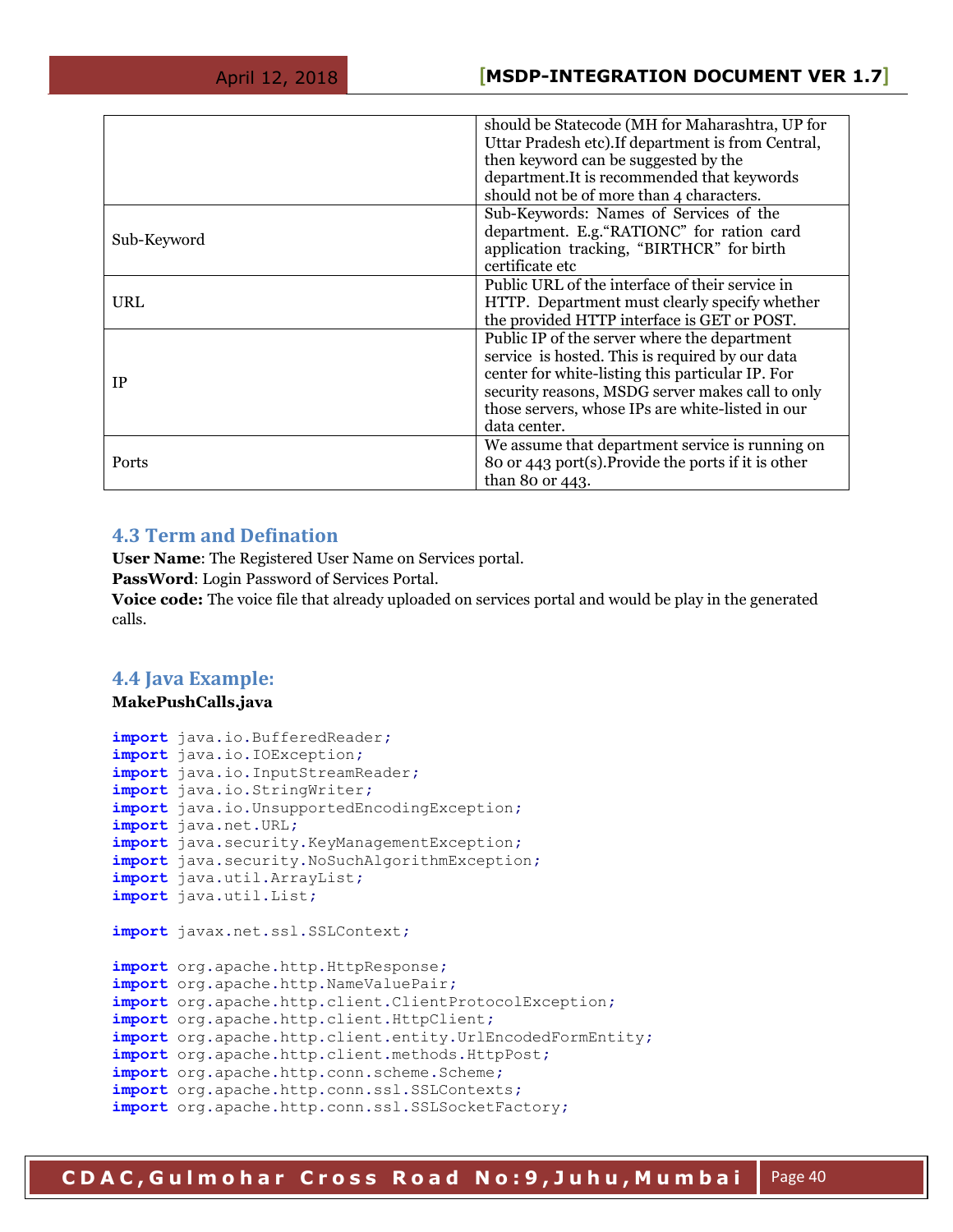|             | should be Statecode (MH for Maharashtra, UP for<br>Uttar Pradesh etc). If department is from Central,<br>then keyword can be suggested by the<br>department.It is recommended that keywords<br>should not be of more than 4 characters.                                     |
|-------------|-----------------------------------------------------------------------------------------------------------------------------------------------------------------------------------------------------------------------------------------------------------------------------|
| Sub-Keyword | Sub-Keywords: Names of Services of the<br>department. E.g. "RATIONC" for ration card<br>application tracking, "BIRTHCR" for birth<br>certificate etc                                                                                                                        |
| URL         | Public URL of the interface of their service in<br>HTTP. Department must clearly specify whether<br>the provided HTTP interface is GET or POST.                                                                                                                             |
| <b>IP</b>   | Public IP of the server where the department<br>service is hosted. This is required by our data<br>center for white-listing this particular IP. For<br>security reasons, MSDG server makes call to only<br>those servers, whose IPs are white-listed in our<br>data center. |
| Ports       | We assume that department service is running on<br>80 or 443 port(s). Provide the ports if it is other<br>than 80 or 443.                                                                                                                                                   |

#### <span id="page-39-0"></span>**4.3 Term and Defination**

**User Name**: The Registered User Name on Services portal. **PassWord**: Login Password of Services Portal. **Voice code:** The voice file that already uploaded on services portal and would be play in the generated calls.

#### <span id="page-39-1"></span>**4.4 Java Example:**

#### **MakePushCalls.java**

```
import java.io.BufferedReader;
import java.io.IOException;
import java.io.InputStreamReader;
import java.io.StringWriter;
import java.io.UnsupportedEncodingException;
import java.net.URL;
import java.security.KeyManagementException;
import java.security.NoSuchAlgorithmException;
import java.util.ArrayList;
import java.util.List;
import javax.net.ssl.SSLContext;
import org.apache.http.HttpResponse;
import org.apache.http.NameValuePair;
import org.apache.http.client.ClientProtocolException;
import org.apache.http.client.HttpClient;
import org.apache.http.client.entity.UrlEncodedFormEntity;
import org.apache.http.client.methods.HttpPost;
import org.apache.http.conn.scheme.Scheme;
import org.apache.http.conn.ssl.SSLContexts;
import org.apache.http.conn.ssl.SSLSocketFactory;
```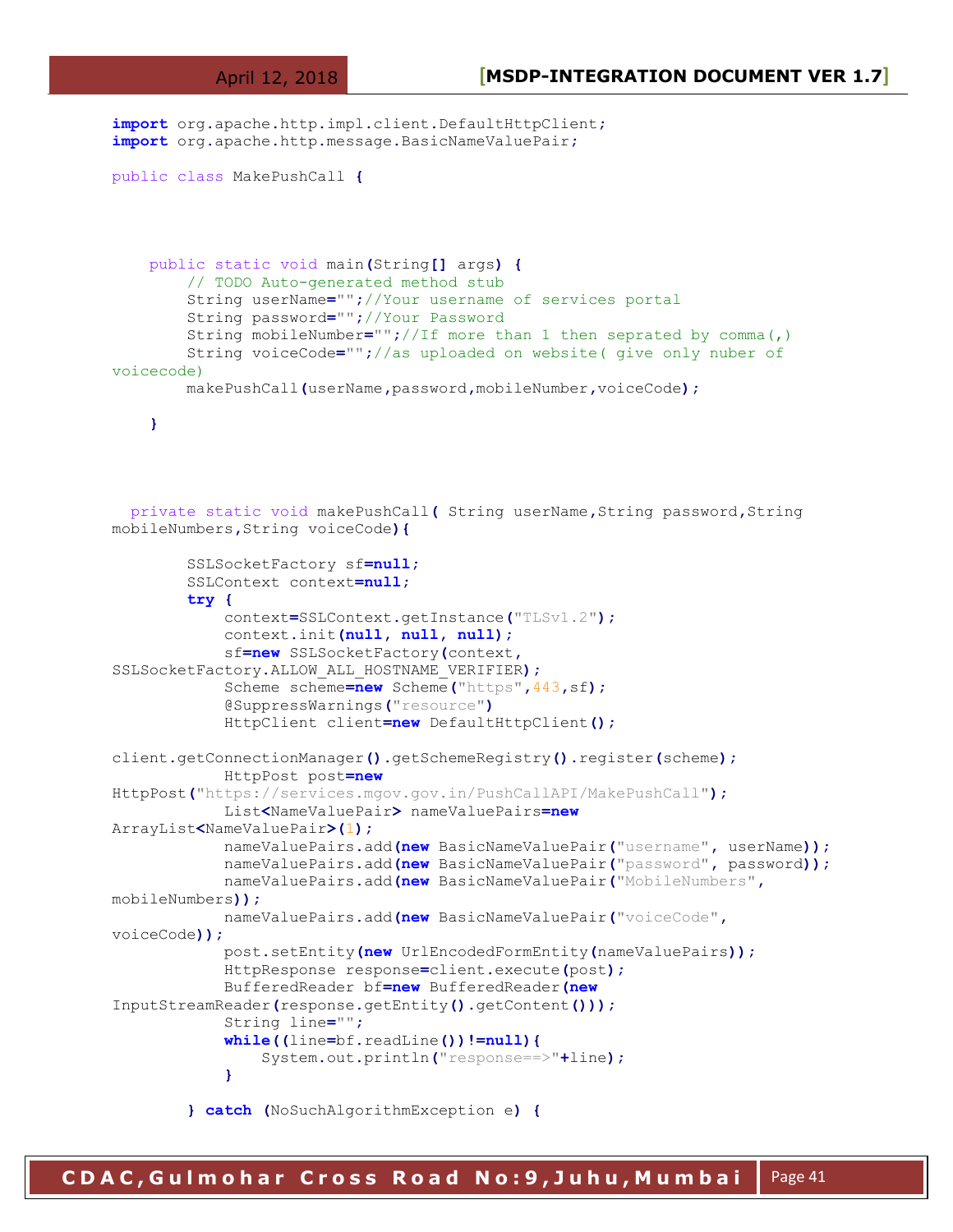**import** org**.**apache**.**http**.**impl**.**client**.**DefaultHttpClient**;**

```
import org.apache.http.message.BasicNameValuePair;
public class MakePushCall {
     public static void main(String[] args) {
         // TODO Auto-generated method stub
         String userName="";//Your username of services portal 
         String password="";//Your Password 
         String mobileNumber="";//If more than 1 then seprated by comma(,)
         String voiceCode="";//as uploaded on website( give only nuber of 
voicecode)
         makePushCall(userName,password,mobileNumber,voiceCode);
     }
   private static void makePushCall( String userName,String password,String 
mobileNumbers,String voiceCode){
         SSLSocketFactory sf=null;
         SSLContext context=null;
         try {
             context=SSLContext.getInstance("TLSv1.2");
             context.init(null, null, null);
             sf=new SSLSocketFactory(context,
SSLSocketFactory.ALLOW_ALL_HOSTNAME_VERIFIER);
             Scheme scheme=new Scheme("https",443,sf);
             @SuppressWarnings("resource")
             HttpClient client=new DefaultHttpClient();
client.getConnectionManager().getSchemeRegistry().register(scheme);
             HttpPost post=new
HttpPost("https://services.mgov.gov.in/PushCallAPI/MakePushCall");
             List<NameValuePair> nameValuePairs=new
ArrayList<NameValuePair>(1);
             nameValuePairs.add(new BasicNameValuePair("username", userName));
             nameValuePairs.add(new BasicNameValuePair("password", password));
             nameValuePairs.add(new BasicNameValuePair("MobileNumbers",
mobileNumbers));
             nameValuePairs.add(new BasicNameValuePair("voiceCode",
voiceCode));
             post.setEntity(new UrlEncodedFormEntity(nameValuePairs));
             HttpResponse response=client.execute(post);
             BufferedReader bf=new BufferedReader(new
InputStreamReader(response.getEntity().getContent()));
             String line="";
             while((line=bf.readLine())!=null){
                 System.out.println("response==>"+line);
 }
         } catch (NoSuchAlgorithmException e) {
```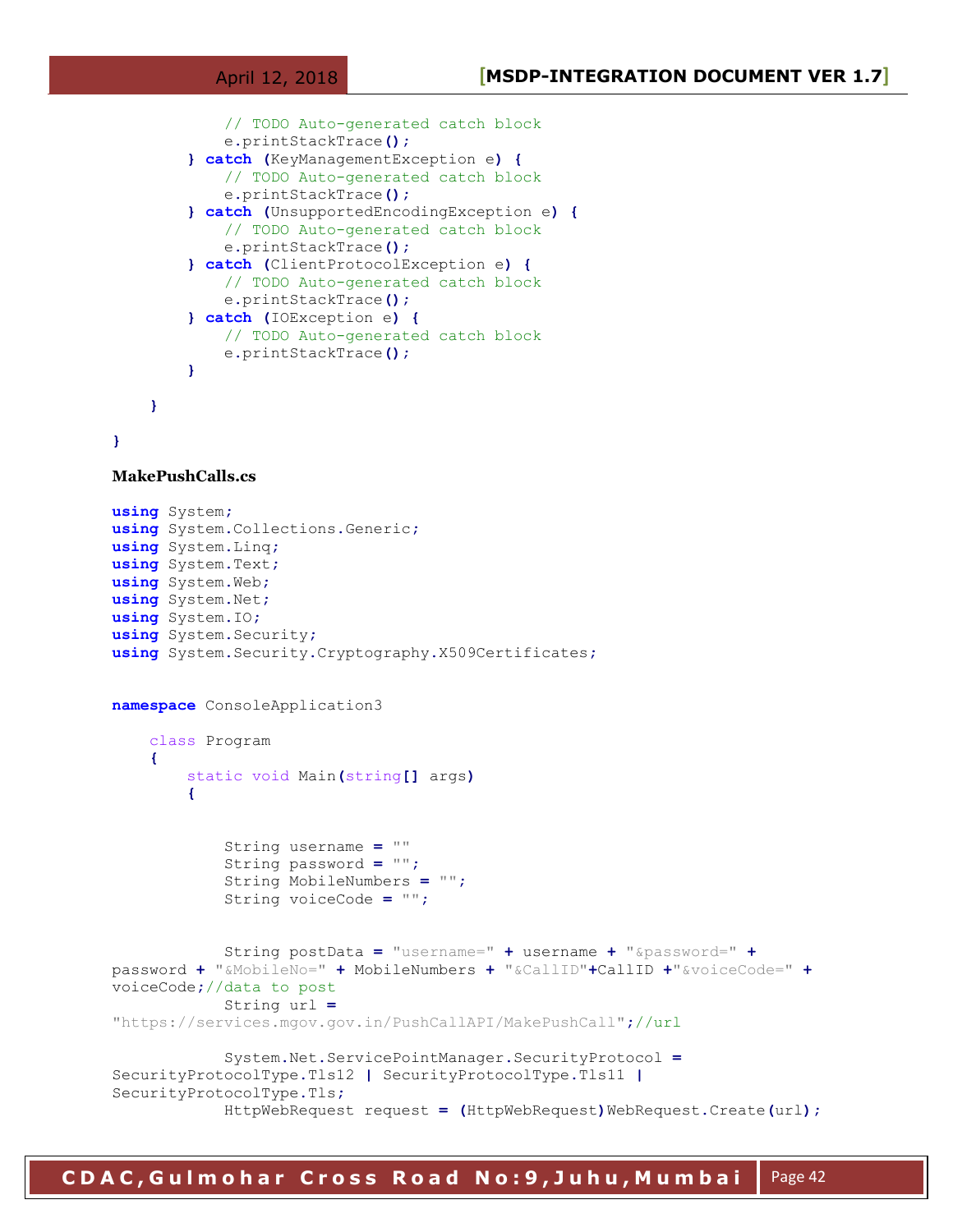```
 // TODO Auto-generated catch block
             e.printStackTrace();
         } catch (KeyManagementException e) {
             // TODO Auto-generated catch block
             e.printStackTrace();
         } catch (UnsupportedEncodingException e) {
             // TODO Auto-generated catch block
             e.printStackTrace();
         } catch (ClientProtocolException e) {
             // TODO Auto-generated catch block
             e.printStackTrace();
         } catch (IOException e) {
             // TODO Auto-generated catch block
             e.printStackTrace();
 }
     }
```

```
}
```

```
MakePushCalls.cs
```

```
using System;
using System.Collections.Generic;
using System.Linq;
using System.Text;
using System.Web;
using System.Net;
using System.IO;
using System.Security;
using System.Security.Cryptography.X509Certificates;
namespace ConsoleApplication3
     class Program
     {
         static void Main(string[] args)
         {
             String username = ""
             String password = "";
             String MobileNumbers = "";
             String voiceCode = "";
             String postData = "username=" + username + "&password=" +
password + "&MobileNo=" + MobileNumbers + "&CallID"+CallID +"&voiceCode=" +
voiceCode;//data to post
             String url =
"https://services.mgov.gov.in/PushCallAPI/MakePushCall";//url 
             System.Net.ServicePointManager.SecurityProtocol =
SecurityProtocolType.Tls12 | SecurityProtocolType.Tls11 |
SecurityProtocolType.Tls;
             HttpWebRequest request = (HttpWebRequest)WebRequest.Create(url);
```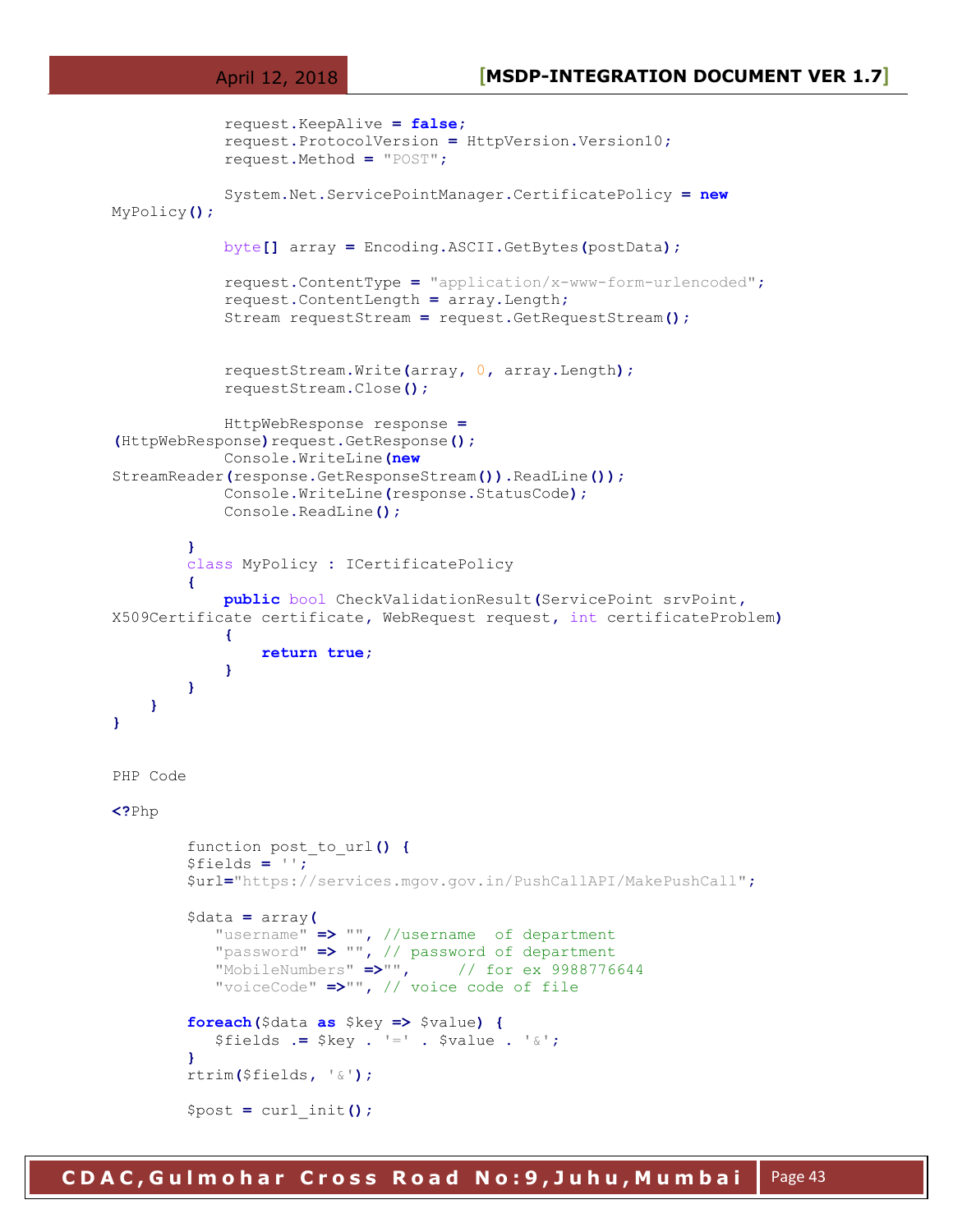```
 request.KeepAlive = false;
             request.ProtocolVersion = HttpVersion.Version10;
             request.Method = "POST";
             System.Net.ServicePointManager.CertificatePolicy = new
MyPolicy();
             byte[] array = Encoding.ASCII.GetBytes(postData);
             request.ContentType = "application/x-www-form-urlencoded";
             request.ContentLength = array.Length;
             Stream requestStream = request.GetRequestStream();
             requestStream.Write(array, 0, array.Length);
             requestStream.Close();
             HttpWebResponse response =
(HttpWebResponse)request.GetResponse();
             Console.WriteLine(new
StreamReader(response.GetResponseStream()).ReadLine());
             Console.WriteLine(response.StatusCode);
             Console.ReadLine();
         }
         class MyPolicy : ICertificatePolicy
 {
             public bool CheckValidationResult(ServicePoint srvPoint,
X509Certificate certificate, WebRequest request, int certificateProblem)
 {
                 return true;
 }
         }
     }
}
PHP Code 
<?Php
         function post_to_url() {
         $fields = '';
         $url="https://services.mgov.gov.in/PushCallAPI/MakePushCall";
         $data = array(
            "username" => "", //username of department 
            "password" => "", // password of department 
            "MobileNumbers" =>"", // for ex 9988776644 
            "voiceCode" =>"", // voice code of file 
         foreach($data as $key => $value) {
            $fields .= $key . '=' . $value . '&';
 }
         rtrim($fields, '&');
         $post = curl_init();
```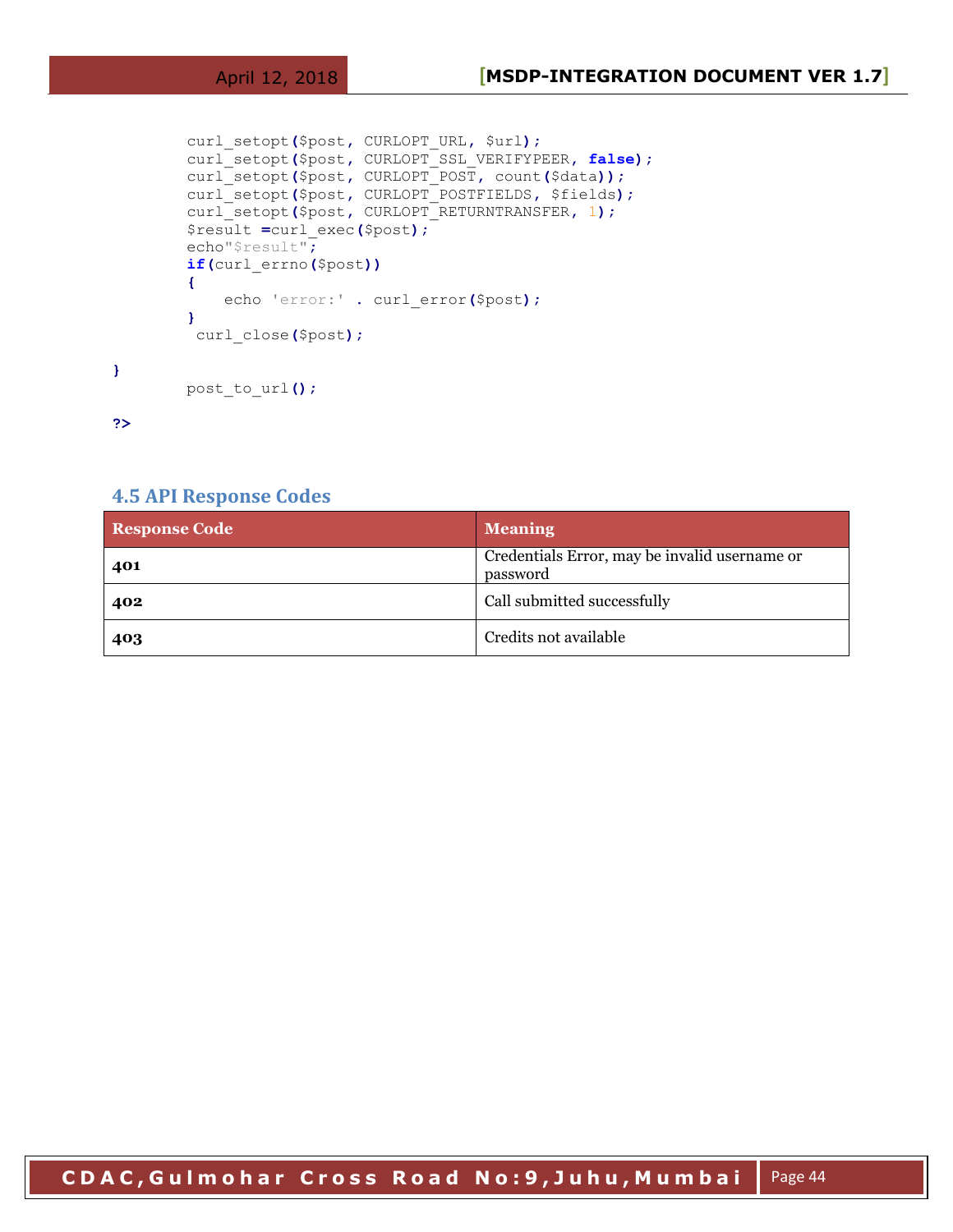```
 curl_setopt($post, CURLOPT_URL, $url);
 curl_setopt($post, CURLOPT_SSL_VERIFYPEER, false);
 curl_setopt($post, CURLOPT_POST, count($data));
 curl_setopt($post, CURLOPT_POSTFIELDS, $fields);
 curl_setopt($post, CURLOPT_RETURNTRANSFER, 1);
 $result =curl_exec($post);
 echo"$result";
 if(curl_errno($post))
 {
     echo 'error:' . curl_error($post);
 }
  curl_close($post);
 post_to_url();
```
**?>**

**}**

#### <span id="page-43-0"></span>**4.5 API Response Codes**

| <b>Response Code</b> | <b>Meaning</b>                                            |
|----------------------|-----------------------------------------------------------|
| 401                  | Credentials Error, may be invalid username or<br>password |
| 402                  | Call submitted successfully                               |
| 403                  | Credits not available                                     |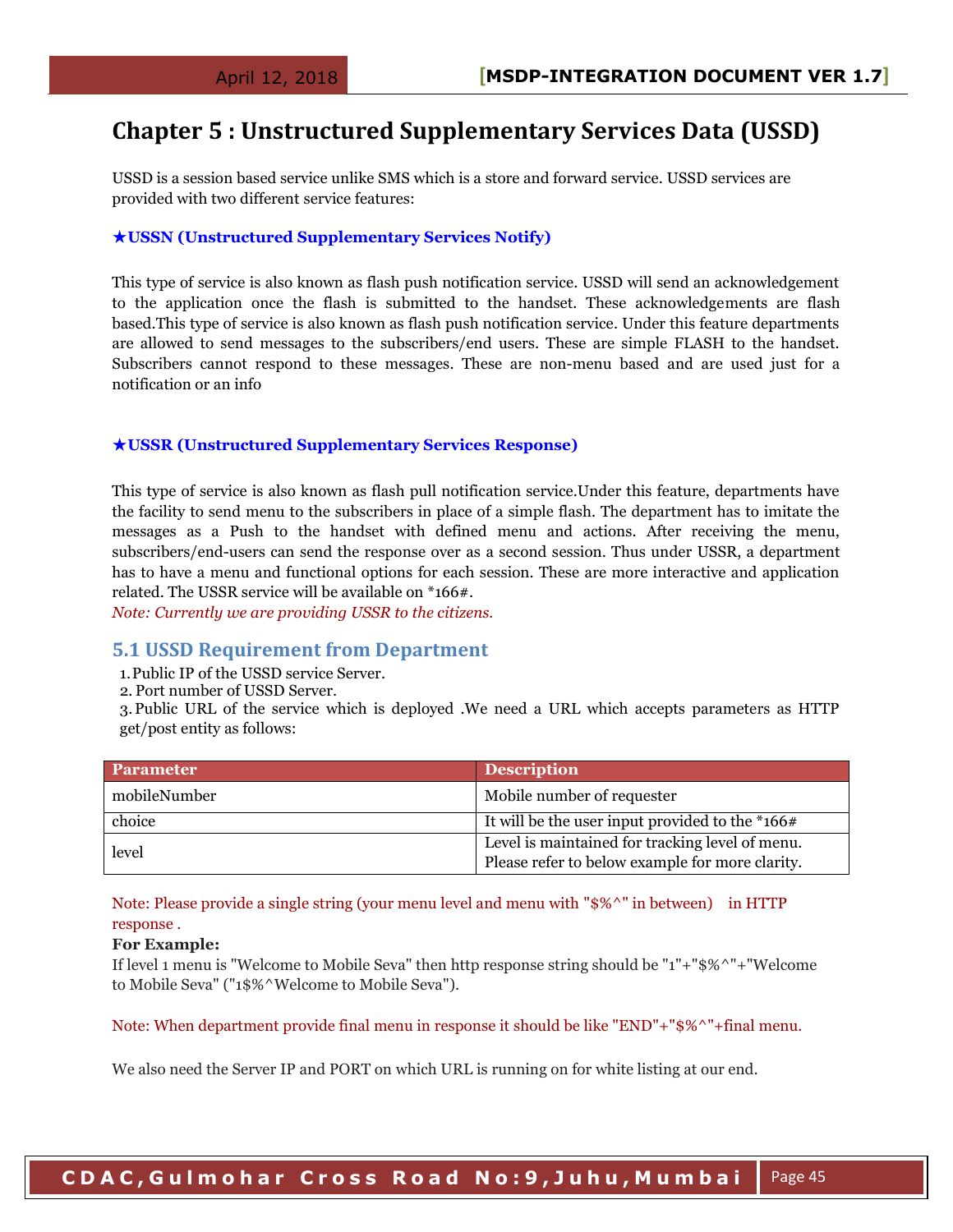## <span id="page-44-0"></span>**Chapter 5 : Unstructured Supplementary Services Data (USSD)**

USSD is a session based service unlike SMS which is a store and forward service. USSD services are provided with two different service features:

#### ★**USSN (Unstructured Supplementary Services Notify)**

This type of service is also known as flash push notification service. USSD will send an acknowledgement to the application once the flash is submitted to the handset. These acknowledgements are flash based.This type of service is also known as flash push notification service. Under this feature departments are allowed to send messages to the subscribers/end users. These are simple FLASH to the handset. Subscribers cannot respond to these messages. These are non-menu based and are used just for a notification or an info

#### ★**USSR (Unstructured Supplementary Services Response)**

This type of service is also known as flash pull notification service.Under this feature, departments have the facility to send menu to the subscribers in place of a simple flash. The department has to imitate the messages as a Push to the handset with defined menu and actions. After receiving the menu, subscribers/end-users can send the response over as a second session. Thus under USSR, a department has to have a menu and functional options for each session. These are more interactive and application related. The USSR service will be available on \*166#.

*Note: Currently we are providing USSR to the citizens.* 

#### <span id="page-44-1"></span>**5.1 USSD Requirement from Department**

- 1.Public IP of the USSD service Server.
- 2. Port number of USSD Server.

3.Public URL of the service which is deployed .We need a URL which accepts parameters as HTTP get/post entity as follows:

| Parameter    | <b>Description</b>                                |
|--------------|---------------------------------------------------|
| mobileNumber | Mobile number of requester                        |
| choice       | It will be the user input provided to the $*166#$ |
| level        | Level is maintained for tracking level of menu.   |
|              | Please refer to below example for more clarity.   |

Note: Please provide a single string (your menu level and menu with "\$%^" in between) in HTTP response .

#### **For Example:**

If level 1 menu is "Welcome to Mobile Seva" then http response string should be "1"+"\$%^"+"Welcome to Mobile Seva" ("1\$%^Welcome to Mobile Seva").

Note: When department provide final menu in response it should be like "END"+"\$%^"+final menu.

We also need the Server IP and PORT on which URL is running on for white listing at our end.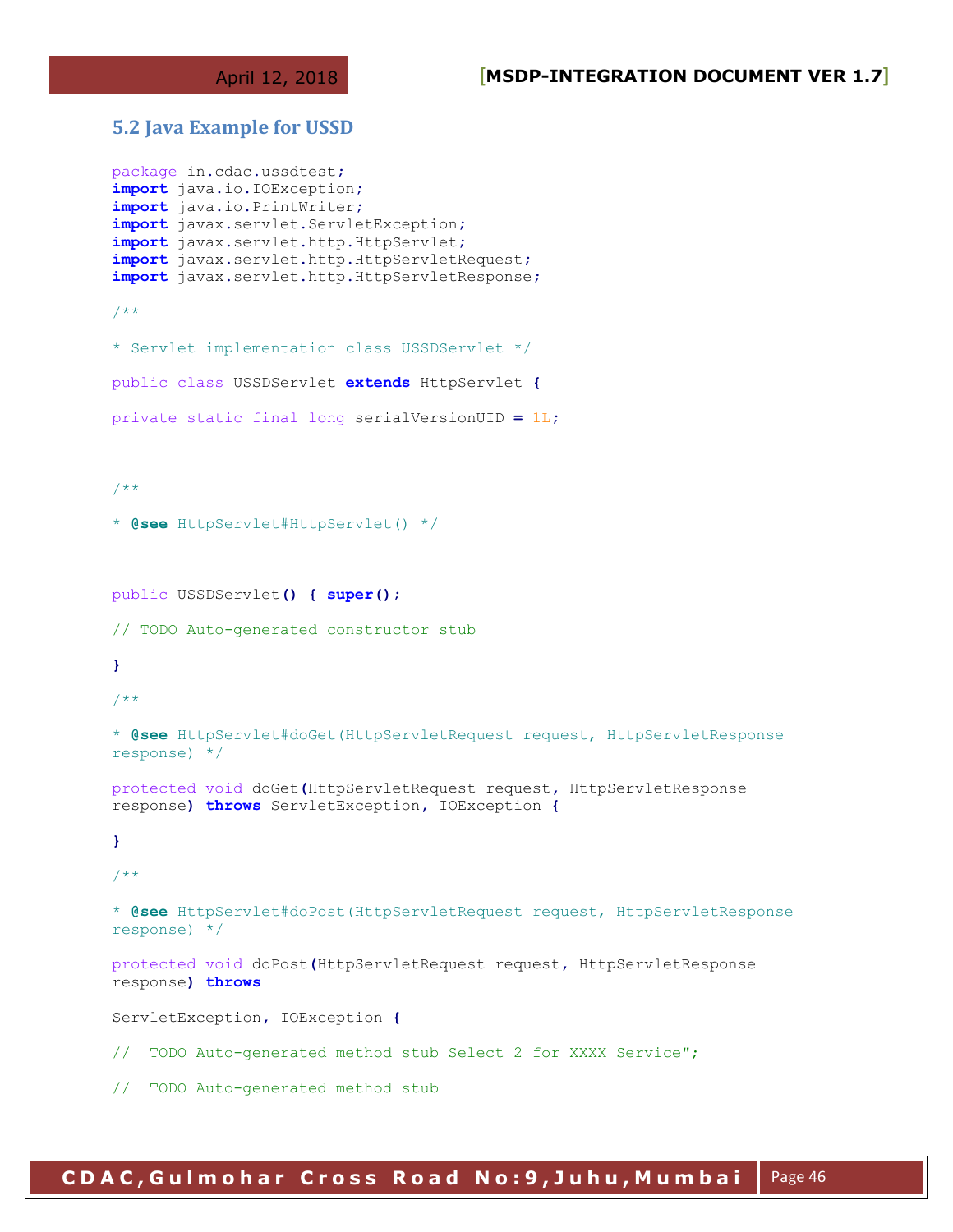#### <span id="page-45-0"></span>**5.2 Java Example for USSD**

```
package in.cdac.ussdtest;
import java.io.IOException;
import java.io.PrintWriter;
import javax.servlet.ServletException;
import javax.servlet.http.HttpServlet;
import javax.servlet.http.HttpServletRequest;
import javax.servlet.http.HttpServletResponse;
/**
* Servlet implementation class USSDServlet */
public class USSDServlet extends HttpServlet {
private static final long serialVersionUID = 1L;
/**
* @see HttpServlet#HttpServlet() */
public USSDServlet() { super();
// TODO Auto-generated constructor stub
}
7 * ** @see HttpServlet#doGet(HttpServletRequest request, HttpServletResponse 
response) */
protected void doGet(HttpServletRequest request, HttpServletResponse 
response) throws ServletException, IOException {
}
/**
* @see HttpServlet#doPost(HttpServletRequest request, HttpServletResponse 
response) */
protected void doPost(HttpServletRequest request, HttpServletResponse 
response) throws
ServletException, IOException {
// TODO Auto-generated method stub Select 2 for XXXX Service";
// TODO Auto-generated method stub
```